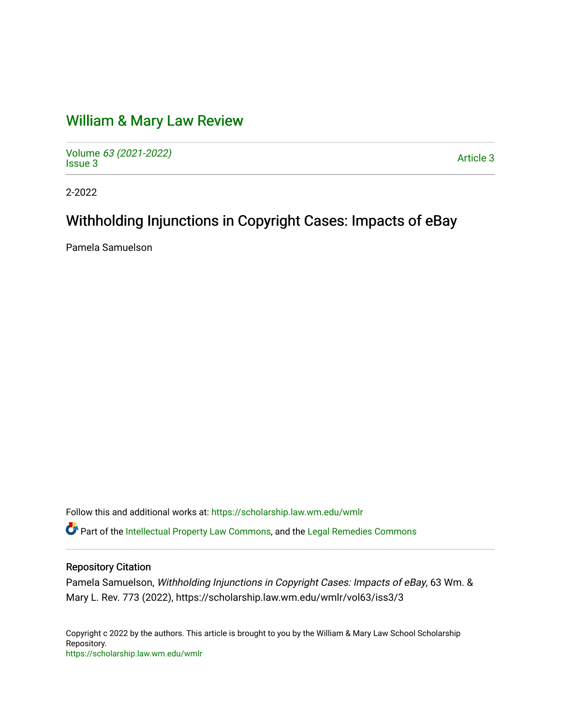# [William & Mary Law Review](https://scholarship.law.wm.edu/wmlr)

Volume [63 \(2021-2022\)](https://scholarship.law.wm.edu/wmlr/vol63)  volume os (2027-2022)<br>[Issue 3](https://scholarship.law.wm.edu/wmlr/vol63/iss3) Article 3

2-2022

# Withholding Injunctions in Copyright Cases: Impacts of eBay

Pamela Samuelson

Follow this and additional works at: [https://scholarship.law.wm.edu/wmlr](https://scholarship.law.wm.edu/wmlr?utm_source=scholarship.law.wm.edu%2Fwmlr%2Fvol63%2Fiss3%2F3&utm_medium=PDF&utm_campaign=PDFCoverPages)

Part of the [Intellectual Property Law Commons,](http://network.bepress.com/hgg/discipline/896?utm_source=scholarship.law.wm.edu%2Fwmlr%2Fvol63%2Fiss3%2F3&utm_medium=PDF&utm_campaign=PDFCoverPages) and the [Legal Remedies Commons](http://network.bepress.com/hgg/discipline/618?utm_source=scholarship.law.wm.edu%2Fwmlr%2Fvol63%2Fiss3%2F3&utm_medium=PDF&utm_campaign=PDFCoverPages) 

# Repository Citation

Pamela Samuelson, Withholding Injunctions in Copyright Cases: Impacts of eBay, 63 Wm. & Mary L. Rev. 773 (2022), https://scholarship.law.wm.edu/wmlr/vol63/iss3/3

Copyright c 2022 by the authors. This article is brought to you by the William & Mary Law School Scholarship Repository. <https://scholarship.law.wm.edu/wmlr>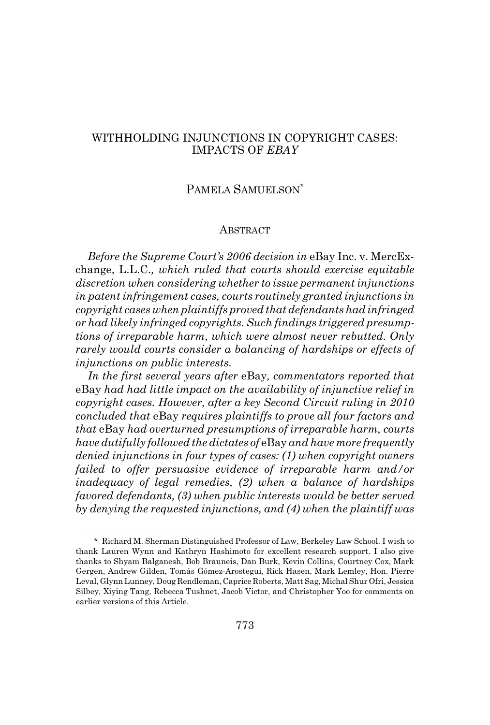# WITHHOLDING INJUNCTIONS IN COPYRIGHT CASES: IMPACTS OF *EBAY*

# PAMELA SAMUELSON\*

#### **ABSTRACT**

*Before the Supreme Court's 2006 decision in* eBay Inc. v. MercExchange, L.L.C.*, which ruled that courts should exercise equitable discretion when considering whether to issue permanent injunctions in patent infringement cases, courts routinely granted injunctions in copyright cases when plaintiffs proved that defendants had infringed or had likely infringed copyrights. Such findings triggered presumptions of irreparable harm, which were almost never rebutted. Only rarely would courts consider a balancing of hardships or effects of injunctions on public interests.*

*In the first several years after* eBay*, commentators reported that* eBay *had had little impact on the availability of injunctive relief in copyright cases. However, after a key Second Circuit ruling in 2010 concluded that* eBay *requires plaintiffs to prove all four factors and that* eBay *had overturned presumptions of irreparable harm, courts have dutifully followed the dictates of* eBay *and have more frequently denied injunctions in four types of cases: (1) when copyright owners failed to offer persuasive evidence of irreparable harm and/or inadequacy of legal remedies, (2) when a balance of hardships favored defendants, (3) when public interests would be better served by denying the requested injunctions, and (4) when the plaintiff was*

<sup>\*</sup> Richard M. Sherman Distinguished Professor of Law, Berkeley Law School. I wish to thank Lauren Wynn and Kathryn Hashimoto for excellent research support. I also give thanks to Shyam Balganesh, Bob Brauneis, Dan Burk, Kevin Collins, Courtney Cox, Mark Gergen, Andrew Gilden, Tomás Gómez-Arostegui, Rick Hasen, Mark Lemley, Hon. Pierre Leval, Glynn Lunney, Doug Rendleman, Caprice Roberts, Matt Sag, Michal Shur Ofri, Jessica Silbey, Xiying Tang, Rebecca Tushnet, Jacob Victor, and Christopher Yoo for comments on earlier versions of this Article.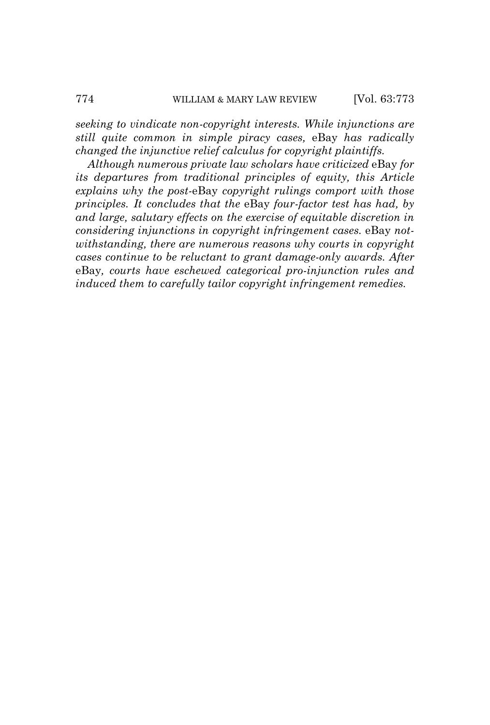*seeking to vindicate non-copyright interests. While injunctions are still quite common in simple piracy cases,* eBay *has radically changed the injunctive relief calculus for copyright plaintiffs.*

*Although numerous private law scholars have criticized* eBay *for its departures from traditional principles of equity, this Article explains why the post-*eBay *copyright rulings comport with those principles. It concludes that the* eBay *four-factor test has had, by and large, salutary effects on the exercise of equitable discretion in considering injunctions in copyright infringement cases.* eBay *notwithstanding, there are numerous reasons why courts in copyright cases continue to be reluctant to grant damage-only awards. After* eBay*, courts have eschewed categorical pro-injunction rules and induced them to carefully tailor copyright infringement remedies.*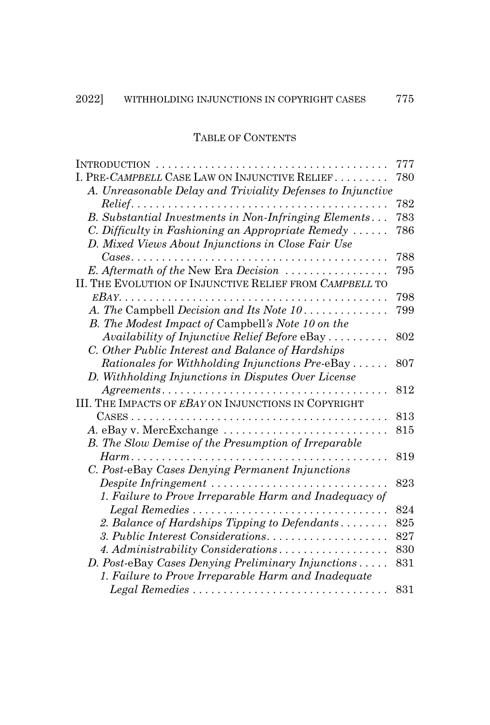# TABLE OF CONTENTS

| $INTRODUCTION$                                                                                  | 777 |
|-------------------------------------------------------------------------------------------------|-----|
| I. PRE-CAMPBELL CASE LAW ON INJUNCTIVE RELIEF                                                   | 780 |
| A. Unreasonable Delay and Triviality Defenses to Injunctive                                     |     |
| $Relief. \ldots \ldots \ldots \ldots \ldots \ldots \ldots$                                      | 782 |
| B. Substantial Investments in Non-Infringing Elements                                           | 783 |
| C. Difficulty in Fashioning an Appropriate Remedy $\ldots$ .                                    | 786 |
| D. Mixed Views About Injunctions in Close Fair Use                                              |     |
| Cases<br>.                                                                                      | 788 |
| E. Aftermath of the New Era Decision                                                            | 795 |
| II. THE EVOLUTION OF INJUNCTIVE RELIEF FROM CAMPBELL TO                                         |     |
|                                                                                                 | 798 |
| A. The Campbell Decision and Its Note 10                                                        | 799 |
| B. The Modest Impact of Campbell's Note 10 on the                                               |     |
| Availability of Injunctive Relief Before eBay                                                   | 802 |
| C. Other Public Interest and Balance of Hardships                                               |     |
| Rationales for Withholding Injunctions Pre-eBay                                                 | 807 |
| D. Withholding Injunctions in Disputes Over License                                             |     |
| Agreements                                                                                      | 812 |
| III. THE IMPACTS OF EBAY ON INJUNCTIONS IN COPYRIGHT                                            |     |
|                                                                                                 | 813 |
| A. eBay v. MercExchange                                                                         | 815 |
| B. The Slow Demise of the Presumption of Irreparable                                            |     |
| $Harm \dots \dots \dots$                                                                        | 819 |
| C. Post-eBay Cases Denying Permanent Injunctions                                                |     |
| Despite Infringement                                                                            | 823 |
| 1. Failure to Prove Irreparable Harm and Inadequacy of                                          |     |
|                                                                                                 | 824 |
| 2. Balance of Hardships Tipping to Defendants                                                   | 825 |
| 3. Public Interest Considerations                                                               | 827 |
| 4. Administrability Considerations                                                              | 830 |
| D. Post-eBay Cases Denying Preliminary Injunctions                                              | 831 |
| 1. Failure to Prove Irreparable Harm and Inadequate                                             |     |
| $\emph{Legal Remedies}\ldots\ldots\ldots\ldots\ldots\ldots\ldots\ldots\ldots\ldots\ldots\ldots$ | 831 |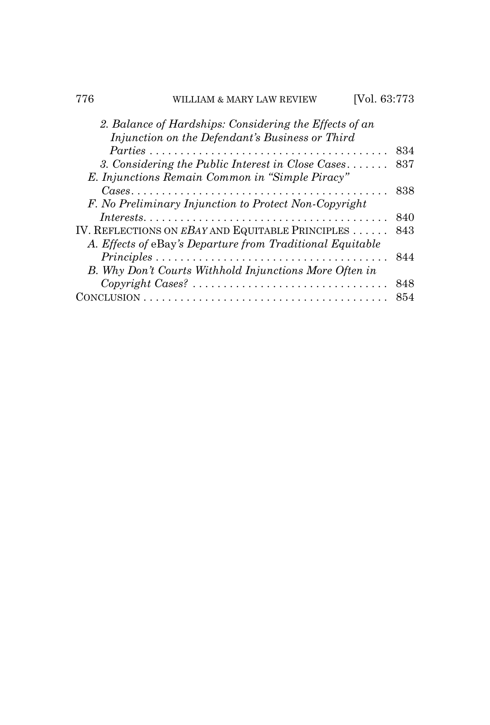| 776 | WILLIAM & MARY LAW REVIEW                                                                                 | [Vol. 63:773 |
|-----|-----------------------------------------------------------------------------------------------------------|--------------|
|     | 2. Balance of Hardships: Considering the Effects of an<br>Injunction on the Defendant's Business or Third |              |
|     |                                                                                                           | 834          |
|     | 3. Considering the Public Interest in Close Cases                                                         | 837          |
|     | E. Injunctions Remain Common in "Simple Piracy"                                                           |              |
|     |                                                                                                           | 838          |
|     | F. No Preliminary Injunction to Protect Non-Copyright                                                     |              |
|     | $\it Interests.\dots.\dots.\dots.\dots.\dots.\dots.\dots.\dots.\dots\dots\dots$                           | 840          |
|     | IV. REFLECTIONS ON EBAY AND EQUITABLE PRINCIPLES                                                          | 843          |
|     | A. Effects of eBay's Departure from Traditional Equitable                                                 |              |
|     | $Principles \ldots \ldots \ldots \ldots \ldots \ldots \ldots \ldots \ldots \ldots \ldots$                 | 844          |
|     | B. Why Don't Courts Withhold Injunctions More Often in                                                    |              |
|     | $Copyright \textit{Cases?} \dots \dots \dots \dots \dots \dots \dots \dots \dots \dots \dots$             | 848          |
|     |                                                                                                           | 854          |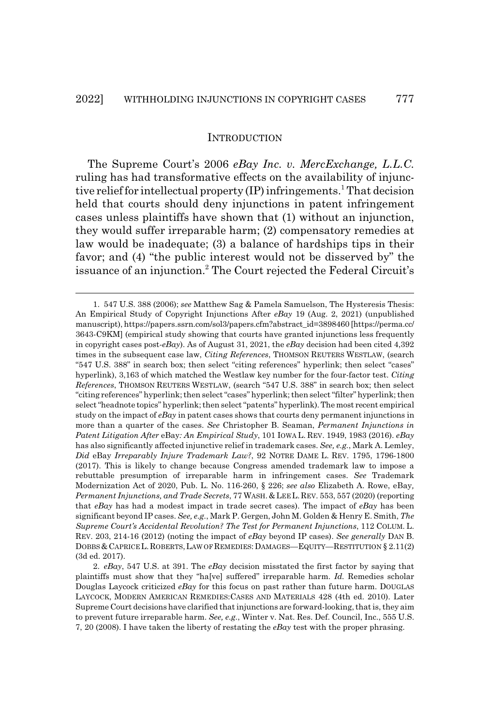#### **INTRODUCTION**

The Supreme Court's 2006 *eBay Inc. v. MercExchange, L.L.C.* ruling has had transformative effects on the availability of injunctive relief for intellectual property (IP) infringements.<sup>1</sup> That decision held that courts should deny injunctions in patent infringement cases unless plaintiffs have shown that (1) without an injunction, they would suffer irreparable harm; (2) compensatory remedies at law would be inadequate; (3) a balance of hardships tips in their favor; and (4) "the public interest would not be disserved by" the issuance of an injunction.<sup>2</sup> The Court rejected the Federal Circuit's

<sup>1. 547</sup> U.S. 388 (2006); *see* Matthew Sag & Pamela Samuelson, The Hysteresis Thesis: An Empirical Study of Copyright Injunctions After *eBay* 19 (Aug. 2, 2021) (unpublished manuscript), https://papers.ssrn.com/sol3/papers.cfm?abstract\_id=3898460 [https://perma.cc/ 3643-C9KM] (empirical study showing that courts have granted injunctions less frequently in copyright cases post-*eBay*). As of August 31, 2021, the *eBay* decision had been cited 4,392 times in the subsequent case law, *Citing References*, THOMSON REUTERS WESTLAW, (search "547 U.S. 388" in search box; then select "citing references" hyperlink; then select "cases" hyperlink), 3,163 of which matched the Westlaw key number for the four-factor test. *Citing References*, THOMSON REUTERS WESTLAW, (search "547 U.S. 388" in search box; then select "citing references" hyperlink; then select "cases" hyperlink; then select "filter" hyperlink; then select "headnote topics" hyperlink; then select "patents" hyperlink). The most recent empirical study on the impact of *eBay* in patent cases shows that courts deny permanent injunctions in more than a quarter of the cases. *See* Christopher B. Seaman, *Permanent Injunctions in Patent Litigation After* eBay*: An Empirical Study*, 101 IOWA L. REV. 1949, 1983 (2016). *eBay* has also significantly affected injunctive relief in trademark cases. *See, e.g.*, Mark A. Lemley, *Did* eBay *Irreparably Injure Trademark Law?*, 92 NOTRE DAME L. REV. 1795, 1796-1800 (2017). This is likely to change because Congress amended trademark law to impose a rebuttable presumption of irreparable harm in infringement cases. *See* Trademark Modernization Act of 2020, Pub. L. No. 116-260, § 226; *see also* Elizabeth A. Rowe, eBay*, Permanent Injunctions, and Trade Secrets*, 77 WASH.&LEE L.REV. 553, 557 (2020) (reporting that *eBay* has had a modest impact in trade secret cases). The impact of *eBay* has been significant beyond IP cases. *See, e.g.*, Mark P. Gergen, John M. Golden & Henry E. Smith, *The Supreme Court's Accidental Revolution? The Test for Permanent Injunctions*, 112 COLUM. L. REV. 203, 214-16 (2012) (noting the impact of *eBay* beyond IP cases). *See generally* DAN B. DOBBS &CAPRICE L.ROBERTS,LAW OF REMEDIES:DAMAGES—EQUITY—RESTITUTION § 2.11(2) (3d ed. 2017).

<sup>2.</sup> *eBay*, 547 U.S. at 391. The *eBay* decision misstated the first factor by saying that plaintiffs must show that they "ha[ve] suffered" irreparable harm. *Id.* Remedies scholar Douglas Laycock criticized *eBay* for this focus on past rather than future harm. DOUGLAS LAYCOCK, MODERN AMERICAN REMEDIES:CASES AND MATERIALS 428 (4th ed. 2010). Later Supreme Court decisions have clarified that injunctions are forward-looking, that is, they aim to prevent future irreparable harm. *See, e.g.*, Winter v. Nat. Res. Def. Council, Inc., 555 U.S. 7, 20 (2008). I have taken the liberty of restating the *eBay* test with the proper phrasing.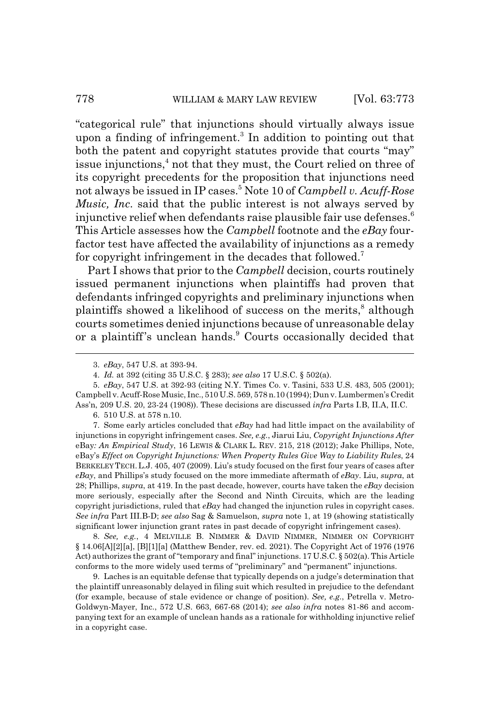"categorical rule" that injunctions should virtually always issue upon a finding of infringement.<sup>3</sup> In addition to pointing out that both the patent and copyright statutes provide that courts "may" issue injunctions,<sup>4</sup> not that they must, the Court relied on three of its copyright precedents for the proposition that injunctions need not always be issued in IP cases.5 Note 10 of *Campbell v. Acuff-Rose Music, Inc*. said that the public interest is not always served by injunctive relief when defendants raise plausible fair use defenses.<sup>6</sup> This Article assesses how the *Campbell* footnote and the *eBay* fourfactor test have affected the availability of injunctions as a remedy for copyright infringement in the decades that followed.<sup>7</sup>

Part I shows that prior to the *Campbell* decision, courts routinely issued permanent injunctions when plaintiffs had proven that defendants infringed copyrights and preliminary injunctions when plaintiffs showed a likelihood of success on the merits,<sup>8</sup> although courts sometimes denied injunctions because of unreasonable delay or a plaintiff's unclean hands.<sup>9</sup> Courts occasionally decided that

6. 510 U.S. at 578 n.10.

7. Some early articles concluded that *eBay* had had little impact on the availability of injunctions in copyright infringement cases. *See, e.g.*, Jiarui Liu, *Copyright Injunctions After* eBay*: An Empirical Study*, 16 LEWIS & CLARK L. REV. 215, 218 (2012); Jake Phillips, Note, eBay's *Effect on Copyright Injunctions: When Property Rules Give Way to Liability Rules*, 24 BERKELEY TECH. L.J. 405, 407 (2009). Liu's study focused on the first four years of cases after *eBay*, and Phillips's study focused on the more immediate aftermath of *eBay*. Liu, *supra*, at 28; Phillips, *supra*, at 419. In the past decade, however, courts have taken the *eBay* decision more seriously, especially after the Second and Ninth Circuits, which are the leading copyright jurisdictions, ruled that *eBay* had changed the injunction rules in copyright cases. *See infra* Part III.B-D; *see also* Sag & Samuelson, *supra* note 1, at 19 (showing statistically significant lower injunction grant rates in past decade of copyright infringement cases).

8. *See, e.g.*, 4 MELVILLE B. NIMMER & DAVID NIMMER, NIMMER ON COPYRIGHT § 14.06[A][2][a], [B][1][a] (Matthew Bender, rev. ed. 2021). The Copyright Act of 1976 (1976 Act) authorizes the grant of "temporary and final" injunctions. 17 U.S.C. § 502(a). This Article conforms to the more widely used terms of "preliminary" and "permanent" injunctions.

9. Laches is an equitable defense that typically depends on a judge's determination that the plaintiff unreasonably delayed in filing suit which resulted in prejudice to the defendant (for example, because of stale evidence or change of position). *See, e.g.*, Petrella v. Metro-Goldwyn-Mayer, Inc., 572 U.S. 663, 667-68 (2014); *see also infra* notes 81-86 and accompanying text for an example of unclean hands as a rationale for withholding injunctive relief in a copyright case.

<sup>3.</sup> *eBay*, 547 U.S. at 393-94.

<sup>4.</sup> *Id.* at 392 (citing 35 U.S.C. § 283); *see also* 17 U.S.C. § 502(a).

<sup>5.</sup> *eBay*, 547 U.S. at 392-93 (citing N.Y. Times Co. v. Tasini, 533 U.S. 483, 505 (2001); Campbell v. Acuff-Rose Music, Inc., 510 U.S. 569, 578 n.10 (1994); Dun v. Lumbermen's Credit Ass'n, 209 U.S. 20, 23-24 (1908)). These decisions are discussed *infra* Parts I.B, II.A, II.C.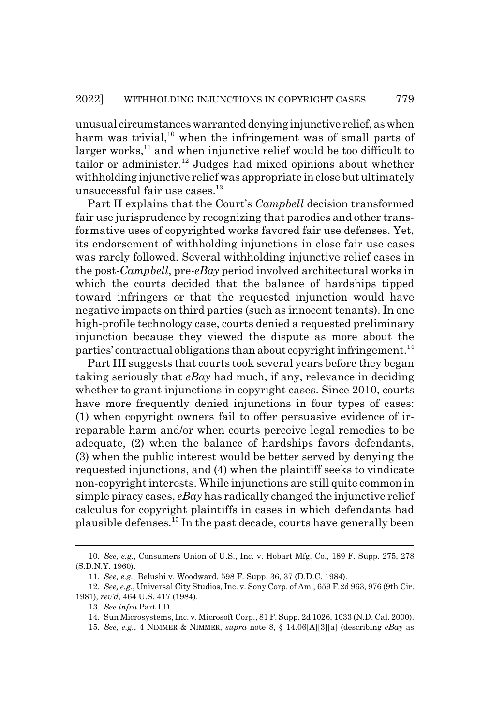unusual circumstances warranted denying injunctive relief, as when harm was trivial,<sup>10</sup> when the infringement was of small parts of larger works, $^{11}$  and when injunctive relief would be too difficult to tailor or administer.<sup>12</sup> Judges had mixed opinions about whether withholding injunctive relief was appropriate in close but ultimately unsuccessful fair use cases. $^{13}$ 

Part II explains that the Court's *Campbell* decision transformed fair use jurisprudence by recognizing that parodies and other transformative uses of copyrighted works favored fair use defenses. Yet, its endorsement of withholding injunctions in close fair use cases was rarely followed. Several withholding injunctive relief cases in the post-*Campbell*, pre-*eBay* period involved architectural works in which the courts decided that the balance of hardships tipped toward infringers or that the requested injunction would have negative impacts on third parties (such as innocent tenants). In one high-profile technology case, courts denied a requested preliminary injunction because they viewed the dispute as more about the parties' contractual obligations than about copyright infringement.<sup>14</sup>

Part III suggests that courts took several years before they began taking seriously that *eBay* had much, if any, relevance in deciding whether to grant injunctions in copyright cases. Since 2010, courts have more frequently denied injunctions in four types of cases: (1) when copyright owners fail to offer persuasive evidence of irreparable harm and/or when courts perceive legal remedies to be adequate, (2) when the balance of hardships favors defendants, (3) when the public interest would be better served by denying the requested injunctions, and (4) when the plaintiff seeks to vindicate non-copyright interests. While injunctions are still quite common in simple piracy cases, *eBay* has radically changed the injunctive relief calculus for copyright plaintiffs in cases in which defendants had plausible defenses.15 In the past decade, courts have generally been

<sup>10.</sup> *See, e.g.*, Consumers Union of U.S., Inc. v. Hobart Mfg. Co., 189 F. Supp. 275, 278 (S.D.N.Y. 1960).

<sup>11.</sup> *See, e.g.*, Belushi v. Woodward, 598 F. Supp. 36, 37 (D.D.C. 1984).

<sup>12.</sup> *See, e.g.*, Universal City Studios, Inc. v. Sony Corp. of Am., 659 F.2d 963, 976 (9th Cir. 1981), *rev'd*, 464 U.S. 417 (1984).

<sup>13.</sup> *See infra* Part I.D.

<sup>14.</sup> Sun Microsystems, Inc. v. Microsoft Corp., 81 F. Supp. 2d 1026, 1033 (N.D. Cal. 2000).

<sup>15.</sup> *See, e.g.*, 4 NIMMER & NIMMER, *supra* note 8, § 14.06[A][3][a] (describing *eBay* as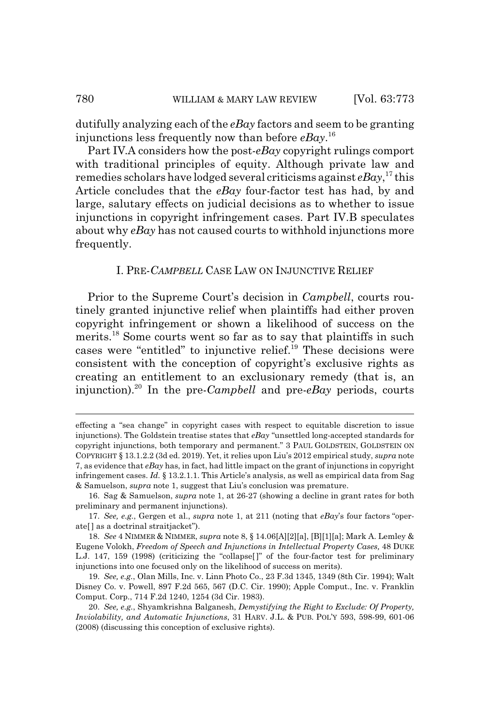dutifully analyzing each of the *eBay* factors and seem to be granting injunctions less frequently now than before *eBay*. 16

Part IV.A considers how the post-*eBay* copyright rulings comport with traditional principles of equity. Although private law and remedies scholars have lodged several criticisms against *eBay*, 17 this Article concludes that the *eBay* four-factor test has had, by and large, salutary effects on judicial decisions as to whether to issue injunctions in copyright infringement cases. Part IV.B speculates about why *eBay* has not caused courts to withhold injunctions more frequently.

#### I. PRE-*CAMPBELL* CASE LAW ON INJUNCTIVE RELIEF

Prior to the Supreme Court's decision in *Campbell*, courts routinely granted injunctive relief when plaintiffs had either proven copyright infringement or shown a likelihood of success on the merits.<sup>18</sup> Some courts went so far as to say that plaintiffs in such cases were "entitled" to injunctive relief.19 These decisions were consistent with the conception of copyright's exclusive rights as creating an entitlement to an exclusionary remedy (that is, an injunction).20 In the pre-*Campbell* and pre-*eBay* periods, courts

effecting a "sea change" in copyright cases with respect to equitable discretion to issue injunctions). The Goldstein treatise states that *eBay* "unsettled long-accepted standards for copyright injunctions, both temporary and permanent." 3 PAUL GOLDSTEIN, GOLDSTEIN ON COPYRIGHT § 13.1.2.2 (3d ed. 2019). Yet, it relies upon Liu's 2012 empirical study, *supra* note 7, as evidence that *eBay* has, in fact, had little impact on the grant of injunctions in copyright infringement cases. *Id.* § 13.2.1.1. This Article's analysis, as well as empirical data from Sag & Samuelson, *supra* note 1, suggest that Liu's conclusion was premature.

<sup>16.</sup> Sag & Samuelson, *supra* note 1, at 26-27 (showing a decline in grant rates for both preliminary and permanent injunctions).

<sup>17.</sup> *See, e.g.*, Gergen et al., *supra* note 1, at 211 (noting that *eBay*'s four factors "operate<sup>[]</sup> as a doctrinal straitjacket").

<sup>18.</sup> *See* 4 NIMMER & NIMMER, *supra* note 8, § 14.06[A][2][a], [B][1][a]; Mark A. Lemley & Eugene Volokh, *Freedom of Speech and Injunctions in Intellectual Property Cases,* 48 DUKE L.J. 147, 159 (1998) (criticizing the "collapse[ ]" of the four-factor test for preliminary injunctions into one focused only on the likelihood of success on merits).

<sup>19.</sup> *See, e.g.*, Olan Mills, Inc. v. Linn Photo Co., 23 F.3d 1345, 1349 (8th Cir. 1994); Walt Disney Co. v. Powell, 897 F.2d 565, 567 (D.C. Cir. 1990); Apple Comput., Inc. v. Franklin Comput. Corp., 714 F.2d 1240, 1254 (3d Cir. 1983).

<sup>20.</sup> *See, e.g.*, Shyamkrishna Balganesh, *Demystifying the Right to Exclude: Of Property, Inviolability, and Automatic Injunctions*, 31 HARV. J.L. & PUB. POL'Y 593, 598-99, 601-06 (2008) (discussing this conception of exclusive rights).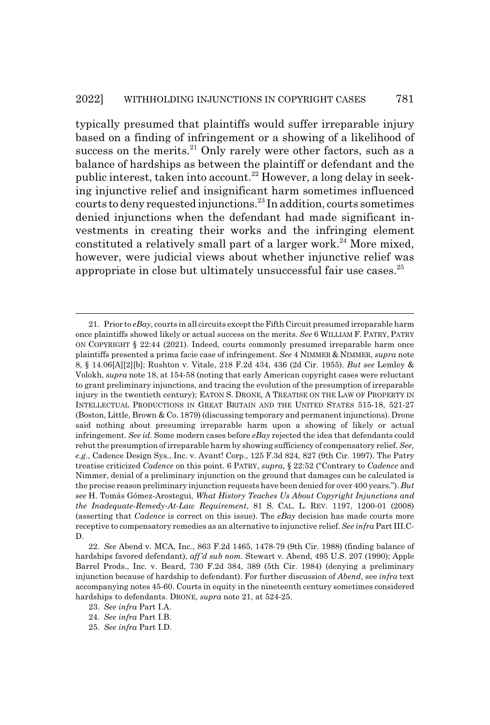typically presumed that plaintiffs would suffer irreparable injury based on a finding of infringement or a showing of a likelihood of success on the merits.<sup>21</sup> Only rarely were other factors, such as a balance of hardships as between the plaintiff or defendant and the public interest, taken into account.<sup>22</sup> However, a long delay in seeking injunctive relief and insignificant harm sometimes influenced courts to deny requested injunctions.23 In addition, courts sometimes denied injunctions when the defendant had made significant investments in creating their works and the infringing element constituted a relatively small part of a larger work.<sup>24</sup> More mixed, however, were judicial views about whether injunctive relief was appropriate in close but ultimately unsuccessful fair use cases.<sup>25</sup>

<sup>21.</sup> Prior to *eBay*, courts in all circuits except the Fifth Circuit presumed irreparable harm once plaintiffs showed likely or actual success on the merits. *See* 6 WILLIAM F. PATRY, PATRY ON COPYRIGHT § 22:44 (2021). Indeed, courts commonly presumed irreparable harm once plaintiffs presented a prima facie case of infringement. *See* 4 NIMMER & NIMMER, *supra* note 8, § 14.06[A][2][b]; Rushton v. Vitale, 218 F.2d 434, 436 (2d Cir. 1955). *But see* Lemley & Volokh, *supra* note 18, at 154-58 (noting that early American copyright cases were reluctant to grant preliminary injunctions, and tracing the evolution of the presumption of irreparable injury in the twentieth century); EATON S. DRONE, A TREATISE ON THE LAW OF PROPERTY IN INTELLECTUAL PRODUCTIONS IN GREAT BRITAIN AND THE UNITED STATES 515-18, 521-27 (Boston, Little, Brown & Co. 1879) (discussing temporary and permanent injunctions). Drone said nothing about presuming irreparable harm upon a showing of likely or actual infringement. *See id.* Some modern cases before *eBay* rejected the idea that defendants could rebut the presumption of irreparable harm by showing sufficiency of compensatory relief. *See, e.g.*, Cadence Design Sys., Inc. v. Avant! Corp., 125 F.3d 824, 827 (9th Cir. 1997). The Patry treatise criticized *Cadence* on this point. 6 PATRY, *supra*, § 22:52 ("Contrary to *Cadence* and Nimmer, denial of a preliminary injunction on the ground that damages can be calculated is the precise reason preliminary injunction requests have been denied for over 400 years."). *But see* H. Tomás Gómez-Arostegui, *What History Teaches Us About Copyright Injunctions and the Inadequate-Remedy-At-Law Requirement*, 81 S. CAL. L. REV. 1197, 1200-01 (2008) (asserting that *Cadence* is correct on this issue). The *eBay* decision has made courts more receptive to compensatory remedies as an alternative to injunctive relief. *See infra* Part III.C-D.

<sup>22.</sup> *See* Abend v. MCA, Inc., 863 F.2d 1465, 1478-79 (9th Cir. 1988) (finding balance of hardships favored defendant), *aff'd sub nom.* Stewart v. Abend, 495 U.S. 207 (1990); Apple Barrel Prods., Inc. v. Beard, 730 F.2d 384, 389 (5th Cir. 1984) (denying a preliminary injunction because of hardship to defendant). For further discussion of *Abend*, see *infra* text accompanying notes 45-60. Courts in equity in the nineteenth century sometimes considered hardships to defendants. DRONE, *supra* note 21, at 524-25.

<sup>23.</sup> *See infra* Part I.A.

<sup>24.</sup> *See infra* Part I.B.

<sup>25.</sup> *See infra* Part I.D.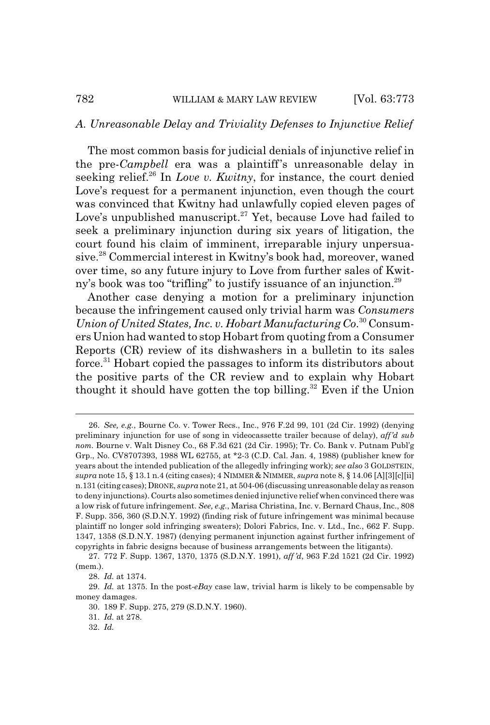#### *A. Unreasonable Delay and Triviality Defenses to Injunctive Relief*

The most common basis for judicial denials of injunctive relief in the pre-*Campbell* era was a plaintiff's unreasonable delay in seeking relief.<sup>26</sup> In *Love v. Kwitny*, for instance, the court denied Love's request for a permanent injunction, even though the court was convinced that Kwitny had unlawfully copied eleven pages of Love's unpublished manuscript.<sup>27</sup> Yet, because Love had failed to seek a preliminary injunction during six years of litigation, the court found his claim of imminent, irreparable injury unpersuasive.28 Commercial interest in Kwitny's book had, moreover, waned over time, so any future injury to Love from further sales of Kwitny's book was too "trifling" to justify issuance of an injunction.<sup>29</sup>

Another case denying a motion for a preliminary injunction because the infringement caused only trivial harm was *Consumers Union of United States, Inc. v. Hobart Manufacturing Co*. 30 Consumers Union had wanted to stop Hobart from quoting from a Consumer Reports (CR) review of its dishwashers in a bulletin to its sales force.<sup>31</sup> Hobart copied the passages to inform its distributors about the positive parts of the CR review and to explain why Hobart thought it should have gotten the top billing. $32$  Even if the Union

<sup>26.</sup> *See, e.g.*, Bourne Co. v. Tower Recs., Inc., 976 F.2d 99, 101 (2d Cir. 1992) (denying preliminary injunction for use of song in videocassette trailer because of delay), *aff'd sub nom.* Bourne v. Walt Disney Co., 68 F.3d 621 (2d Cir. 1995); Tr. Co. Bank v. Putnam Publ'g Grp., No. CV8707393, 1988 WL 62755, at \*2-3 (C.D. Cal. Jan. 4, 1988) (publisher knew for years about the intended publication of the allegedly infringing work); *see also* 3 GOLDSTEIN, *supra* note 15, § 13.1 n.4 (citing cases); 4 NIMMER & NIMMER, *supra* note 8, § 14.06 [A][3][c][ii] n.131 (citing cases); DRONE, *supra* note 21, at 504-06 (discussing unreasonable delay as reason to deny injunctions). Courts also sometimes denied injunctive relief when convinced there was a low risk of future infringement. *See, e.g.*, Marisa Christina, Inc. v. Bernard Chaus, Inc., 808 F. Supp. 356, 360 (S.D.N.Y. 1992) (finding risk of future infringement was minimal because plaintiff no longer sold infringing sweaters); Dolori Fabrics, Inc. v. Ltd., Inc., 662 F. Supp. 1347, 1358 (S.D.N.Y. 1987) (denying permanent injunction against further infringement of copyrights in fabric designs because of business arrangements between the litigants).

<sup>27. 772</sup> F. Supp. 1367, 1370, 1375 (S.D.N.Y. 1991), *aff 'd*, 963 F.2d 1521 (2d Cir. 1992) (mem.).

<sup>28.</sup> *Id.* at 1374.

<sup>29.</sup> *Id.* at 1375. In the post-*eBay* case law, trivial harm is likely to be compensable by money damages.

<sup>30. 189</sup> F. Supp. 275, 279 (S.D.N.Y. 1960).

<sup>31.</sup> *Id.* at 278.

<sup>32.</sup> *Id.*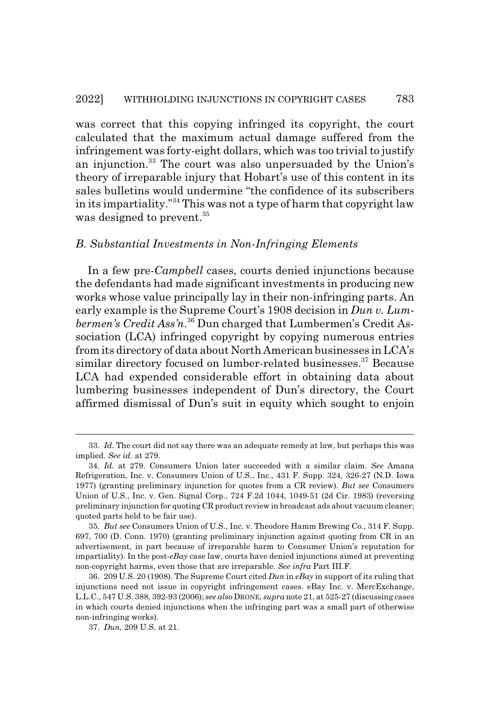was correct that this copying infringed its copyright, the court calculated that the maximum actual damage suffered from the infringement was forty-eight dollars, which was too trivial to justify an injunction.<sup>33</sup> The court was also unpersuaded by the Union's theory of irreparable injury that Hobart's use of this content in its sales bulletins would undermine "the confidence of its subscribers in its impartiality."34 This was not a type of harm that copyright law was designed to prevent.<sup>35</sup>

#### *B. Substantial Investments in Non-Infringing Elements*

In a few pre-*Campbell* cases, courts denied injunctions because the defendants had made significant investments in producing new works whose value principally lay in their non-infringing parts. An early example is the Supreme Court's 1908 decision in *Dun v. Lumbermen's Credit Ass'n*. 36 Dun charged that Lumbermen's Credit Association (LCA) infringed copyright by copying numerous entries from its directory of data about North American businesses in LCA's similar directory focused on lumber-related businesses.<sup>37</sup> Because LCA had expended considerable effort in obtaining data about lumbering businesses independent of Dun's directory, the Court affirmed dismissal of Dun's suit in equity which sought to enjoin

<sup>33.</sup> *Id.* The court did not say there was an adequate remedy at law, but perhaps this was implied. *See id.* at 279.

<sup>34.</sup> *Id.* at 279. Consumers Union later succeeded with a similar claim. *See* Amana Refrigeration, Inc. v. Consumers Union of U.S., Inc., 431 F. Supp. 324, 326-27 (N.D. Iowa 1977) (granting preliminary injunction for quotes from a CR review). *But see* Consumers Union of U.S., Inc. v. Gen. Signal Corp., 724 F.2d 1044, 1049-51 (2d Cir. 1983) (reversing preliminary injunction for quoting CR product review in broadcast ads about vacuum cleaner; quoted parts held to be fair use).

<sup>35.</sup> *But see* Consumers Union of U.S., Inc. v. Theodore Hamm Brewing Co., 314 F. Supp. 697, 700 (D. Conn. 1970) (granting preliminary injunction against quoting from CR in an advertisement, in part because of irreparable harm to Consumer Union's reputation for impartiality). In the post-*eBay* case law, courts have denied injunctions aimed at preventing non-copyright harms, even those that are irreparable. *See infra* Part III.F.

<sup>36. 209</sup> U.S. 20 (1908). The Supreme Court cited *Dun* in *eBay* in support of its ruling that injunctions need not issue in copyright infringement cases. eBay Inc. v. MercExchange, L.L.C., 547 U.S. 388, 392-93 (2006); *see also* DRONE, *supra* note 21, at 525-27 (discussing cases in which courts denied injunctions when the infringing part was a small part of otherwise non-infringing works).

<sup>37.</sup> *Dun*, 209 U.S. at 21.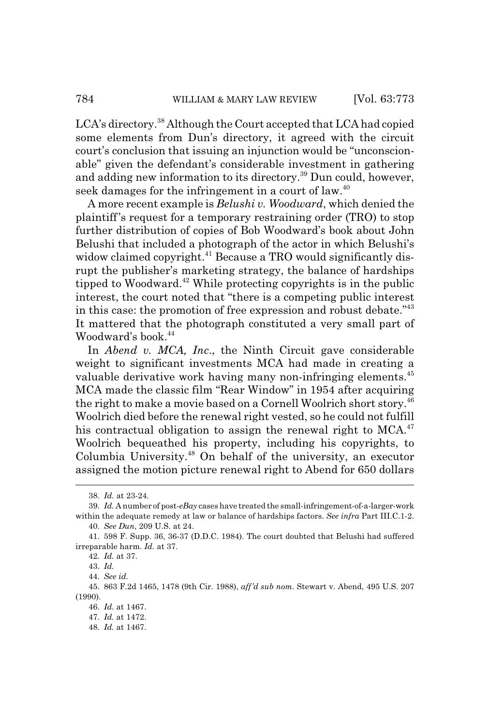LCA's directory.<sup>38</sup> Although the Court accepted that LCA had copied some elements from Dun's directory, it agreed with the circuit court's conclusion that issuing an injunction would be "unconscionable" given the defendant's considerable investment in gathering and adding new information to its directory.<sup>39</sup> Dun could, however, seek damages for the infringement in a court of law.<sup>40</sup>

A more recent example is *Belushi v. Woodward*, which denied the plaintiff's request for a temporary restraining order (TRO) to stop further distribution of copies of Bob Woodward's book about John Belushi that included a photograph of the actor in which Belushi's widow claimed copyright.<sup>41</sup> Because a TRO would significantly disrupt the publisher's marketing strategy, the balance of hardships tipped to Woodward.<sup>42</sup> While protecting copyrights is in the public interest, the court noted that "there is a competing public interest in this case: the promotion of free expression and robust debate.<sup>"43</sup> It mattered that the photograph constituted a very small part of Woodward's book.<sup>44</sup>

In *Abend v. MCA, Inc*., the Ninth Circuit gave considerable weight to significant investments MCA had made in creating a valuable derivative work having many non-infringing elements.<sup>45</sup> MCA made the classic film "Rear Window" in 1954 after acquiring the right to make a movie based on a Cornell Woolrich short story.<sup>46</sup> Woolrich died before the renewal right vested, so he could not fulfill his contractual obligation to assign the renewal right to  $MCA<sup>47</sup>$ Woolrich bequeathed his property, including his copyrights, to Columbia University.48 On behalf of the university, an executor assigned the motion picture renewal right to Abend for 650 dollars

<sup>38.</sup> *Id.* at 23-24.

<sup>39.</sup> *Id.* A number of post-*eBay* cases have treated the small-infringement-of-a-larger-work within the adequate remedy at law or balance of hardships factors. *See infra* Part III.C.1-2. 40. *See Dun*, 209 U.S. at 24.

<sup>41. 598</sup> F. Supp. 36, 36-37 (D.D.C. 1984). The court doubted that Belushi had suffered irreparable harm. *Id.* at 37.

<sup>42.</sup> *Id.* at 37.

<sup>43.</sup> *Id.*

<sup>44.</sup> *See id.*

<sup>45. 863</sup> F.2d 1465, 1478 (9th Cir. 1988), *aff'd sub nom.* Stewart v. Abend, 495 U.S. 207 (1990).

<sup>46.</sup> *Id.* at 1467.

<sup>47.</sup> *Id.* at 1472.

<sup>48.</sup> *Id.* at 1467.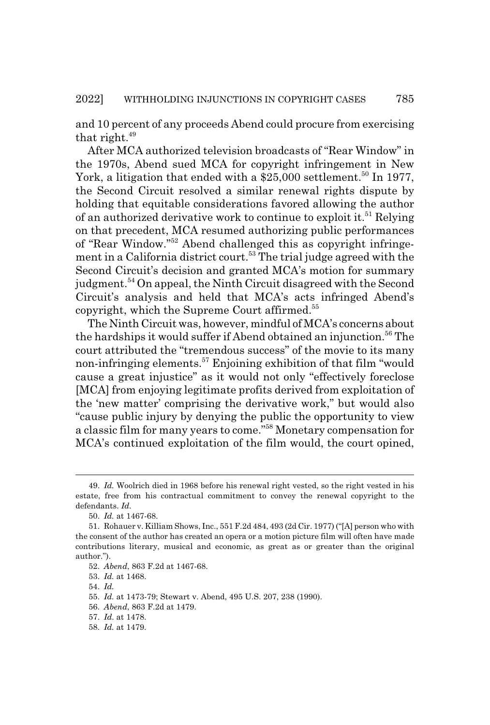and 10 percent of any proceeds Abend could procure from exercising that right. $49$ 

After MCA authorized television broadcasts of "Rear Window" in the 1970s, Abend sued MCA for copyright infringement in New York, a litigation that ended with a  $$25,000$  settlement.<sup>50</sup> In 1977, the Second Circuit resolved a similar renewal rights dispute by holding that equitable considerations favored allowing the author of an authorized derivative work to continue to exploit it.<sup>51</sup> Relying on that precedent, MCA resumed authorizing public performances of "Rear Window."52 Abend challenged this as copyright infringement in a California district court.<sup>53</sup> The trial judge agreed with the Second Circuit's decision and granted MCA's motion for summary judgment.<sup>54</sup> On appeal, the Ninth Circuit disagreed with the Second Circuit's analysis and held that MCA's acts infringed Abend's copyright, which the Supreme Court affirmed.55

The Ninth Circuit was, however, mindful of MCA's concerns about the hardships it would suffer if Abend obtained an injunction.<sup>56</sup> The court attributed the "tremendous success" of the movie to its many non-infringing elements.57 Enjoining exhibition of that film "would cause a great injustice" as it would not only "effectively foreclose [MCA] from enjoying legitimate profits derived from exploitation of the 'new matter' comprising the derivative work," but would also "cause public injury by denying the public the opportunity to view a classic film for many years to come."58 Monetary compensation for MCA's continued exploitation of the film would, the court opined,

<sup>49.</sup> *Id.* Woolrich died in 1968 before his renewal right vested, so the right vested in his estate, free from his contractual commitment to convey the renewal copyright to the defendants. *Id.*

<sup>50.</sup> *Id.* at 1467-68.

<sup>51.</sup> Rohauer v. Killiam Shows, Inc., 551 F.2d 484, 493 (2d Cir. 1977) ("[A] person who with the consent of the author has created an opera or a motion picture film will often have made contributions literary, musical and economic, as great as or greater than the original author.").

<sup>52.</sup> *Abend*, 863 F.2d at 1467-68.

<sup>53.</sup> *Id.* at 1468.

<sup>54.</sup> *Id.*

<sup>55.</sup> *Id.* at 1473-79; Stewart v. Abend, 495 U.S. 207, 238 (1990).

<sup>56.</sup> *Abend*, 863 F.2d at 1479.

<sup>57.</sup> *Id.* at 1478.

<sup>58.</sup> *Id.* at 1479.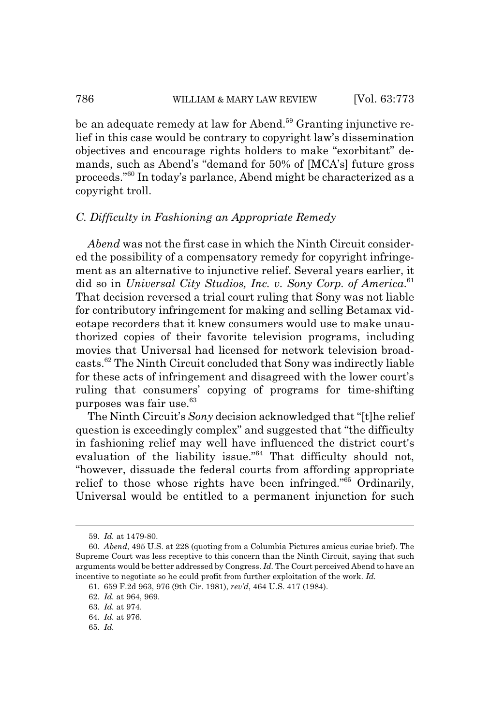be an adequate remedy at law for Abend.<sup>59</sup> Granting injunctive relief in this case would be contrary to copyright law's dissemination objectives and encourage rights holders to make "exorbitant" demands, such as Abend's "demand for 50% of [MCA's] future gross proceeds."60 In today's parlance, Abend might be characterized as a copyright troll.

# *C. Difficulty in Fashioning an Appropriate Remedy*

*Abend* was not the first case in which the Ninth Circuit considered the possibility of a compensatory remedy for copyright infringement as an alternative to injunctive relief. Several years earlier, it did so in *Universal City Studios, Inc. v. Sony Corp. of America*. 61 That decision reversed a trial court ruling that Sony was not liable for contributory infringement for making and selling Betamax videotape recorders that it knew consumers would use to make unauthorized copies of their favorite television programs, including movies that Universal had licensed for network television broadcasts.62 The Ninth Circuit concluded that Sony was indirectly liable for these acts of infringement and disagreed with the lower court's ruling that consumers' copying of programs for time-shifting purposes was fair use.63

The Ninth Circuit's *Sony* decision acknowledged that "[t]he relief question is exceedingly complex" and suggested that "the difficulty in fashioning relief may well have influenced the district court's evaluation of the liability issue."<sup>64</sup> That difficulty should not, "however, dissuade the federal courts from affording appropriate relief to those whose rights have been infringed."65 Ordinarily, Universal would be entitled to a permanent injunction for such

65. *Id.*

<sup>59.</sup> *Id.* at 1479-80.

<sup>60.</sup> *Abend*, 495 U.S. at 228 (quoting from a Columbia Pictures amicus curiae brief). The Supreme Court was less receptive to this concern than the Ninth Circuit, saying that such arguments would be better addressed by Congress. *Id.* The Court perceived Abend to have an incentive to negotiate so he could profit from further exploitation of the work. *Id.*

<sup>61. 659</sup> F.2d 963, 976 (9th Cir. 1981), *rev'd*, 464 U.S. 417 (1984).

<sup>62.</sup> *Id.* at 964, 969.

<sup>63.</sup> *Id.* at 974.

<sup>64.</sup> *Id.* at 976.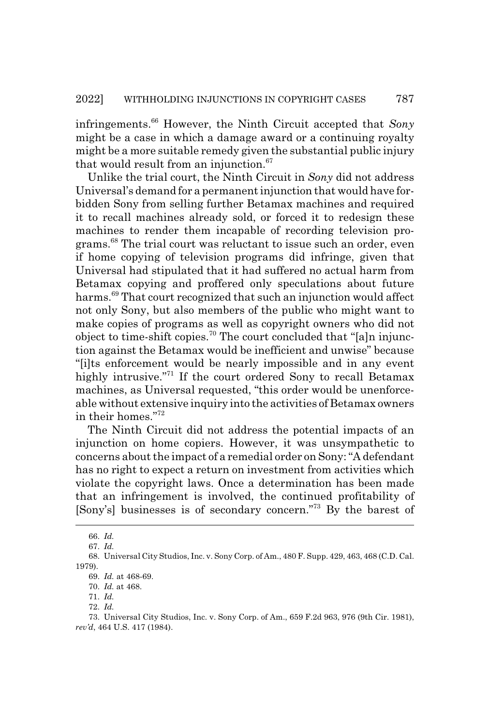infringements.66 However, the Ninth Circuit accepted that *Sony* might be a case in which a damage award or a continuing royalty might be a more suitable remedy given the substantial public injury that would result from an injunction.<sup>67</sup>

Unlike the trial court, the Ninth Circuit in *Sony* did not address Universal's demand for a permanent injunction that would have forbidden Sony from selling further Betamax machines and required it to recall machines already sold, or forced it to redesign these machines to render them incapable of recording television programs.68 The trial court was reluctant to issue such an order, even if home copying of television programs did infringe, given that Universal had stipulated that it had suffered no actual harm from Betamax copying and proffered only speculations about future harms.69 That court recognized that such an injunction would affect not only Sony, but also members of the public who might want to make copies of programs as well as copyright owners who did not object to time-shift copies.<sup>70</sup> The court concluded that "[a]n injunction against the Betamax would be inefficient and unwise" because "[i]ts enforcement would be nearly impossible and in any event highly intrusive."<sup>71</sup> If the court ordered Sony to recall Betamax machines, as Universal requested, "this order would be unenforceable without extensive inquiry into the activities of Betamax owners in their homes."72

The Ninth Circuit did not address the potential impacts of an injunction on home copiers. However, it was unsympathetic to concerns about the impact of a remedial order on Sony: "A defendant has no right to expect a return on investment from activities which violate the copyright laws. Once a determination has been made that an infringement is involved, the continued profitability of [Sony's] businesses is of secondary concern."73 By the barest of

<sup>66.</sup> *Id.*

<sup>67.</sup> *Id.*

<sup>68.</sup> Universal City Studios, Inc. v. Sony Corp. of Am., 480 F. Supp. 429, 463, 468 (C.D. Cal. 1979).

<sup>69.</sup> *Id.* at 468-69.

<sup>70.</sup> *Id.* at 468.

<sup>71.</sup> *Id.*

<sup>72.</sup> *Id.*

<sup>73.</sup> Universal City Studios, Inc. v. Sony Corp. of Am., 659 F.2d 963, 976 (9th Cir. 1981), *rev'd*, 464 U.S. 417 (1984).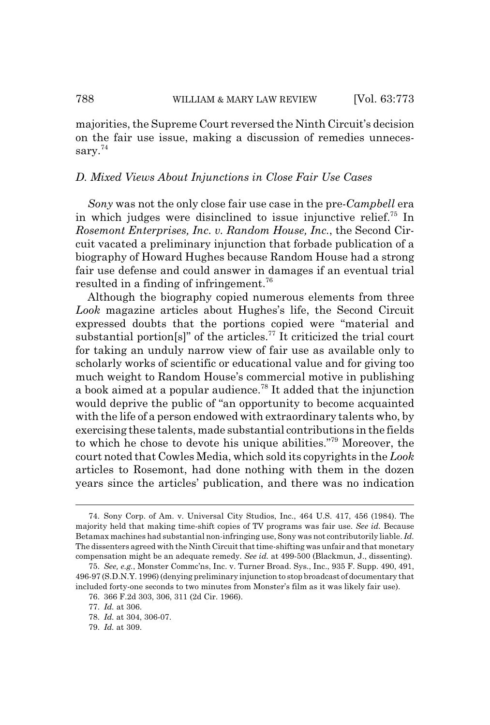majorities, the Supreme Court reversed the Ninth Circuit's decision on the fair use issue, making a discussion of remedies unnecessary.<sup>74</sup>

### *D. Mixed Views About Injunctions in Close Fair Use Cases*

*Sony* was not the only close fair use case in the pre-*Campbell* era in which judges were disinclined to issue injunctive relief.75 In *Rosemont Enterprises, Inc. v. Random House, Inc.*, the Second Circuit vacated a preliminary injunction that forbade publication of a biography of Howard Hughes because Random House had a strong fair use defense and could answer in damages if an eventual trial resulted in a finding of infringement.76

Although the biography copied numerous elements from three *Look* magazine articles about Hughes's life, the Second Circuit expressed doubts that the portions copied were "material and substantial portion[s]" of the articles.<sup>77</sup> It criticized the trial court for taking an unduly narrow view of fair use as available only to scholarly works of scientific or educational value and for giving too much weight to Random House's commercial motive in publishing a book aimed at a popular audience.<sup>78</sup> It added that the injunction would deprive the public of "an opportunity to become acquainted with the life of a person endowed with extraordinary talents who, by exercising these talents, made substantial contributions in the fields to which he chose to devote his unique abilities."79 Moreover, the court noted that Cowles Media, which sold its copyrights in the *Look* articles to Rosemont, had done nothing with them in the dozen years since the articles' publication, and there was no indication

79. *Id.* at 309.

<sup>74.</sup> Sony Corp. of Am. v. Universal City Studios, Inc., 464 U.S. 417, 456 (1984). The majority held that making time-shift copies of TV programs was fair use. *See id.* Because Betamax machines had substantial non-infringing use, Sony was not contributorily liable. *Id.* The dissenters agreed with the Ninth Circuit that time-shifting was unfair and that monetary compensation might be an adequate remedy. *See id.* at 499-500 (Blackmun, J., dissenting).

<sup>75.</sup> *See, e.g.*, Monster Commc'ns, Inc. v. Turner Broad. Sys., Inc., 935 F. Supp. 490, 491, 496-97 (S.D.N.Y. 1996) (denying preliminary injunction to stop broadcast of documentary that included forty-one seconds to two minutes from Monster's film as it was likely fair use).

<sup>76. 366</sup> F.2d 303, 306, 311 (2d Cir. 1966).

<sup>77.</sup> *Id.* at 306.

<sup>78.</sup> *Id.* at 304, 306-07.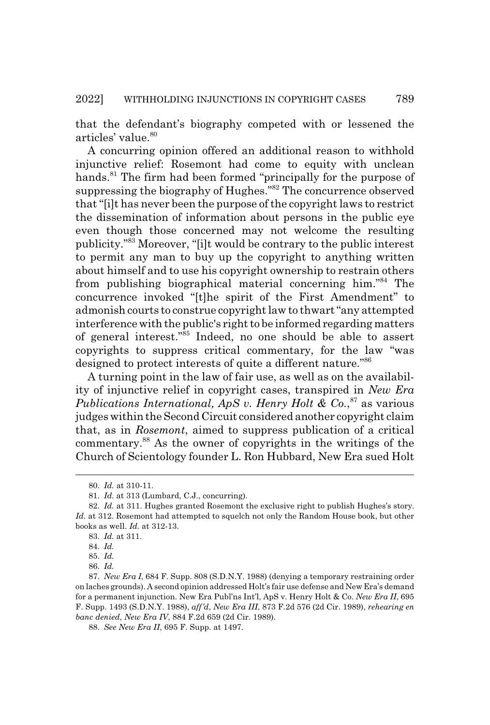that the defendant's biography competed with or lessened the articles' value.<sup>80</sup>

A concurring opinion offered an additional reason to withhold injunctive relief: Rosemont had come to equity with unclean hands.<sup>81</sup> The firm had been formed "principally for the purpose of suppressing the biography of Hughes."82 The concurrence observed that "[i]t has never been the purpose of the copyright laws to restrict the dissemination of information about persons in the public eye even though those concerned may not welcome the resulting publicity."83 Moreover, "[i]t would be contrary to the public interest to permit any man to buy up the copyright to anything written about himself and to use his copyright ownership to restrain others from publishing biographical material concerning him."84 The concurrence invoked "[t]he spirit of the First Amendment" to admonish courts to construe copyright law to thwart "any attempted interference with the public's right to be informed regarding matters of general interest."85 Indeed, no one should be able to assert copyrights to suppress critical commentary, for the law "was designed to protect interests of quite a different nature."86

A turning point in the law of fair use, as well as on the availability of injunctive relief in copyright cases, transpired in *New Era* Publications International, ApS v. Henry Holt & Co.,<sup>87</sup> as various judges within the Second Circuit considered another copyright claim that, as in *Rosemont*, aimed to suppress publication of a critical commentary.88 As the owner of copyrights in the writings of the Church of Scientology founder L. Ron Hubbard, New Era sued Holt

<sup>80.</sup> *Id.* at 310-11.

<sup>81.</sup> *Id.* at 313 (Lumbard, C.J., concurring).

<sup>82.</sup> *Id.* at 311. Hughes granted Rosemont the exclusive right to publish Hughes's story. Id. at 312. Rosemont had attempted to squelch not only the Random House book, but other books as well. *Id.* at 312-13.

<sup>83.</sup> *Id.* at 311.

<sup>84.</sup> *Id.*

<sup>85.</sup> *Id.*

<sup>86.</sup> *Id.*

<sup>87.</sup> *New Era I*, 684 F. Supp. 808 (S.D.N.Y. 1988) (denying a temporary restraining order on laches grounds). A second opinion addressed Holt's fair use defense and New Era's demand for a permanent injunction. New Era Publ'ns Int'l, ApS v. Henry Holt & Co. *New Era II*, 695 F. Supp. 1493 (S.D.N.Y. 1988), *aff'd*, *New Era III*, 873 F.2d 576 (2d Cir. 1989), *rehearing en banc denied*, *New Era IV*, 884 F.2d 659 (2d Cir. 1989).

<sup>88.</sup> *See New Era II*, 695 F. Supp. at 1497.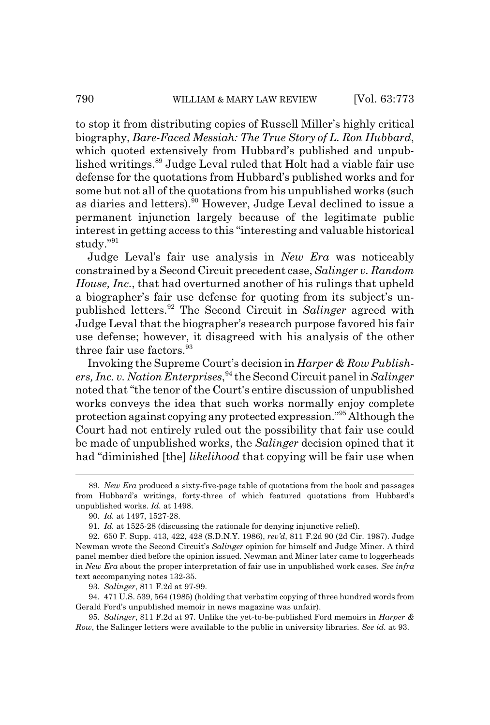to stop it from distributing copies of Russell Miller's highly critical biography, *Bare-Faced Messiah: The True Story of L. Ron Hubbard*, which quoted extensively from Hubbard's published and unpublished writings.<sup>89</sup> Judge Leval ruled that Holt had a viable fair use defense for the quotations from Hubbard's published works and for some but not all of the quotations from his unpublished works (such as diaries and letters).<sup>90</sup> However, Judge Leval declined to issue a permanent injunction largely because of the legitimate public interest in getting access to this "interesting and valuable historical study."91

Judge Leval's fair use analysis in *New Era* was noticeably constrained by a Second Circuit precedent case, *Salinger v. Random House, Inc.*, that had overturned another of his rulings that upheld a biographer's fair use defense for quoting from its subject's unpublished letters.92 The Second Circuit in *Salinger* agreed with Judge Leval that the biographer's research purpose favored his fair use defense; however, it disagreed with his analysis of the other three fair use factors.<sup>93</sup>

Invoking the Supreme Court's decision in *Harper & Row Publishers, Inc. v. Nation Enterprises*, 94 the Second Circuit panel in *Salinger* noted that "the tenor of the Court's entire discussion of unpublished works conveys the idea that such works normally enjoy complete protection against copying any protected expression."95 Although the Court had not entirely ruled out the possibility that fair use could be made of unpublished works, the *Salinger* decision opined that it had "diminished [the] *likelihood* that copying will be fair use when

93. *Salinger*, 811 F.2d at 97-99.

94. 471 U.S. 539, 564 (1985) (holding that verbatim copying of three hundred words from Gerald Ford's unpublished memoir in news magazine was unfair).

95. *Salinger*, 811 F.2d at 97. Unlike the yet-to-be-published Ford memoirs in *Harper & Row*, the Salinger letters were available to the public in university libraries. *See id.* at 93.

<sup>89.</sup> *New Era* produced a sixty-five-page table of quotations from the book and passages from Hubbard's writings, forty-three of which featured quotations from Hubbard's unpublished works. *Id.* at 1498.

<sup>90.</sup> *Id.* at 1497, 1527-28.

<sup>91.</sup> *Id.* at 1525-28 (discussing the rationale for denying injunctive relief).

<sup>92. 650</sup> F. Supp. 413, 422, 428 (S.D.N.Y. 1986), *rev'd*, 811 F.2d 90 (2d Cir. 1987). Judge Newman wrote the Second Circuit's *Salinger* opinion for himself and Judge Miner. A third panel member died before the opinion issued. Newman and Miner later came to loggerheads in *New Era* about the proper interpretation of fair use in unpublished work cases. *See infra* text accompanying notes 132-35.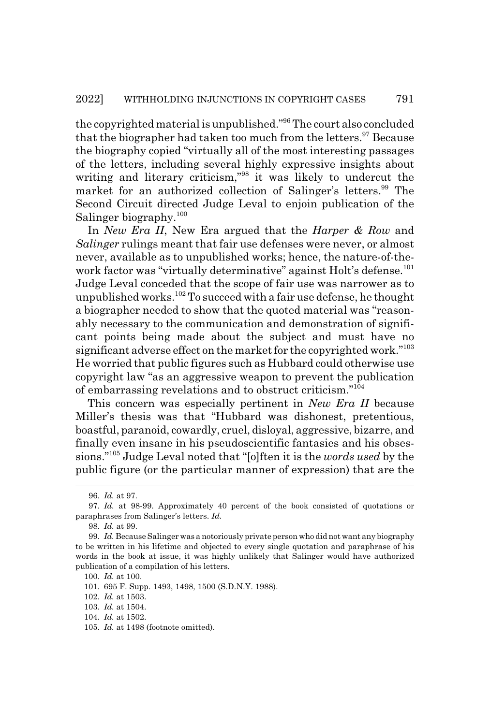the copyrighted material is unpublished."96 The court also concluded that the biographer had taken too much from the letters.<sup>97</sup> Because the biography copied "virtually all of the most interesting passages of the letters, including several highly expressive insights about writing and literary criticism,"98 it was likely to undercut the market for an authorized collection of Salinger's letters.<sup>99</sup> The Second Circuit directed Judge Leval to enjoin publication of the Salinger biography.<sup>100</sup>

In *New Era II*, New Era argued that the *Harper & Row* and *Salinger* rulings meant that fair use defenses were never, or almost never, available as to unpublished works; hence, the nature-of-thework factor was "virtually determinative" against Holt's defense.<sup>101</sup> Judge Leval conceded that the scope of fair use was narrower as to unpublished works.<sup>102</sup> To succeed with a fair use defense, he thought a biographer needed to show that the quoted material was "reasonably necessary to the communication and demonstration of significant points being made about the subject and must have no significant adverse effect on the market for the copyrighted work."<sup>103</sup> He worried that public figures such as Hubbard could otherwise use copyright law "as an aggressive weapon to prevent the publication of embarrassing revelations and to obstruct criticism."104

This concern was especially pertinent in *New Era II* because Miller's thesis was that "Hubbard was dishonest, pretentious, boastful, paranoid, cowardly, cruel, disloyal, aggressive, bizarre, and finally even insane in his pseudoscientific fantasies and his obsessions."105 Judge Leval noted that "[o]ften it is the *words used* by the public figure (or the particular manner of expression) that are the

<sup>96.</sup> *Id.* at 97.

<sup>97.</sup> *Id.* at 98-99. Approximately 40 percent of the book consisted of quotations or paraphrases from Salinger's letters. *Id.*

<sup>98.</sup> *Id.* at 99.

<sup>99.</sup> *Id.* Because Salinger was a notoriously private person who did not want any biography to be written in his lifetime and objected to every single quotation and paraphrase of his words in the book at issue, it was highly unlikely that Salinger would have authorized publication of a compilation of his letters.

<sup>100.</sup> *Id.* at 100.

<sup>101. 695</sup> F. Supp. 1493, 1498, 1500 (S.D.N.Y. 1988).

<sup>102.</sup> *Id.* at 1503.

<sup>103.</sup> *Id.* at 1504.

<sup>104.</sup> *Id.* at 1502.

<sup>105.</sup> *Id.* at 1498 (footnote omitted).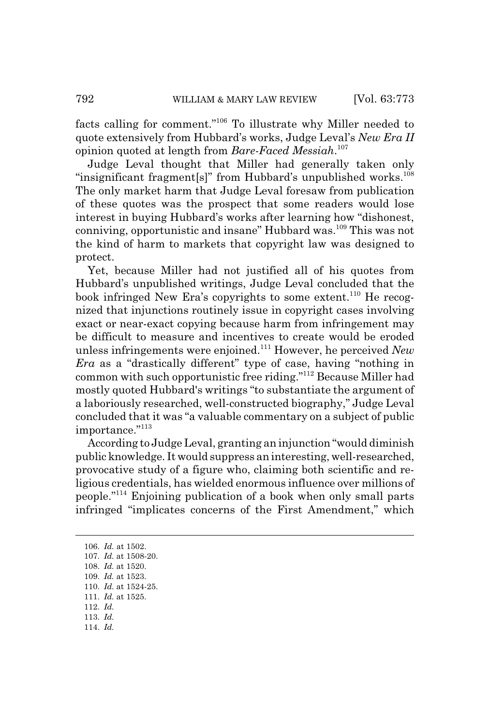facts calling for comment."106 To illustrate why Miller needed to quote extensively from Hubbard's works, Judge Leval's *New Era II* opinion quoted at length from *Bare-Faced Messiah*. 107

Judge Leval thought that Miller had generally taken only "insignificant fragment[s]" from Hubbard's unpublished works.<sup>108</sup> The only market harm that Judge Leval foresaw from publication of these quotes was the prospect that some readers would lose interest in buying Hubbard's works after learning how "dishonest, conniving, opportunistic and insane" Hubbard was.<sup>109</sup> This was not the kind of harm to markets that copyright law was designed to protect.

Yet, because Miller had not justified all of his quotes from Hubbard's unpublished writings, Judge Leval concluded that the book infringed New Era's copyrights to some extent.<sup>110</sup> He recognized that injunctions routinely issue in copyright cases involving exact or near-exact copying because harm from infringement may be difficult to measure and incentives to create would be eroded unless infringements were enjoined.111 However, he perceived *New Era* as a "drastically different" type of case, having "nothing in common with such opportunistic free riding."112 Because Miller had mostly quoted Hubbard's writings "to substantiate the argument of a laboriously researched, well-constructed biography," Judge Leval concluded that it was "a valuable commentary on a subject of public importance."<sup>113</sup>

According to Judge Leval, granting an injunction "would diminish public knowledge. It would suppress an interesting, well-researched, provocative study of a figure who, claiming both scientific and religious credentials, has wielded enormous influence over millions of people."114 Enjoining publication of a book when only small parts infringed "implicates concerns of the First Amendment," which

106. *Id.* at 1502. 107. *Id.* at 1508-20. 108. *Id.* at 1520. 109. *Id.* at 1523. 110. *Id.* at 1524-25. 111. *Id.* at 1525. 112. *Id.* 113. *Id.* 114. *Id.*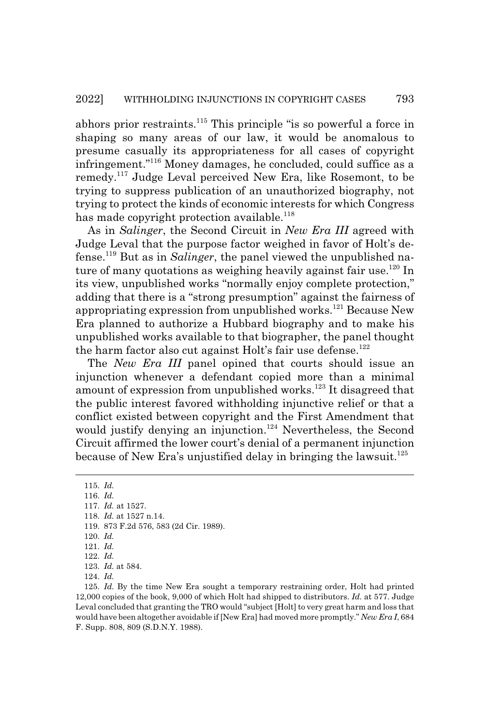abhors prior restraints.115 This principle "is so powerful a force in shaping so many areas of our law, it would be anomalous to presume casually its appropriateness for all cases of copyright infringement."116 Money damages, he concluded, could suffice as a remedy.117 Judge Leval perceived New Era, like Rosemont, to be trying to suppress publication of an unauthorized biography, not trying to protect the kinds of economic interests for which Congress has made copyright protection available.<sup>118</sup>

As in *Salinger*, the Second Circuit in *New Era III* agreed with Judge Leval that the purpose factor weighed in favor of Holt's defense.119 But as in *Salinger*, the panel viewed the unpublished nature of many quotations as weighing heavily against fair use.<sup>120</sup> In its view, unpublished works "normally enjoy complete protection," adding that there is a "strong presumption" against the fairness of appropriating expression from unpublished works.<sup>121</sup> Because New Era planned to authorize a Hubbard biography and to make his unpublished works available to that biographer, the panel thought the harm factor also cut against Holt's fair use defense.<sup>122</sup>

The *New Era III* panel opined that courts should issue an injunction whenever a defendant copied more than a minimal amount of expression from unpublished works.<sup>123</sup> It disagreed that the public interest favored withholding injunctive relief or that a conflict existed between copyright and the First Amendment that would justify denying an injunction.<sup>124</sup> Nevertheless, the Second Circuit affirmed the lower court's denial of a permanent injunction because of New Era's unjustified delay in bringing the lawsuit.<sup>125</sup>

115. *Id.* 116. *Id.* 117. *Id.* at 1527. 118. *Id.* at 1527 n.14. 119. 873 F.2d 576, 583 (2d Cir. 1989). 120. *Id.* 121. *Id.* 122. *Id.* 123. *Id.* at 584. 124. *Id.*

125. *Id.* By the time New Era sought a temporary restraining order, Holt had printed 12,000 copies of the book, 9,000 of which Holt had shipped to distributors. *Id.* at 577. Judge Leval concluded that granting the TRO would "subject [Holt] to very great harm and loss that would have been altogether avoidable if [New Era] had moved more promptly." *New Era I*, 684 F. Supp. 808, 809 (S.D.N.Y. 1988).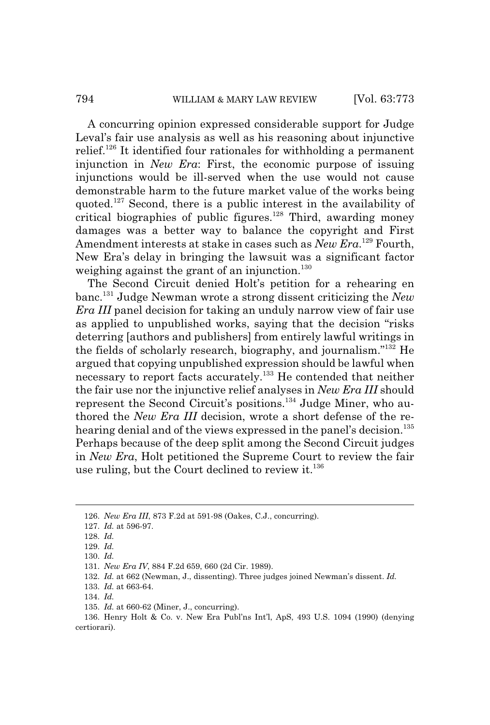A concurring opinion expressed considerable support for Judge Leval's fair use analysis as well as his reasoning about injunctive relief.126 It identified four rationales for withholding a permanent injunction in *New Era*: First, the economic purpose of issuing injunctions would be ill-served when the use would not cause demonstrable harm to the future market value of the works being quoted.127 Second, there is a public interest in the availability of critical biographies of public figures.<sup>128</sup> Third, awarding money damages was a better way to balance the copyright and First Amendment interests at stake in cases such as *New Era*.<sup>129</sup> Fourth, New Era's delay in bringing the lawsuit was a significant factor weighing against the grant of an injunction.<sup>130</sup>

The Second Circuit denied Holt's petition for a rehearing en banc.131 Judge Newman wrote a strong dissent criticizing the *New Era III* panel decision for taking an unduly narrow view of fair use as applied to unpublished works, saying that the decision "risks deterring [authors and publishers] from entirely lawful writings in the fields of scholarly research, biography, and journalism."132 He argued that copying unpublished expression should be lawful when necessary to report facts accurately.<sup>133</sup> He contended that neither the fair use nor the injunctive relief analyses in *New Era III* should represent the Second Circuit's positions.134 Judge Miner, who authored the *New Era III* decision, wrote a short defense of the rehearing denial and of the views expressed in the panel's decision.<sup>135</sup> Perhaps because of the deep split among the Second Circuit judges in *New Era*, Holt petitioned the Supreme Court to review the fair use ruling, but the Court declined to review it. $136$ 

133. *Id.* at 663-64.

<sup>126.</sup> *New Era III*, 873 F.2d at 591-98 (Oakes, C.J., concurring).

<sup>127.</sup> *Id.* at 596-97.

<sup>128.</sup> *Id.*

<sup>129.</sup> *Id.*

<sup>130.</sup> *Id.*

<sup>131.</sup> *New Era IV*, 884 F.2d 659, 660 (2d Cir. 1989).

<sup>132.</sup> *Id.* at 662 (Newman, J., dissenting). Three judges joined Newman's dissent. *Id.*

<sup>134.</sup> *Id.*

<sup>135.</sup> *Id.* at 660-62 (Miner, J., concurring).

<sup>136.</sup> Henry Holt & Co. v. New Era Publ'ns Int'l, ApS, 493 U.S. 1094 (1990) (denying certiorari).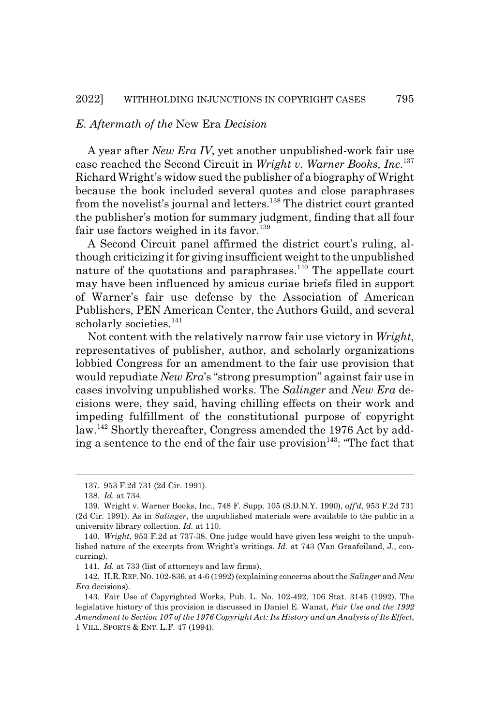#### *E. Aftermath of the* New Era *Decision*

A year after *New Era IV*, yet another unpublished-work fair use case reached the Second Circuit in *Wright v. Warner Books, Inc*. 137 Richard Wright's widow sued the publisher of a biography of Wright because the book included several quotes and close paraphrases from the novelist's journal and letters.<sup>138</sup> The district court granted the publisher's motion for summary judgment, finding that all four fair use factors weighed in its favor.<sup>139</sup>

A Second Circuit panel affirmed the district court's ruling, although criticizing it for giving insufficient weight to the unpublished nature of the quotations and paraphrases.<sup>140</sup> The appellate court may have been influenced by amicus curiae briefs filed in support of Warner's fair use defense by the Association of American Publishers, PEN American Center, the Authors Guild, and several scholarly societies.<sup>141</sup>

Not content with the relatively narrow fair use victory in *Wright*, representatives of publisher, author, and scholarly organizations lobbied Congress for an amendment to the fair use provision that would repudiate *New Era*'s "strong presumption" against fair use in cases involving unpublished works. The *Salinger* and *New Era* decisions were, they said, having chilling effects on their work and impeding fulfillment of the constitutional purpose of copyright law.142 Shortly thereafter, Congress amended the 1976 Act by adding a sentence to the end of the fair use provision  $143$ : "The fact that

<sup>137. 953</sup> F.2d 731 (2d Cir. 1991).

<sup>138.</sup> *Id.* at 734.

<sup>139.</sup> Wright v. Warner Books, Inc., 748 F. Supp. 105 (S.D.N.Y. 1990), *aff'd*, 953 F.2d 731 (2d Cir. 1991). As in *Salinger*, the unpublished materials were available to the public in a university library collection. *Id.* at 110.

<sup>140.</sup> *Wright*, 953 F.2d at 737-38. One judge would have given less weight to the unpublished nature of the excerpts from Wright's writings. *Id.* at 743 (Van Graafeiland, J., concurring).

<sup>141.</sup> *Id.* at 733 (list of attorneys and law firms).

<sup>142.</sup> H.R.REP.NO. 102-836, at 4-6 (1992) (explaining concerns about the *Salinger* and *New Era* decisions).

<sup>143.</sup> Fair Use of Copyrighted Works, Pub. L. No. 102-492, 106 Stat. 3145 (1992). The legislative history of this provision is discussed in Daniel E. Wanat, *Fair Use and the 1992 Amendment to Section 107 of the 1976 Copyright Act: Its History and an Analysis of Its Effect*, 1 VILL. SPORTS & ENT. L.F. 47 (1994).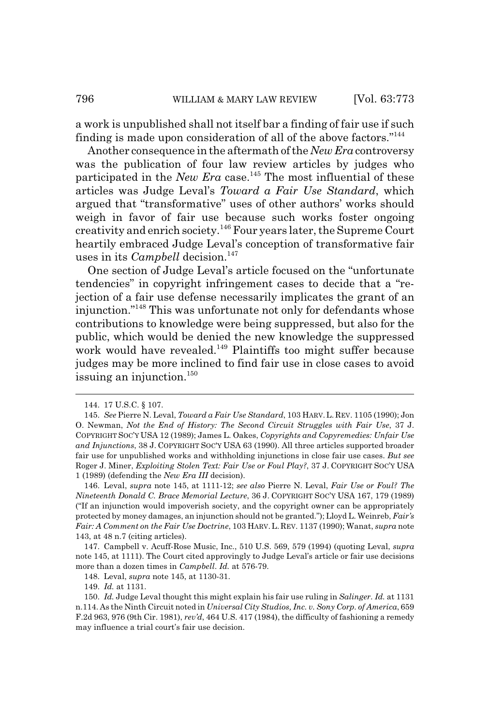a work is unpublished shall not itself bar a finding of fair use if such finding is made upon consideration of all of the above factors."<sup>144</sup>

Another consequence in the aftermath of the *New Era* controversy was the publication of four law review articles by judges who participated in the *New Era* case.<sup>145</sup> The most influential of these articles was Judge Leval's *Toward a Fair Use Standard*, which argued that "transformative" uses of other authors' works should weigh in favor of fair use because such works foster ongoing creativity and enrich society.146 Four years later, the Supreme Court heartily embraced Judge Leval's conception of transformative fair uses in its *Campbell* decision.<sup>147</sup>

One section of Judge Leval's article focused on the "unfortunate tendencies" in copyright infringement cases to decide that a "rejection of a fair use defense necessarily implicates the grant of an injunction."148 This was unfortunate not only for defendants whose contributions to knowledge were being suppressed, but also for the public, which would be denied the new knowledge the suppressed work would have revealed.<sup>149</sup> Plaintiffs too might suffer because judges may be more inclined to find fair use in close cases to avoid issuing an injunction. $150$ 

149. *Id.* at 1131.

<sup>144. 17</sup> U.S.C. § 107.

<sup>145.</sup> *See* Pierre N. Leval, *Toward a Fair Use Standard*, 103 HARV. L. REV. 1105 (1990); Jon O. Newman, *Not the End of History: The Second Circuit Struggles with Fair Use*, 37 J. COPYRIGHT SOC'Y USA 12 (1989); James L. Oakes, *Copyrights and Copyremedies: Unfair Use and Injunctions*, 38 J. COPYRIGHT SOC'Y USA 63 (1990). All three articles supported broader fair use for unpublished works and withholding injunctions in close fair use cases. *But see* Roger J. Miner, *Exploiting Stolen Text: Fair Use or Foul Play?*, 37 J. COPYRIGHT SOC'Y USA 1 (1989) (defending the *New Era III* decision).

<sup>146.</sup> Leval, *supra* note 145, at 1111-12; *see also* Pierre N. Leval, *Fair Use or Foul? The Nineteenth Donald C. Brace Memorial Lecture*, 36 J. COPYRIGHT SOC'Y USA 167, 179 (1989) ("If an injunction would impoverish society, and the copyright owner can be appropriately protected by money damages, an injunction should not be granted."); Lloyd L. Weinreb, *Fair's Fair: A Comment on the Fair Use Doctrine*, 103 HARV. L. REV. 1137 (1990); Wanat, *supra* note 143, at 48 n.7 (citing articles).

<sup>147.</sup> Campbell v. Acuff-Rose Music, Inc., 510 U.S. 569, 579 (1994) (quoting Leval, *supra* note 145, at 1111). The Court cited approvingly to Judge Leval's article or fair use decisions more than a dozen times in *Campbell*. *Id.* at 576-79.

<sup>148.</sup> Leval, *supra* note 145, at 1130-31.

<sup>150.</sup> *Id.* Judge Leval thought this might explain his fair use ruling in *Salinger*. *Id.* at 1131 n.114. As the Ninth Circuit noted in *Universal City Studios, Inc. v. Sony Corp. of America*, 659 F.2d 963, 976 (9th Cir. 1981), *rev'd*, 464 U.S. 417 (1984), the difficulty of fashioning a remedy may influence a trial court's fair use decision.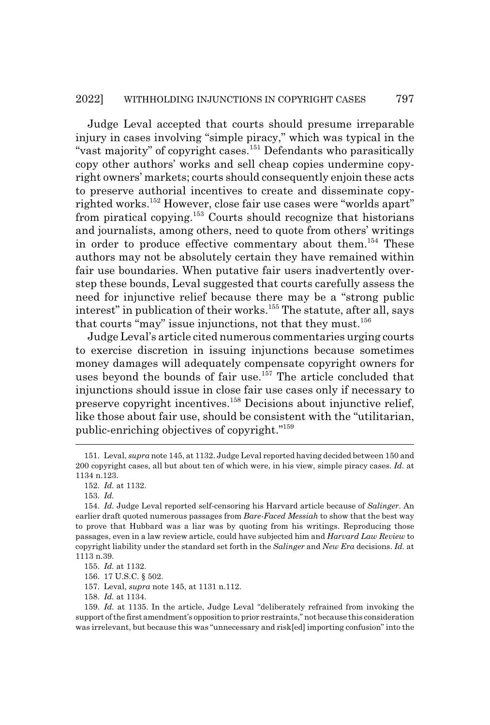Judge Leval accepted that courts should presume irreparable injury in cases involving "simple piracy," which was typical in the "vast majority" of copyright cases.<sup>151</sup> Defendants who parasitically copy other authors' works and sell cheap copies undermine copyright owners' markets; courts should consequently enjoin these acts to preserve authorial incentives to create and disseminate copyrighted works.<sup>152</sup> However, close fair use cases were "worlds apart" from piratical copying.153 Courts should recognize that historians and journalists, among others, need to quote from others' writings in order to produce effective commentary about them.<sup>154</sup> These authors may not be absolutely certain they have remained within fair use boundaries. When putative fair users inadvertently overstep these bounds, Leval suggested that courts carefully assess the need for injunctive relief because there may be a "strong public interest" in publication of their works.<sup>155</sup> The statute, after all, says that courts "may" issue injunctions, not that they must.<sup>156</sup>

Judge Leval's article cited numerous commentaries urging courts to exercise discretion in issuing injunctions because sometimes money damages will adequately compensate copyright owners for uses beyond the bounds of fair use.<sup>157</sup> The article concluded that injunctions should issue in close fair use cases only if necessary to preserve copyright incentives.158 Decisions about injunctive relief, like those about fair use, should be consistent with the "utilitarian, public-enriching objectives of copyright."159

158. *Id.* at 1134.

<sup>151.</sup> Leval, *supra* note 145, at 1132. Judge Leval reported having decided between 150 and 200 copyright cases, all but about ten of which were, in his view, simple piracy cases. *Id.* at 1134 n.123.

<sup>152.</sup> *Id.* at 1132.

<sup>153.</sup> *Id.*

<sup>154.</sup> *Id.* Judge Leval reported self-censoring his Harvard article because of *Salinger*. An earlier draft quoted numerous passages from *Bare-Faced Messiah* to show that the best way to prove that Hubbard was a liar was by quoting from his writings. Reproducing those passages, even in a law review article, could have subjected him and *Harvard Law Review* to copyright liability under the standard set forth in the *Salinger* and *New Era* decisions. *Id.* at 1113 n.39.

<sup>155.</sup> *Id.* at 1132.

<sup>156. 17</sup> U.S.C. § 502.

<sup>157.</sup> Leval, *supra* note 145, at 1131 n.112.

<sup>159.</sup> *Id.* at 1135. In the article, Judge Leval "deliberately refrained from invoking the support of the first amendment's opposition to prior restraints," not because this consideration was irrelevant, but because this was "unnecessary and risk[ed] importing confusion" into the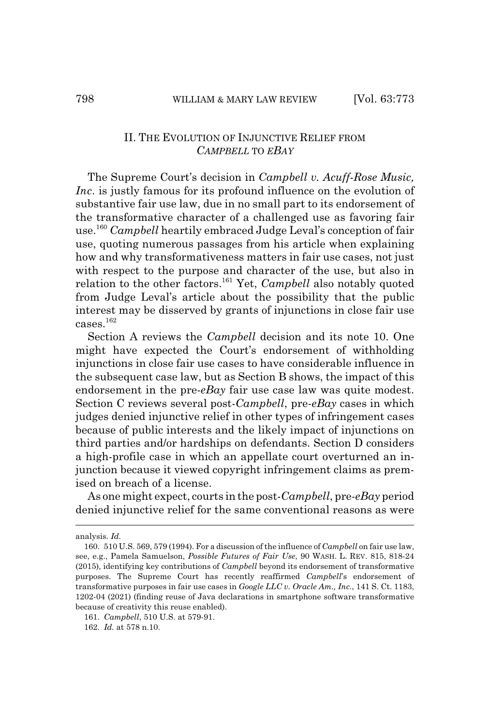### II. THE EVOLUTION OF INJUNCTIVE RELIEF FROM *CAMPBELL* TO *EBAY*

The Supreme Court's decision in *Campbell v. Acuff-Rose Music, Inc*. is justly famous for its profound influence on the evolution of substantive fair use law, due in no small part to its endorsement of the transformative character of a challenged use as favoring fair use.160 *Campbell* heartily embraced Judge Leval's conception of fair use, quoting numerous passages from his article when explaining how and why transformativeness matters in fair use cases, not just with respect to the purpose and character of the use, but also in relation to the other factors.161 Yet, *Campbell* also notably quoted from Judge Leval's article about the possibility that the public interest may be disserved by grants of injunctions in close fair use  $c$ ases. $162$ 

Section A reviews the *Campbell* decision and its note 10. One might have expected the Court's endorsement of withholding injunctions in close fair use cases to have considerable influence in the subsequent case law, but as Section B shows, the impact of this endorsement in the pre-*eBay* fair use case law was quite modest. Section C reviews several post-*Campbell*, pre-*eBay* cases in which judges denied injunctive relief in other types of infringement cases because of public interests and the likely impact of injunctions on third parties and/or hardships on defendants. Section D considers a high-profile case in which an appellate court overturned an injunction because it viewed copyright infringement claims as premised on breach of a license.

As one might expect, courts in the post-*Campbell*, pre-*eBay* period denied injunctive relief for the same conventional reasons as were

161. *Campbell*, 510 U.S. at 579-91.

analysis. *Id.*

<sup>160. 510</sup> U.S. 569, 579 (1994). For a discussion of the influence of *Campbell* on fair use law, see, e.g., Pamela Samuelson, *Possible Futures of Fair Use*, 90 WASH. L. REV. 815, 818-24 (2015), identifying key contributions of *Campbell* beyond its endorsement of transformative purposes. The Supreme Court has recently reaffirmed *Campbell*'s endorsement of transformative purposes in fair use cases in *Google LLC v. Oracle Am., Inc.*, 141 S. Ct. 1183, 1202-04 (2021) (finding reuse of Java declarations in smartphone software transformative because of creativity this reuse enabled).

<sup>162.</sup> *Id.* at 578 n.10.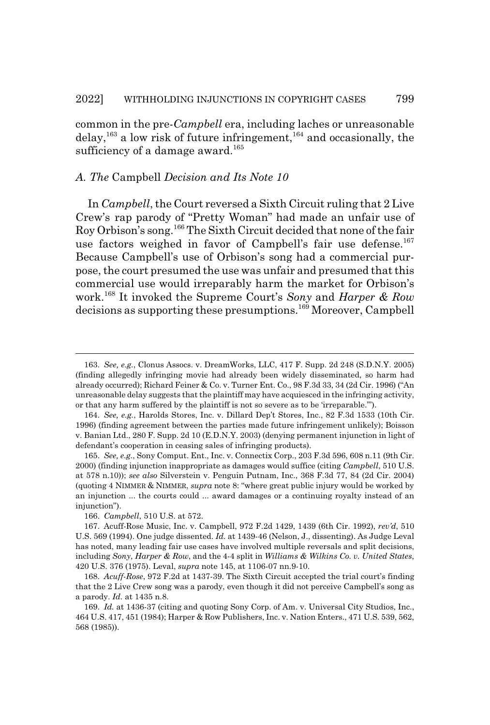common in the pre-*Campbell* era, including laches or unreasonable delay,<sup>163</sup> a low risk of future infringement,<sup>164</sup> and occasionally, the sufficiency of a damage award.<sup>165</sup>

#### *A. The* Campbell *Decision and Its Note 10*

In *Campbell*, the Court reversed a Sixth Circuit ruling that 2 Live Crew's rap parody of "Pretty Woman" had made an unfair use of Roy Orbison's song.166 The Sixth Circuit decided that none of the fair use factors weighed in favor of Campbell's fair use defense.<sup>167</sup> Because Campbell's use of Orbison's song had a commercial purpose, the court presumed the use was unfair and presumed that this commercial use would irreparably harm the market for Orbison's work.168 It invoked the Supreme Court's *Sony* and *Harper & Row* decisions as supporting these presumptions.<sup>169</sup> Moreover, Campbell

<sup>163.</sup> *See, e.g.*, Clonus Assocs. v. DreamWorks, LLC, 417 F. Supp. 2d 248 (S.D.N.Y. 2005) (finding allegedly infringing movie had already been widely disseminated, so harm had already occurred); Richard Feiner & Co. v. Turner Ent. Co., 98 F.3d 33, 34 (2d Cir. 1996) ("An unreasonable delay suggests that the plaintiff may have acquiesced in the infringing activity, or that any harm suffered by the plaintiff is not so severe as to be 'irreparable.'").

<sup>164.</sup> *See, e.g.*, Harolds Stores, Inc. v. Dillard Dep't Stores, Inc., 82 F.3d 1533 (10th Cir. 1996) (finding agreement between the parties made future infringement unlikely); Boisson v. Banian Ltd., 280 F. Supp. 2d 10 (E.D.N.Y. 2003) (denying permanent injunction in light of defendant's cooperation in ceasing sales of infringing products).

<sup>165.</sup> *See, e.g.*, Sony Comput. Ent., Inc. v. Connectix Corp., 203 F.3d 596, 608 n.11 (9th Cir. 2000) (finding injunction inappropriate as damages would suffice (citing *Campbell*, 510 U.S. at 578 n.10)); *see also* Silverstein v. Penguin Putnam, Inc., 368 F.3d 77, 84 (2d Cir. 2004) (quoting 4 NIMMER & NIMMER, *supra* note 8: "where great public injury would be worked by an injunction ... the courts could ... award damages or a continuing royalty instead of an injunction").

<sup>166.</sup> *Campbell*, 510 U.S. at 572.

<sup>167.</sup> Acuff-Rose Music, Inc. v. Campbell, 972 F.2d 1429, 1439 (6th Cir. 1992), *rev'd*, 510 U.S. 569 (1994). One judge dissented. *Id.* at 1439-46 (Nelson, J., dissenting). As Judge Leval has noted, many leading fair use cases have involved multiple reversals and split decisions, including *Sony*, *Harper & Row*, and the 4-4 split in *Williams & Wilkins Co. v. United States*, 420 U.S. 376 (1975). Leval, *supra* note 145, at 1106-07 nn.9-10.

<sup>168.</sup> *Acuff-Rose*, 972 F.2d at 1437-39. The Sixth Circuit accepted the trial court's finding that the 2 Live Crew song was a parody, even though it did not perceive Campbell's song as a parody. *Id.* at 1435 n.8.

<sup>169.</sup> *Id.* at 1436-37 (citing and quoting Sony Corp. of Am. v. Universal City Studios, Inc., 464 U.S. 417, 451 (1984); Harper & Row Publishers, Inc. v. Nation Enters., 471 U.S. 539, 562, 568 (1985)).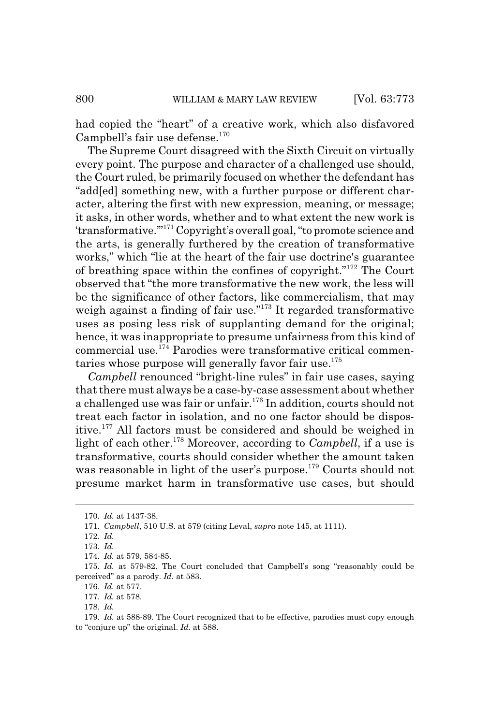had copied the "heart" of a creative work, which also disfavored Campbell's fair use defense. $170$ 

The Supreme Court disagreed with the Sixth Circuit on virtually every point. The purpose and character of a challenged use should, the Court ruled, be primarily focused on whether the defendant has "add[ed] something new, with a further purpose or different character, altering the first with new expression, meaning, or message; it asks, in other words, whether and to what extent the new work is 'transformative.'"171 Copyright's overall goal, "to promote science and the arts, is generally furthered by the creation of transformative works," which "lie at the heart of the fair use doctrine's guarantee of breathing space within the confines of copyright."172 The Court observed that "the more transformative the new work, the less will be the significance of other factors, like commercialism, that may weigh against a finding of fair use.<sup> $173$ </sup> It regarded transformative uses as posing less risk of supplanting demand for the original; hence, it was inappropriate to presume unfairness from this kind of commercial use.174 Parodies were transformative critical commentaries whose purpose will generally favor fair use. $175$ 

*Campbell* renounced "bright-line rules" in fair use cases, saying that there must always be a case-by-case assessment about whether a challenged use was fair or unfair.<sup>176</sup> In addition, courts should not treat each factor in isolation, and no one factor should be dispositive.177 All factors must be considered and should be weighed in light of each other.<sup>178</sup> Moreover, according to *Campbell*, if a use is transformative, courts should consider whether the amount taken was reasonable in light of the user's purpose.<sup>179</sup> Courts should not presume market harm in transformative use cases, but should

<sup>170.</sup> *Id.* at 1437-38.

<sup>171.</sup> *Campbell*, 510 U.S. at 579 (citing Leval, *supra* note 145, at 1111).

<sup>172.</sup> *Id.*

<sup>173.</sup> *Id.*

<sup>174.</sup> *Id.* at 579, 584-85.

<sup>175.</sup> *Id.* at 579-82. The Court concluded that Campbell's song "reasonably could be perceived" as a parody. *Id.* at 583.

<sup>176.</sup> *Id.* at 577.

<sup>177.</sup> *Id.* at 578.

<sup>178.</sup> *Id.*

<sup>179.</sup> *Id.* at 588-89. The Court recognized that to be effective, parodies must copy enough to "conjure up" the original. *Id.* at 588.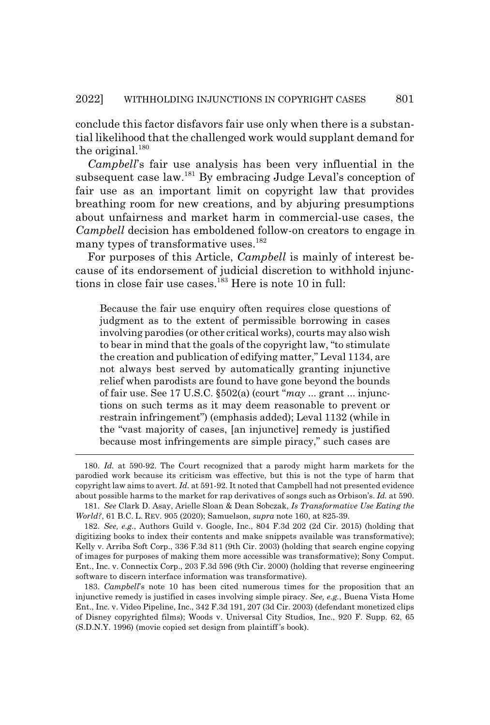conclude this factor disfavors fair use only when there is a substantial likelihood that the challenged work would supplant demand for the original.<sup>180</sup>

*Campbell*'s fair use analysis has been very influential in the subsequent case law.<sup>181</sup> By embracing Judge Leval's conception of fair use as an important limit on copyright law that provides breathing room for new creations, and by abjuring presumptions about unfairness and market harm in commercial-use cases, the *Campbell* decision has emboldened follow-on creators to engage in many types of transformative uses.<sup>182</sup>

For purposes of this Article, *Campbell* is mainly of interest because of its endorsement of judicial discretion to withhold injunctions in close fair use cases.<sup>183</sup> Here is note 10 in full:

Because the fair use enquiry often requires close questions of judgment as to the extent of permissible borrowing in cases involving parodies (or other critical works), courts may also wish to bear in mind that the goals of the copyright law, "to stimulate the creation and publication of edifying matter," Leval 1134, are not always best served by automatically granting injunctive relief when parodists are found to have gone beyond the bounds of fair use. See 17 U.S.C. §502(a) (court "*may* ... grant ... injunctions on such terms as it may deem reasonable to prevent or restrain infringement") (emphasis added); Leval 1132 (while in the "vast majority of cases, [an injunctive] remedy is justified because most infringements are simple piracy," such cases are

<sup>180.</sup> *Id.* at 590-92. The Court recognized that a parody might harm markets for the parodied work because its criticism was effective, but this is not the type of harm that copyright law aims to avert. *Id.* at 591-92. It noted that Campbell had not presented evidence about possible harms to the market for rap derivatives of songs such as Orbison's. *Id.* at 590.

<sup>181.</sup> *See* Clark D. Asay, Arielle Sloan & Dean Sobczak, *Is Transformative Use Eating the World?*, 61 B.C. L. REV. 905 (2020); Samuelson, *supra* note 160, at 825-39.

<sup>182.</sup> *See, e.g.*, Authors Guild v. Google, Inc., 804 F.3d 202 (2d Cir. 2015) (holding that digitizing books to index their contents and make snippets available was transformative); Kelly v. Arriba Soft Corp., 336 F.3d 811 (9th Cir. 2003) (holding that search engine copying of images for purposes of making them more accessible was transformative); Sony Comput. Ent., Inc. v. Connectix Corp., 203 F.3d 596 (9th Cir. 2000) (holding that reverse engineering software to discern interface information was transformative).

<sup>183.</sup> *Campbell*'s note 10 has been cited numerous times for the proposition that an injunctive remedy is justified in cases involving simple piracy. *See, e.g.*, Buena Vista Home Ent., Inc. v. Video Pipeline, Inc., 342 F.3d 191, 207 (3d Cir. 2003) (defendant monetized clips of Disney copyrighted films); Woods v. Universal City Studios, Inc., 920 F. Supp. 62, 65 (S.D.N.Y. 1996) (movie copied set design from plaintiff 's book).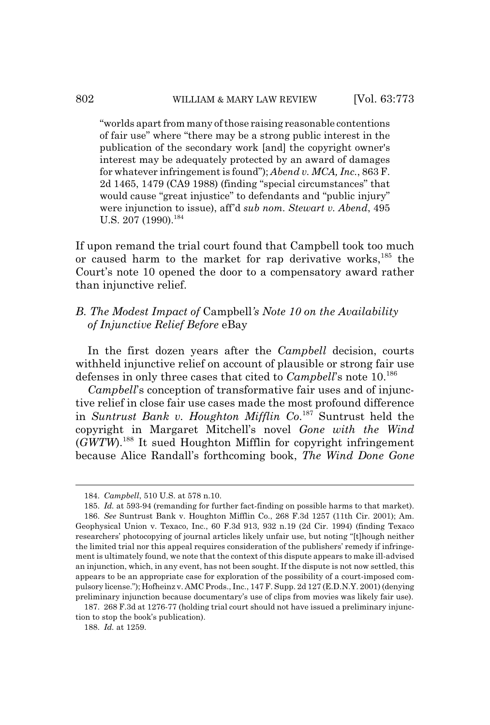"worlds apart from many of those raising reasonable contentions of fair use" where "there may be a strong public interest in the publication of the secondary work [and] the copyright owner's interest may be adequately protected by an award of damages for whatever infringement is found"); *Abend v. MCA, Inc.*, 863 F. 2d 1465, 1479 (CA9 1988) (finding "special circumstances" that would cause "great injustice" to defendants and "public injury" were injunction to issue), aff'd *sub nom. Stewart v. Abend*, 495 U.S. 207 (1990).<sup>184</sup>

If upon remand the trial court found that Campbell took too much or caused harm to the market for rap derivative works,  $185$  the Court's note 10 opened the door to a compensatory award rather than injunctive relief.

# *B. The Modest Impact of* Campbell*'s Note 10 on the Availability of Injunctive Relief Before* eBay

In the first dozen years after the *Campbell* decision, courts withheld injunctive relief on account of plausible or strong fair use defenses in only three cases that cited to *Campbell*'s note 10.186

*Campbell*'s conception of transformative fair uses and of injunctive relief in close fair use cases made the most profound difference in *Suntrust Bank v. Houghton Mifflin Co*. 187 Suntrust held the copyright in Margaret Mitchell's novel *Gone with the Wind* (*GWTW*).188 It sued Houghton Mifflin for copyright infringement because Alice Randall's forthcoming book, *The Wind Done Gone*

<sup>184.</sup> *Campbell*, 510 U.S. at 578 n.10.

<sup>185.</sup> *Id.* at 593-94 (remanding for further fact-finding on possible harms to that market). 186. *See* Suntrust Bank v. Houghton Mifflin Co., 268 F.3d 1257 (11th Cir. 2001); Am. Geophysical Union v. Texaco, Inc., 60 F.3d 913, 932 n.19 (2d Cir. 1994) (finding Texaco researchers' photocopying of journal articles likely unfair use, but noting "[t]hough neither the limited trial nor this appeal requires consideration of the publishers' remedy if infringement is ultimately found, we note that the context of this dispute appears to make ill-advised an injunction, which, in any event, has not been sought. If the dispute is not now settled, this appears to be an appropriate case for exploration of the possibility of a court-imposed compulsory license."); Hofheinz v. AMC Prods., Inc., 147 F. Supp. 2d 127 (E.D.N.Y. 2001) (denying preliminary injunction because documentary's use of clips from movies was likely fair use).

<sup>187. 268</sup> F.3d at 1276-77 (holding trial court should not have issued a preliminary injunction to stop the book's publication).

<sup>188.</sup> *Id.* at 1259.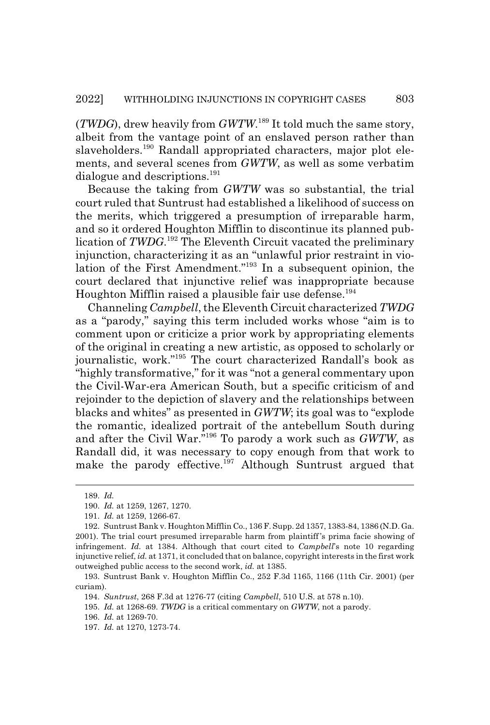(*TWDG*), drew heavily from *GWTW*. 189 It told much the same story, albeit from the vantage point of an enslaved person rather than slaveholders.<sup>190</sup> Randall appropriated characters, major plot elements, and several scenes from *GWTW*, as well as some verbatim dialogue and descriptions.<sup>191</sup>

Because the taking from *GWTW* was so substantial, the trial court ruled that Suntrust had established a likelihood of success on the merits, which triggered a presumption of irreparable harm, and so it ordered Houghton Mifflin to discontinue its planned publication of *TWDG*. 192 The Eleventh Circuit vacated the preliminary injunction, characterizing it as an "unlawful prior restraint in violation of the First Amendment."193 In a subsequent opinion, the court declared that injunctive relief was inappropriate because Houghton Mifflin raised a plausible fair use defense.<sup>194</sup>

Channeling *Campbell*, the Eleventh Circuit characterized *TWDG* as a "parody," saying this term included works whose "aim is to comment upon or criticize a prior work by appropriating elements of the original in creating a new artistic, as opposed to scholarly or journalistic, work."195 The court characterized Randall's book as "highly transformative," for it was "not a general commentary upon the Civil-War-era American South, but a specific criticism of and rejoinder to the depiction of slavery and the relationships between blacks and whites" as presented in *GWTW*; its goal was to "explode the romantic, idealized portrait of the antebellum South during and after the Civil War."196 To parody a work such as *GWTW*, as Randall did, it was necessary to copy enough from that work to make the parody effective.<sup>197</sup> Although Suntrust argued that

196. *Id.* at 1269-70.

<sup>189.</sup> *Id.*

<sup>190.</sup> *Id.* at 1259, 1267, 1270.

<sup>191.</sup> *Id.* at 1259, 1266-67.

<sup>192.</sup> Suntrust Bank v. Houghton Mifflin Co., 136 F. Supp. 2d 1357, 1383-84, 1386 (N.D. Ga. 2001). The trial court presumed irreparable harm from plaintiff 's prima facie showing of infringement. *Id.* at 1384. Although that court cited to *Campbell*'s note 10 regarding injunctive relief, *id.* at 1371, it concluded that on balance, copyright interests in the first work outweighed public access to the second work, *id.* at 1385.

<sup>193.</sup> Suntrust Bank v. Houghton Mifflin Co., 252 F.3d 1165, 1166 (11th Cir. 2001) (per curiam).

<sup>194.</sup> *Suntrust*, 268 F.3d at 1276-77 (citing *Campbell*, 510 U.S. at 578 n.10).

<sup>195.</sup> *Id.* at 1268-69. *TWDG* is a critical commentary on *GWTW*, not a parody.

<sup>197.</sup> *Id.* at 1270, 1273-74.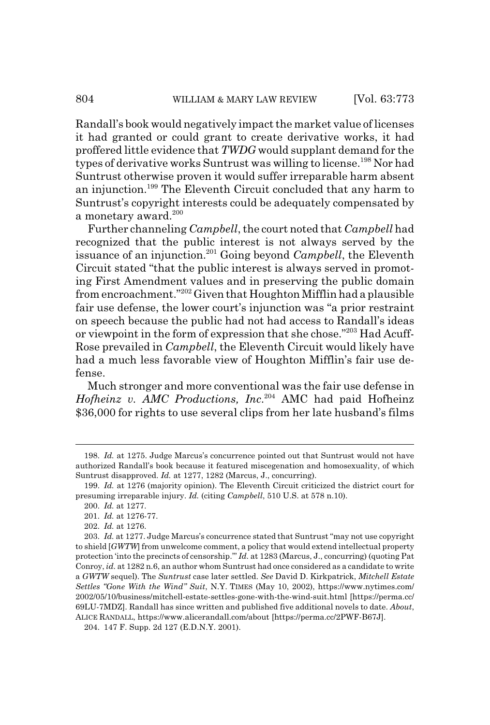Randall's book would negatively impact the market value of licenses it had granted or could grant to create derivative works, it had proffered little evidence that *TWDG* would supplant demand for the types of derivative works Suntrust was willing to license.<sup>198</sup> Nor had Suntrust otherwise proven it would suffer irreparable harm absent an injunction.199 The Eleventh Circuit concluded that any harm to Suntrust's copyright interests could be adequately compensated by a monetary award.<sup>200</sup>

Further channeling *Campbell*, the court noted that *Campbell* had recognized that the public interest is not always served by the issuance of an injunction.201 Going beyond *Campbell*, the Eleventh Circuit stated "that the public interest is always served in promoting First Amendment values and in preserving the public domain from encroachment."202 Given that Houghton Mifflin had a plausible fair use defense, the lower court's injunction was "a prior restraint on speech because the public had not had access to Randall's ideas or viewpoint in the form of expression that she chose."203 Had Acuff-Rose prevailed in *Campbell*, the Eleventh Circuit would likely have had a much less favorable view of Houghton Mifflin's fair use defense.

Much stronger and more conventional was the fair use defense in *Hofheinz v. AMC Productions, Inc*. 204 AMC had paid Hofheinz \$36,000 for rights to use several clips from her late husband's films

<sup>198.</sup> *Id.* at 1275. Judge Marcus's concurrence pointed out that Suntrust would not have authorized Randall's book because it featured miscegenation and homosexuality, of which Suntrust disapproved. *Id.* at 1277, 1282 (Marcus, J., concurring).

<sup>199.</sup> *Id.* at 1276 (majority opinion). The Eleventh Circuit criticized the district court for presuming irreparable injury. *Id.* (citing *Campbell*, 510 U.S. at 578 n.10).

<sup>200.</sup> *Id.* at 1277.

<sup>201.</sup> *Id.* at 1276-77.

<sup>202.</sup> *Id.* at 1276.

<sup>203.</sup> *Id.* at 1277. Judge Marcus's concurrence stated that Suntrust "may not use copyright to shield [*GWTW*] from unwelcome comment, a policy that would extend intellectual property protection 'into the precincts of censorship.'" *Id.* at 1283 (Marcus, J., concurring) (quoting Pat Conroy, *id.* at 1282 n.6, an author whom Suntrust had once considered as a candidate to write a *GWTW* sequel). The *Suntrust* case later settled. *See* David D. Kirkpatrick, *Mitchell Estate Settles "Gone With the Wind" Suit*, N.Y. TIMES (May 10, 2002), https://www.nytimes.com/ 2002/05/10/business/mitchell-estate-settles-gone-with-the-wind-suit.html [https://perma.cc/ 69LU-7MDZ]. Randall has since written and published five additional novels to date. *About*, ALICE RANDALL, https://www.alicerandall.com/about [https://perma.cc/2PWF-B67J].

<sup>204. 147</sup> F. Supp. 2d 127 (E.D.N.Y. 2001).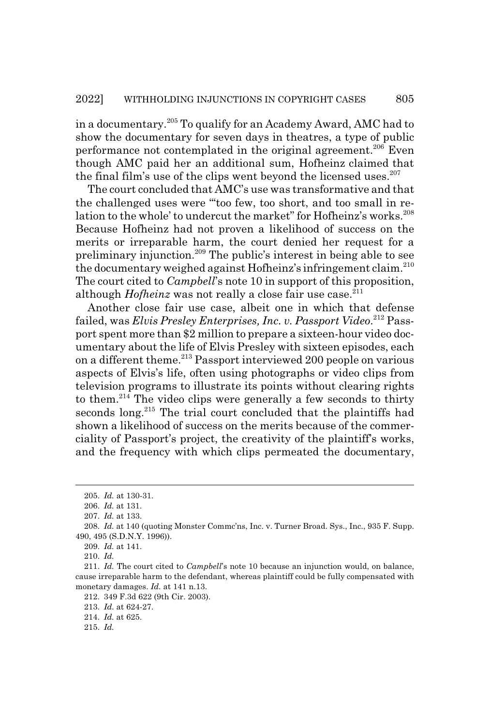in a documentary.205 To qualify for an Academy Award, AMC had to show the documentary for seven days in theatres, a type of public performance not contemplated in the original agreement.<sup>206</sup> Even though AMC paid her an additional sum, Hofheinz claimed that the final film's use of the clips went beyond the licensed uses.  $207$ 

The court concluded that AMC's use was transformative and that the challenged uses were "'too few, too short, and too small in relation to the whole' to undercut the market" for Hofheinz's works.<sup>208</sup> Because Hofheinz had not proven a likelihood of success on the merits or irreparable harm, the court denied her request for a preliminary injunction.209 The public's interest in being able to see the documentary weighed against Hofheinz's infringement claim.<sup>210</sup> The court cited to *Campbell*'s note 10 in support of this proposition, although *Hofheinz* was not really a close fair use case.<sup>211</sup>

Another close fair use case, albeit one in which that defense failed, was *Elvis Presley Enterprises, Inc. v. Passport Video*. 212 Passport spent more than \$2 million to prepare a sixteen-hour video documentary about the life of Elvis Presley with sixteen episodes, each on a different theme.<sup>213</sup> Passport interviewed 200 people on various aspects of Elvis's life, often using photographs or video clips from television programs to illustrate its points without clearing rights to them.<sup>214</sup> The video clips were generally a few seconds to thirty seconds long.<sup>215</sup> The trial court concluded that the plaintiffs had shown a likelihood of success on the merits because of the commerciality of Passport's project, the creativity of the plaintiff's works, and the frequency with which clips permeated the documentary,

210. *Id.*

<sup>205.</sup> *Id.* at 130-31.

<sup>206.</sup> *Id.* at 131.

<sup>207.</sup> *Id.* at 133.

<sup>208.</sup> *Id.* at 140 (quoting Monster Commc'ns, Inc. v. Turner Broad. Sys., Inc., 935 F. Supp. 490, 495 (S.D.N.Y. 1996)).

<sup>209.</sup> *Id.* at 141.

<sup>211.</sup> *Id.* The court cited to *Campbell*'s note 10 because an injunction would, on balance, cause irreparable harm to the defendant, whereas plaintiff could be fully compensated with monetary damages. *Id.* at 141 n.13.

<sup>212. 349</sup> F.3d 622 (9th Cir. 2003).

<sup>213.</sup> *Id.* at 624-27.

<sup>214.</sup> *Id.* at 625.

<sup>215.</sup> *Id.*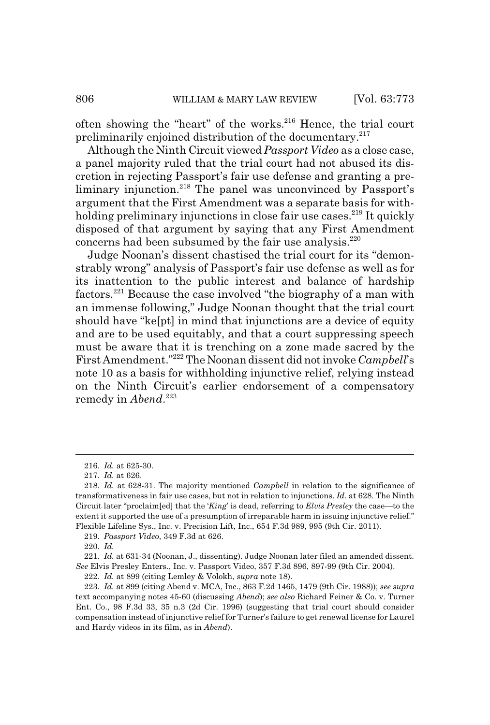often showing the "heart" of the works.<sup>216</sup> Hence, the trial court preliminarily enjoined distribution of the documentary.<sup>217</sup>

Although the Ninth Circuit viewed *Passport Video* as a close case, a panel majority ruled that the trial court had not abused its discretion in rejecting Passport's fair use defense and granting a preliminary injunction.<sup>218</sup> The panel was unconvinced by Passport's argument that the First Amendment was a separate basis for withholding preliminary injunctions in close fair use cases.<sup>219</sup> It quickly disposed of that argument by saying that any First Amendment concerns had been subsumed by the fair use analysis.<sup>220</sup>

Judge Noonan's dissent chastised the trial court for its "demonstrably wrong" analysis of Passport's fair use defense as well as for its inattention to the public interest and balance of hardship factors.221 Because the case involved "the biography of a man with an immense following," Judge Noonan thought that the trial court should have "ke[pt] in mind that injunctions are a device of equity and are to be used equitably, and that a court suppressing speech must be aware that it is trenching on a zone made sacred by the First Amendment."222 The Noonan dissent did not invoke *Campbell*'s note 10 as a basis for withholding injunctive relief, relying instead on the Ninth Circuit's earlier endorsement of a compensatory remedy in *Abend*. 223

219. *Passport Video*, 349 F.3d at 626.

221. *Id.* at 631-34 (Noonan, J., dissenting). Judge Noonan later filed an amended dissent. *See* Elvis Presley Enters., Inc. v. Passport Video, 357 F.3d 896, 897-99 (9th Cir. 2004).

222. *Id.* at 899 (citing Lemley & Volokh, *supra* note 18).

223. *Id.* at 899 (citing Abend v. MCA, Inc., 863 F.2d 1465, 1479 (9th Cir. 1988)); *see supra* text accompanying notes 45-60 (discussing *Abend*); *see also* Richard Feiner & Co. v. Turner Ent. Co., 98 F.3d 33, 35 n.3 (2d Cir. 1996) (suggesting that trial court should consider compensation instead of injunctive relief for Turner's failure to get renewal license for Laurel and Hardy videos in its film, as in *Abend*).

<sup>216.</sup> *Id.* at 625-30.

<sup>217.</sup> *Id.* at 626.

<sup>218.</sup> *Id.* at 628-31. The majority mentioned *Campbell* in relation to the significance of transformativeness in fair use cases, but not in relation to injunctions. *Id.* at 628. The Ninth Circuit later "proclaim[ed] that the '*King*' is dead, referring to *Elvis Presley* the case—to the extent it supported the use of a presumption of irreparable harm in issuing injunctive relief." Flexible Lifeline Sys., Inc. v. Precision Lift, Inc., 654 F.3d 989, 995 (9th Cir. 2011).

<sup>220.</sup> *Id.*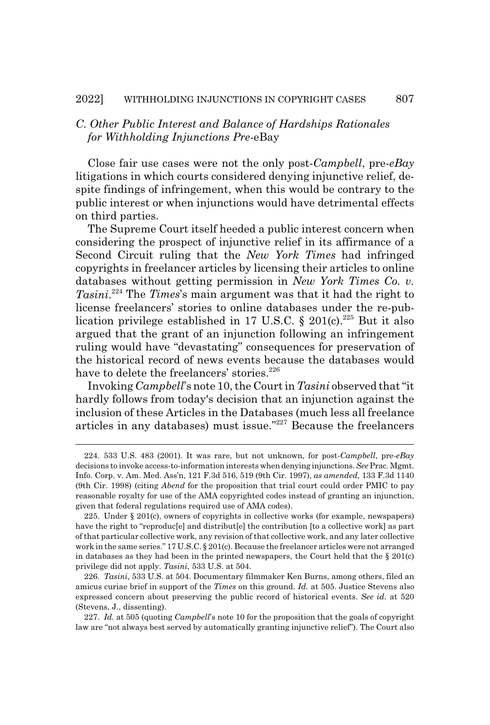# *C. Other Public Interest and Balance of Hardships Rationales for Withholding Injunctions Pre-*eBay

Close fair use cases were not the only post-*Campbell*, pre-*eBay* litigations in which courts considered denying injunctive relief, despite findings of infringement, when this would be contrary to the public interest or when injunctions would have detrimental effects on third parties.

The Supreme Court itself heeded a public interest concern when considering the prospect of injunctive relief in its affirmance of a Second Circuit ruling that the *New York Times* had infringed copyrights in freelancer articles by licensing their articles to online databases without getting permission in *New York Times Co. v. Tasini*. 224 The *Times*'s main argument was that it had the right to license freelancers' stories to online databases under the re-publication privilege established in 17 U.S.C. § 201(c).<sup>225</sup> But it also argued that the grant of an injunction following an infringement ruling would have "devastating" consequences for preservation of the historical record of news events because the databases would have to delete the freelancers' stories.<sup>226</sup>

Invoking *Campbell*'s note 10, the Court in *Tasini* observed that "it hardly follows from today's decision that an injunction against the inclusion of these Articles in the Databases (much less all freelance articles in any databases) must issue."227 Because the freelancers

<sup>224. 533</sup> U.S. 483 (2001). It was rare, but not unknown, for post-*Campbell*, pre-*eBay* decisions to invoke access-to-information interests when denying injunctions. *See* Prac. Mgmt. Info. Corp. v. Am. Med. Ass'n, 121 F.3d 516, 519 (9th Cir. 1997), *as amended*, 133 F.3d 1140 (9th Cir. 1998) (citing *Abend* for the proposition that trial court could order PMIC to pay reasonable royalty for use of the AMA copyrighted codes instead of granting an injunction, given that federal regulations required use of AMA codes).

<sup>225.</sup> Under § 201(c), owners of copyrights in collective works (for example, newspapers) have the right to "reproduc[e] and distribut[e] the contribution [to a collective work] as part of that particular collective work, any revision of that collective work, and any later collective work in the same series." 17 U.S.C. § 201(c). Because the freelancer articles were not arranged in databases as they had been in the printed newspapers, the Court held that the  $\S 201(c)$ privilege did not apply. *Tasini*, 533 U.S. at 504.

<sup>226.</sup> *Tasini*, 533 U.S. at 504. Documentary filmmaker Ken Burns, among others, filed an amicus curiae brief in support of the *Times* on this ground. *Id.* at 505. Justice Stevens also expressed concern about preserving the public record of historical events. *See id.* at 520 (Stevens, J., dissenting).

<sup>227.</sup> *Id.* at 505 (quoting *Campbell*'s note 10 for the proposition that the goals of copyright law are "not always best served by automatically granting injunctive relief"). The Court also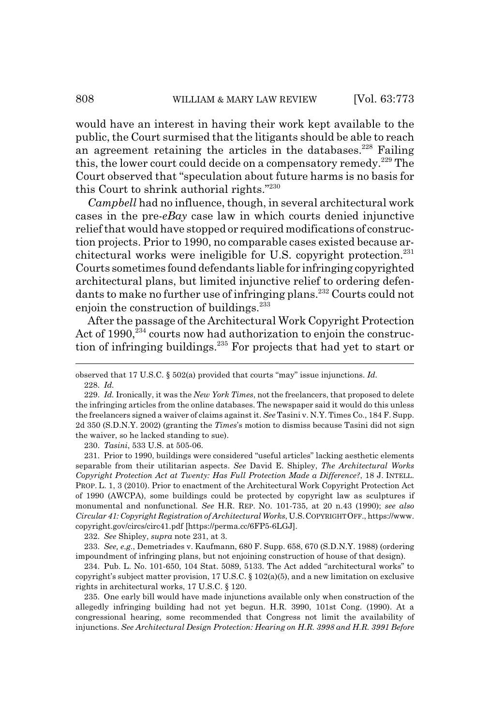would have an interest in having their work kept available to the public, the Court surmised that the litigants should be able to reach an agreement retaining the articles in the databases.<sup>228</sup> Failing this, the lower court could decide on a compensatory remedy.<sup>229</sup> The Court observed that "speculation about future harms is no basis for this Court to shrink authorial rights."230

*Campbell* had no influence, though, in several architectural work cases in the pre-*eBay* case law in which courts denied injunctive relief that would have stopped or required modifications of construction projects. Prior to 1990, no comparable cases existed because architectural works were ineligible for U.S. copyright protection. $^{231}$ Courts sometimes found defendants liable for infringing copyrighted architectural plans, but limited injunctive relief to ordering defendants to make no further use of infringing plans.<sup>232</sup> Courts could not enjoin the construction of buildings.<sup>233</sup>

After the passage of the Architectural Work Copyright Protection Act of  $1990$ ,  $^{234}$  courts now had authorization to enjoin the construction of infringing buildings.235 For projects that had yet to start or

230. *Tasini*, 533 U.S. at 505-06.

231. Prior to 1990, buildings were considered "useful articles" lacking aesthetic elements separable from their utilitarian aspects. *See* David E. Shipley, *The Architectural Works Copyright Protection Act at Twenty: Has Full Protection Made a Difference?*, 18 J. INTELL. PROP. L. 1, 3 (2010). Prior to enactment of the Architectural Work Copyright Protection Act of 1990 (AWCPA), some buildings could be protected by copyright law as sculptures if monumental and nonfunctional. *See* H.R. REP. NO. 101-735, at 20 n.43 (1990); *see also Circular 41: Copyright Registration of Architectural Works*, U.S.COPYRIGHT OFF., https://www. copyright.gov/circs/circ41.pdf [https://perma.cc/6FP5-6LGJ].

232. *See* Shipley, *supra* note 231, at 3.

233. *See, e.g.*, Demetriades v. Kaufmann, 680 F. Supp. 658, 670 (S.D.N.Y. 1988) (ordering impoundment of infringing plans, but not enjoining construction of house of that design).

234. Pub. L. No. 101-650, 104 Stat. 5089, 5133. The Act added "architectural works" to copyright's subject matter provision, 17 U.S.C.  $\S$  102(a)(5), and a new limitation on exclusive rights in architectural works, 17 U.S.C. § 120.

235. One early bill would have made injunctions available only when construction of the allegedly infringing building had not yet begun. H.R. 3990, 101st Cong. (1990). At a congressional hearing, some recommended that Congress not limit the availability of injunctions. *See Architectural Design Protection: Hearing on H.R. 3998 and H.R. 3991 Before*

observed that 17 U.S.C. § 502(a) provided that courts "may" issue injunctions. *Id.* 228. *Id.*

<sup>229.</sup> *Id.* Ironically, it was the *New York Times*, not the freelancers, that proposed to delete the infringing articles from the online databases. The newspaper said it would do this unless the freelancers signed a waiver of claims against it. *See* Tasini v. N.Y. Times Co., 184 F. Supp. 2d 350 (S.D.N.Y. 2002) (granting the *Times*'s motion to dismiss because Tasini did not sign the waiver, so he lacked standing to sue).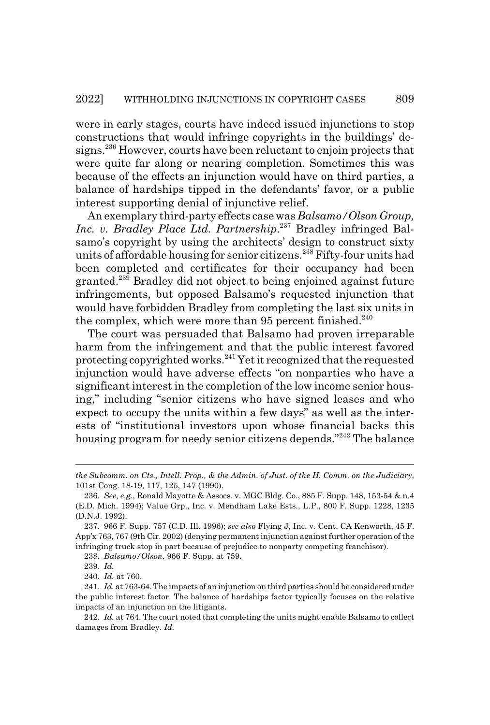were in early stages, courts have indeed issued injunctions to stop constructions that would infringe copyrights in the buildings' designs.236 However, courts have been reluctant to enjoin projects that were quite far along or nearing completion. Sometimes this was because of the effects an injunction would have on third parties, a balance of hardships tipped in the defendants' favor, or a public interest supporting denial of injunctive relief.

An exemplary third-party effects case was *Balsamo/Olson Group, Inc. v. Bradley Place Ltd. Partnership*. 237 Bradley infringed Balsamo's copyright by using the architects' design to construct sixty units of affordable housing for senior citizens.<sup>238</sup> Fifty-four units had been completed and certificates for their occupancy had been granted.239 Bradley did not object to being enjoined against future infringements, but opposed Balsamo's requested injunction that would have forbidden Bradley from completing the last six units in the complex, which were more than 95 percent finished.<sup>240</sup>

The court was persuaded that Balsamo had proven irreparable harm from the infringement and that the public interest favored protecting copyrighted works.241 Yet it recognized that the requested injunction would have adverse effects "on nonparties who have a significant interest in the completion of the low income senior housing," including "senior citizens who have signed leases and who expect to occupy the units within a few days" as well as the interests of "institutional investors upon whose financial backs this housing program for needy senior citizens depends."<sup>242</sup> The balance

238. *Balsamo/Olson*, 966 F. Supp. at 759.

240. *Id.* at 760.

*the Subcomm. on Cts., Intell. Prop., & the Admin. of Just. of the H. Comm. on the Judiciary*, 101st Cong. 18-19, 117, 125, 147 (1990).

<sup>236.</sup> *See, e.g.*, Ronald Mayotte & Assocs. v. MGC Bldg. Co., 885 F. Supp. 148, 153-54 & n.4 (E.D. Mich. 1994); Value Grp., Inc. v. Mendham Lake Ests., L.P., 800 F. Supp. 1228, 1235 (D.N.J. 1992).

<sup>237. 966</sup> F. Supp. 757 (C.D. Ill. 1996); *see also* Flying J, Inc. v. Cent. CA Kenworth, 45 F. App'x 763, 767 (9th Cir. 2002) (denying permanent injunction against further operation of the infringing truck stop in part because of prejudice to nonparty competing franchisor).

<sup>239.</sup> *Id.*

<sup>241.</sup> *Id.* at 763-64. The impacts of an injunction on third parties should be considered under the public interest factor. The balance of hardships factor typically focuses on the relative impacts of an injunction on the litigants.

<sup>242.</sup> *Id.* at 764. The court noted that completing the units might enable Balsamo to collect damages from Bradley. *Id.*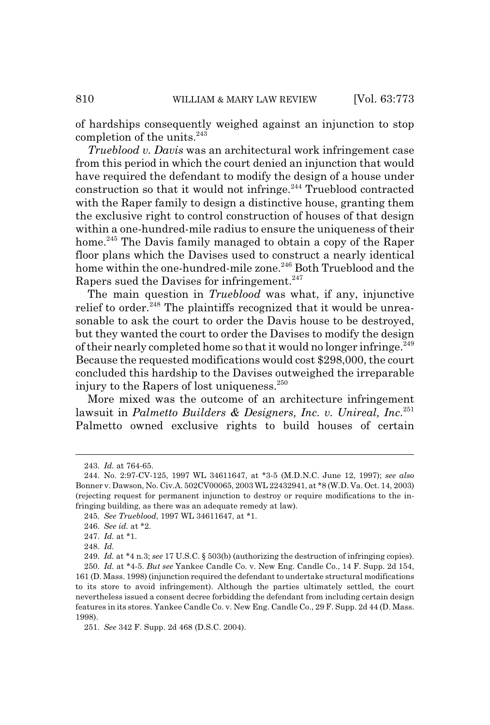of hardships consequently weighed against an injunction to stop completion of the units.<sup>243</sup>

*Trueblood v. Davis* was an architectural work infringement case from this period in which the court denied an injunction that would have required the defendant to modify the design of a house under construction so that it would not infringe. $244$  Trueblood contracted with the Raper family to design a distinctive house, granting them the exclusive right to control construction of houses of that design within a one-hundred-mile radius to ensure the uniqueness of their home.<sup>245</sup> The Davis family managed to obtain a copy of the Raper floor plans which the Davises used to construct a nearly identical home within the one-hundred-mile zone.<sup>246</sup> Both Trueblood and the Rapers sued the Davises for infringement.<sup>247</sup>

The main question in *Trueblood* was what, if any, injunctive relief to order.<sup>248</sup> The plaintiffs recognized that it would be unreasonable to ask the court to order the Davis house to be destroyed, but they wanted the court to order the Davises to modify the design of their nearly completed home so that it would no longer infringe.<sup>249</sup> Because the requested modifications would cost \$298,000, the court concluded this hardship to the Davises outweighed the irreparable injury to the Rapers of lost uniqueness. $250$ 

More mixed was the outcome of an architecture infringement lawsuit in *Palmetto Builders & Designers, Inc. v. Unireal, Inc*. 251 Palmetto owned exclusive rights to build houses of certain

<sup>243.</sup> *Id.* at 764-65.

<sup>244.</sup> No. 2:97-CV-125, 1997 WL 34611647, at \*3-5 (M.D.N.C. June 12, 1997); *see also* Bonner v. Dawson, No. Civ.A. 502CV00065, 2003 WL 22432941, at \*8 (W.D. Va. Oct. 14, 2003) (rejecting request for permanent injunction to destroy or require modifications to the infringing building, as there was an adequate remedy at law).

<sup>245.</sup> *See Trueblood*, 1997 WL 34611647, at \*1.

<sup>246.</sup> *See id.* at \*2.

<sup>247.</sup> *Id.* at \*1.

<sup>248.</sup> *Id.*

<sup>249.</sup> *Id.* at \*4 n.3; *see* 17 U.S.C. § 503(b) (authorizing the destruction of infringing copies).

<sup>250.</sup> *Id.* at \*4-5. *But see* Yankee Candle Co. v. New Eng. Candle Co., 14 F. Supp. 2d 154, 161 (D. Mass. 1998) (injunction required the defendant to undertake structural modifications to its store to avoid infringement). Although the parties ultimately settled, the court nevertheless issued a consent decree forbidding the defendant from including certain design features in its stores. Yankee Candle Co. v. New Eng. Candle Co., 29 F. Supp. 2d 44 (D. Mass. 1998).

<sup>251.</sup> *See* 342 F. Supp. 2d 468 (D.S.C. 2004).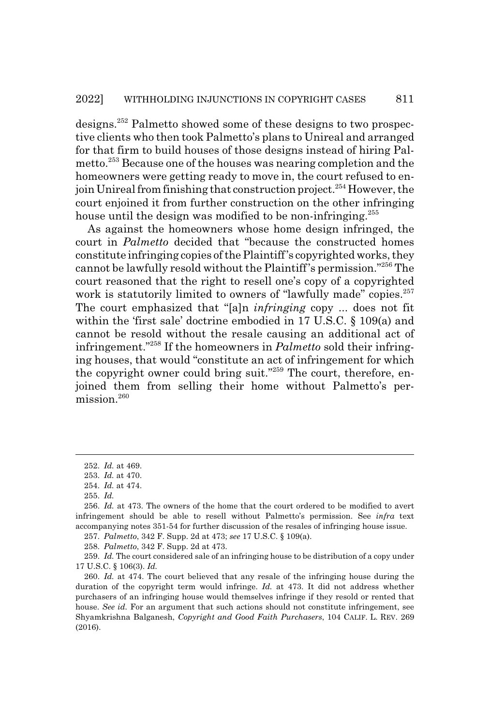designs.252 Palmetto showed some of these designs to two prospective clients who then took Palmetto's plans to Unireal and arranged for that firm to build houses of those designs instead of hiring Palmetto.253 Because one of the houses was nearing completion and the homeowners were getting ready to move in, the court refused to enjoin Unireal from finishing that construction project.<sup>254</sup> However, the court enjoined it from further construction on the other infringing house until the design was modified to be non-infringing.<sup>255</sup>

As against the homeowners whose home design infringed, the court in *Palmetto* decided that "because the constructed homes constitute infringing copies of the Plaintiff's copyrighted works, they cannot be lawfully resold without the Plaintiff's permission."256 The court reasoned that the right to resell one's copy of a copyrighted work is statutorily limited to owners of "lawfully made" copies.<sup>257</sup> The court emphasized that "[a]n *infringing* copy ... does not fit within the 'first sale' doctrine embodied in 17 U.S.C. § 109(a) and cannot be resold without the resale causing an additional act of infringement."258 If the homeowners in *Palmetto* sold their infringing houses, that would "constitute an act of infringement for which the copyright owner could bring suit."<sup>259</sup> The court, therefore, enjoined them from selling their home without Palmetto's permission.<sup>260</sup>

257. *Palmetto*, 342 F. Supp. 2d at 473; *see* 17 U.S.C. § 109(a).

258. *Palmetto*, 342 F. Supp. 2d at 473.

259. *Id.* The court considered sale of an infringing house to be distribution of a copy under 17 U.S.C. § 106(3). *Id.*

<sup>252.</sup> *Id.* at 469.

<sup>253.</sup> *Id.* at 470.

<sup>254.</sup> *Id.* at 474.

<sup>255.</sup> *Id.*

<sup>256.</sup> *Id.* at 473. The owners of the home that the court ordered to be modified to avert infringement should be able to resell without Palmetto's permission. See *infra* text accompanying notes 351-54 for further discussion of the resales of infringing house issue.

<sup>260.</sup> *Id.* at 474. The court believed that any resale of the infringing house during the duration of the copyright term would infringe. *Id.* at 473. It did not address whether purchasers of an infringing house would themselves infringe if they resold or rented that house. *See id.* For an argument that such actions should not constitute infringement, see Shyamkrishna Balganesh, *Copyright and Good Faith Purchasers*, 104 CALIF. L. REV. 269 (2016).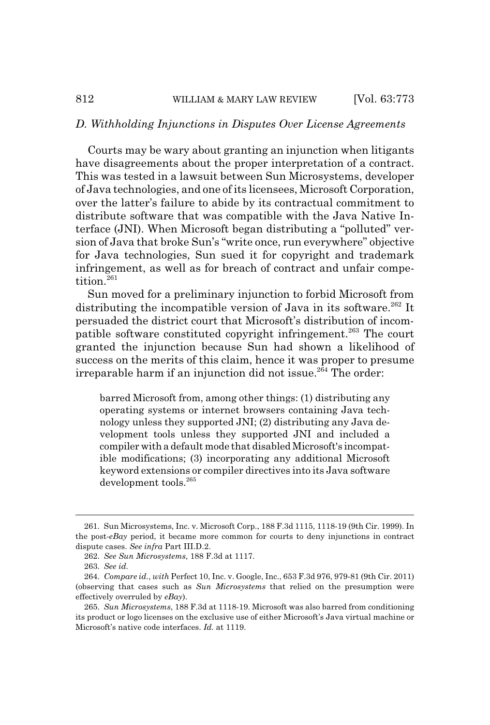### *D. Withholding Injunctions in Disputes Over License Agreements*

Courts may be wary about granting an injunction when litigants have disagreements about the proper interpretation of a contract. This was tested in a lawsuit between Sun Microsystems, developer of Java technologies, and one of its licensees, Microsoft Corporation, over the latter's failure to abide by its contractual commitment to distribute software that was compatible with the Java Native Interface (JNI). When Microsoft began distributing a "polluted" version of Java that broke Sun's "write once, run everywhere" objective for Java technologies, Sun sued it for copyright and trademark infringement, as well as for breach of contract and unfair competition.<sup>261</sup>

Sun moved for a preliminary injunction to forbid Microsoft from distributing the incompatible version of Java in its software.<sup>262</sup> It persuaded the district court that Microsoft's distribution of incompatible software constituted copyright infringement.<sup>263</sup> The court granted the injunction because Sun had shown a likelihood of success on the merits of this claim, hence it was proper to presume irreparable harm if an injunction did not issue.<sup>264</sup> The order:

barred Microsoft from, among other things: (1) distributing any operating systems or internet browsers containing Java technology unless they supported JNI; (2) distributing any Java development tools unless they supported JNI and included a compiler with a default mode that disabled Microsoft's incompatible modifications; (3) incorporating any additional Microsoft keyword extensions or compiler directives into its Java software development tools.265

<sup>261.</sup> Sun Microsystems, Inc. v. Microsoft Corp., 188 F.3d 1115, 1118-19 (9th Cir. 1999). In the post-*eBay* period, it became more common for courts to deny injunctions in contract dispute cases. *See infra* Part III.D.2.

<sup>262.</sup> *See Sun Microsystems*, 188 F.3d at 1117.

<sup>263.</sup> *See id.*

<sup>264.</sup> *Compare id.*, *with* Perfect 10, Inc. v. Google, Inc., 653 F.3d 976, 979-81 (9th Cir. 2011) (observing that cases such as *Sun Microsystems* that relied on the presumption were effectively overruled by *eBay*).

<sup>265.</sup> *Sun Microsystems*, 188 F.3d at 1118-19. Microsoft was also barred from conditioning its product or logo licenses on the exclusive use of either Microsoft's Java virtual machine or Microsoft's native code interfaces. *Id.* at 1119.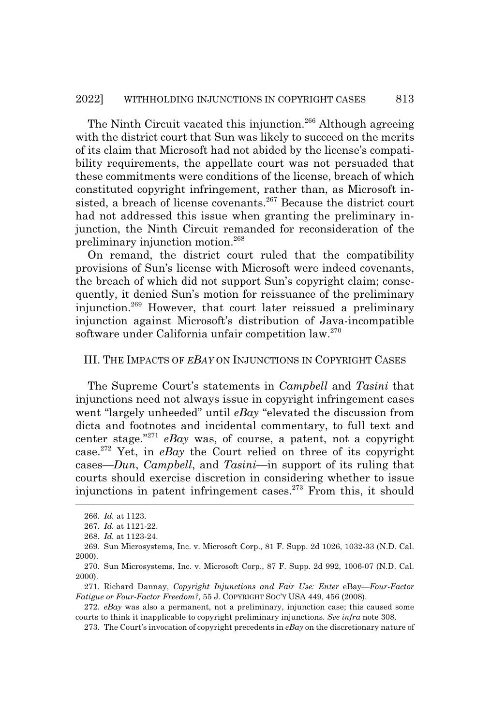The Ninth Circuit vacated this injunction.<sup>266</sup> Although agreeing with the district court that Sun was likely to succeed on the merits of its claim that Microsoft had not abided by the license's compatibility requirements, the appellate court was not persuaded that these commitments were conditions of the license, breach of which constituted copyright infringement, rather than, as Microsoft insisted, a breach of license covenants.<sup>267</sup> Because the district court had not addressed this issue when granting the preliminary injunction, the Ninth Circuit remanded for reconsideration of the preliminary injunction motion.<sup>268</sup>

On remand, the district court ruled that the compatibility provisions of Sun's license with Microsoft were indeed covenants, the breach of which did not support Sun's copyright claim; consequently, it denied Sun's motion for reissuance of the preliminary injunction.269 However, that court later reissued a preliminary injunction against Microsoft's distribution of Java-incompatible software under California unfair competition law.<sup>270</sup>

#### III. THE IMPACTS OF *EBAY* ON INJUNCTIONS IN COPYRIGHT CASES

The Supreme Court's statements in *Campbell* and *Tasini* that injunctions need not always issue in copyright infringement cases went "largely unheeded" until *eBay* "elevated the discussion from dicta and footnotes and incidental commentary, to full text and center stage."271 *eBay* was, of course, a patent, not a copyright case.272 Yet, in *eBay* the Court relied on three of its copyright cases—*Dun*, *Campbell*, and *Tasini*—in support of its ruling that courts should exercise discretion in considering whether to issue injunctions in patent infringement cases.<sup>273</sup> From this, it should

<sup>266.</sup> *Id.* at 1123.

<sup>267.</sup> *Id.* at 1121-22.

<sup>268.</sup> *Id.* at 1123-24.

<sup>269.</sup> Sun Microsystems, Inc. v. Microsoft Corp., 81 F. Supp. 2d 1026, 1032-33 (N.D. Cal. 2000).

<sup>270.</sup> Sun Microsystems, Inc. v. Microsoft Corp., 87 F. Supp. 2d 992, 1006-07 (N.D. Cal. 2000).

<sup>271.</sup> Richard Dannay, *Copyright Injunctions and Fair Use: Enter* eBay*—Four-Factor Fatigue or Four-Factor Freedom?*, 55 J. COPYRIGHT SOC'Y USA 449, 456 (2008).

<sup>272.</sup> *eBay* was also a permanent, not a preliminary, injunction case; this caused some courts to think it inapplicable to copyright preliminary injunctions. *See infra* note 308.

<sup>273.</sup> The Court's invocation of copyright precedents in *eBay* on the discretionary nature of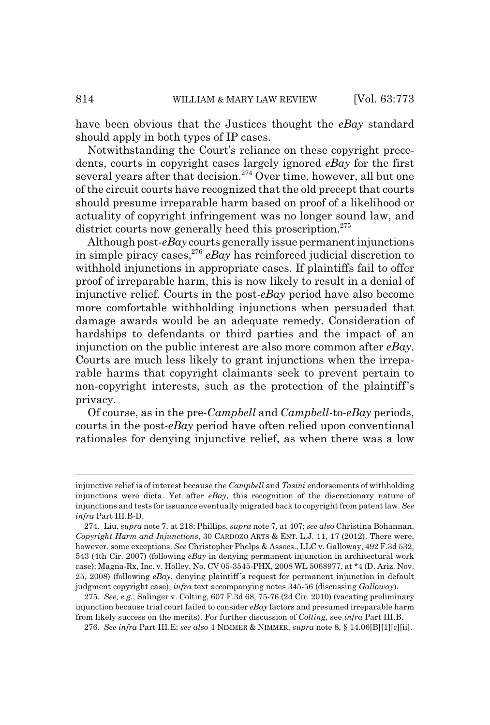have been obvious that the Justices thought the *eBay* standard should apply in both types of IP cases.

Notwithstanding the Court's reliance on these copyright precedents, courts in copyright cases largely ignored *eBay* for the first several years after that decision.<sup>274</sup> Over time, however, all but one of the circuit courts have recognized that the old precept that courts should presume irreparable harm based on proof of a likelihood or actuality of copyright infringement was no longer sound law, and district courts now generally heed this proscription.<sup>275</sup>

Although post-*eBay* courts generally issue permanent injunctions in simple piracy cases,<sup>276</sup>  $e$ *Bay* has reinforced judicial discretion to withhold injunctions in appropriate cases. If plaintiffs fail to offer proof of irreparable harm, this is now likely to result in a denial of injunctive relief. Courts in the post-*eBay* period have also become more comfortable withholding injunctions when persuaded that damage awards would be an adequate remedy. Consideration of hardships to defendants or third parties and the impact of an injunction on the public interest are also more common after *eBay*. Courts are much less likely to grant injunctions when the irreparable harms that copyright claimants seek to prevent pertain to non-copyright interests, such as the protection of the plaintiff's privacy.

Of course, as in the pre-*Campbell* and *Campbell*-to-*eBay* periods, courts in the post-*eBay* period have often relied upon conventional rationales for denying injunctive relief, as when there was a low

276. *See infra* Part III.E; *see also* 4 NIMMER & NIMMER, *supra* note 8, § 14.06[B][1][c][ii].

injunctive relief is of interest because the *Campbell* and *Tasini* endorsements of withholding injunctions were dicta. Yet after *eBay*, this recognition of the discretionary nature of injunctions and tests for issuance eventually migrated back to copyright from patent law. *See infra* Part III.B-D.

<sup>274.</sup> Liu, *supra* note 7, at 218; Phillips, *supra* note 7, at 407; *see also* Christina Bohannan, *Copyright Harm and Injunctions*, 30 CARDOZO ARTS & ENT. L.J. 11, 17 (2012). There were, however, some exceptions. *See* Christopher Phelps & Assocs., LLC v. Galloway, 492 F.3d 532, 543 (4th Cir. 2007) (following *eBay* in denying permanent injunction in architectural work case); Magna-Rx, Inc. v. Holley, No. CV 05-3545-PHX, 2008 WL 5068977, at \*4 (D. Ariz. Nov. 25, 2008) (following *eBay*, denying plaintiff 's request for permanent injunction in default judgment copyright case); *infra* text accompanying notes 345-56 (discussing *Galloway*).

<sup>275.</sup> *See, e.g.*, Salinger v. Colting, 607 F.3d 68, 75-76 (2d Cir. 2010) (vacating preliminary injunction because trial court failed to consider *eBay* factors and presumed irreparable harm from likely success on the merits). For further discussion of *Colting*, see *infra* Part III.B.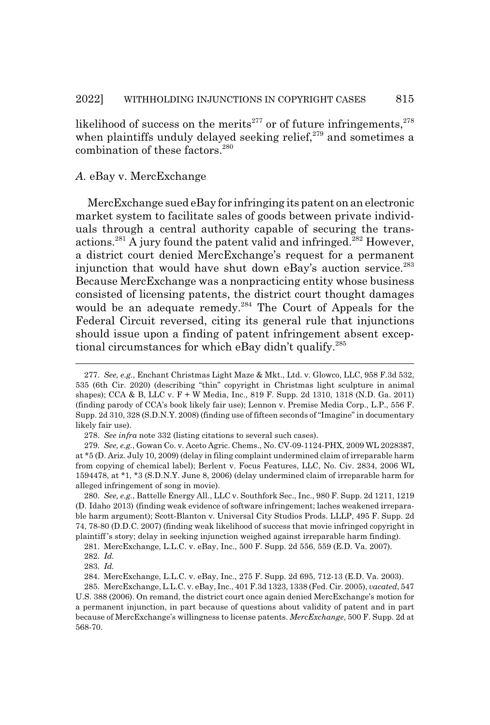likelihood of success on the merits<sup>277</sup> or of future infringements,  $278$ when plaintiffs unduly delayed seeking relief, $279$  and sometimes a combination of these factors.<sup>280</sup>

### *A.* eBay v. MercExchange

MercExchange sued eBay for infringing its patent on an electronic market system to facilitate sales of goods between private individuals through a central authority capable of securing the transactions.<sup>281</sup> A jury found the patent valid and infringed.<sup>282</sup> However, a district court denied MercExchange's request for a permanent injunction that would have shut down eBay's auction service.<sup>283</sup> Because MercExchange was a nonpracticing entity whose business consisted of licensing patents, the district court thought damages would be an adequate remedy.<sup>284</sup> The Court of Appeals for the Federal Circuit reversed, citing its general rule that injunctions should issue upon a finding of patent infringement absent exceptional circumstances for which eBay didn't qualify.285

<sup>277.</sup> *See, e.g.*, Enchant Christmas Light Maze & Mkt., Ltd. v. Glowco, LLC, 958 F.3d 532, 535 (6th Cir. 2020) (describing "thin" copyright in Christmas light sculpture in animal shapes); CCA & B, LLC v. F + W Media, Inc., 819 F. Supp. 2d 1310, 1318 (N.D. Ga. 2011) (finding parody of CCA's book likely fair use); Lennon v. Premise Media Corp., L.P., 556 F. Supp. 2d 310, 328 (S.D.N.Y. 2008) (finding use of fifteen seconds of "Imagine" in documentary likely fair use).

<sup>278.</sup> *See infra* note 332 (listing citations to several such cases).

<sup>279.</sup> *See, e.g.*, Gowan Co. v. Aceto Agric. Chems., No. CV-09-1124-PHX, 2009 WL 2028387, at \*5 (D. Ariz. July 10, 2009) (delay in filing complaint undermined claim of irreparable harm from copying of chemical label); Berlent v. Focus Features, LLC, No. Civ. 2834, 2006 WL 1594478, at \*1, \*3 (S.D.N.Y. June 8, 2006) (delay undermined claim of irreparable harm for alleged infringement of song in movie).

<sup>280.</sup> *See, e.g.*, Battelle Energy All., LLC v. Southfork Sec., Inc., 980 F. Supp. 2d 1211, 1219 (D. Idaho 2013) (finding weak evidence of software infringement; laches weakened irreparable harm argument); Scott-Blanton v. Universal City Studios Prods. LLLP, 495 F. Supp. 2d 74, 78-80 (D.D.C. 2007) (finding weak likelihood of success that movie infringed copyright in plaintiff 's story; delay in seeking injunction weighed against irreparable harm finding).

<sup>281.</sup> MercExchange, L.L.C. v. eBay, Inc., 500 F. Supp. 2d 556, 559 (E.D. Va. 2007).

<sup>282.</sup> *Id.*

<sup>283.</sup> *Id.*

<sup>284.</sup> MercExchange, L.L.C. v. eBay, Inc., 275 F. Supp. 2d 695, 712-13 (E.D. Va. 2003).

<sup>285.</sup> MercExchange, L.L.C. v. eBay, Inc., 401 F.3d 1323, 1338 (Fed. Cir. 2005), *vacated*, 547 U.S. 388 (2006). On remand, the district court once again denied MercExchange's motion for a permanent injunction, in part because of questions about validity of patent and in part because of MercExchange's willingness to license patents. *MercExchange*, 500 F. Supp. 2d at 568-70.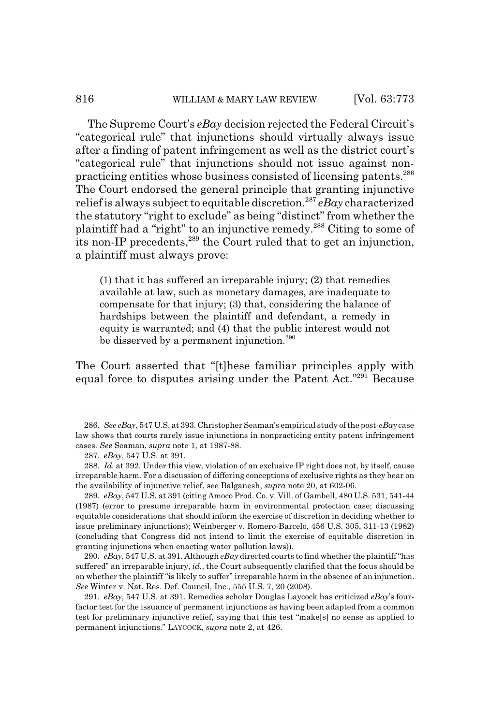### 816 WILLIAM & MARY LAW REVIEW [Vol. 63:773

The Supreme Court's *eBay* decision rejected the Federal Circuit's "categorical rule" that injunctions should virtually always issue after a finding of patent infringement as well as the district court's "categorical rule" that injunctions should not issue against nonpracticing entities whose business consisted of licensing patents.286 The Court endorsed the general principle that granting injunctive relief is always subject to equitable discretion.<sup>287</sup> *eBay* characterized the statutory "right to exclude" as being "distinct" from whether the plaintiff had a "right" to an injunctive remedy.288 Citing to some of its non-IP precedents,<sup>289</sup> the Court ruled that to get an injunction, a plaintiff must always prove:

(1) that it has suffered an irreparable injury; (2) that remedies available at law, such as monetary damages, are inadequate to compensate for that injury; (3) that, considering the balance of hardships between the plaintiff and defendant, a remedy in equity is warranted; and (4) that the public interest would not be disserved by a permanent injunction.<sup>290</sup>

The Court asserted that "[t]hese familiar principles apply with equal force to disputes arising under the Patent Act."<sup>291</sup> Because

<sup>286.</sup> *See eBay*, 547 U.S. at 393. Christopher Seaman's empirical study of the post-*eBay* case law shows that courts rarely issue injunctions in nonpracticing entity patent infringement cases. *See* Seaman, *supra* note 1, at 1987-88.

<sup>287.</sup> *eBay*, 547 U.S. at 391.

<sup>288.</sup> *Id.* at 392. Under this view, violation of an exclusive IP right does not, by itself, cause irreparable harm. For a discussion of differing conceptions of exclusive rights as they bear on the availability of injunctive relief, see Balganesh, *supra* note 20, at 602-06.

<sup>289.</sup> *eBay*, 547 U.S*.* at 391 (citing Amoco Prod. Co. v. Vill. of Gambell, 480 U.S. 531, 541-44 (1987) (error to presume irreparable harm in environmental protection case; discussing equitable considerations that should inform the exercise of discretion in deciding whether to issue preliminary injunctions); Weinberger v. Romero-Barcelo, 456 U.S. 305, 311-13 (1982) (concluding that Congress did not intend to limit the exercise of equitable discretion in granting injunctions when enacting water pollution laws)).

<sup>290.</sup> *eBay*, 547 U.S. at 391. Although *eBay* directed courts to find whether the plaintiff "has suffered" an irreparable injury, *id.*, the Court subsequently clarified that the focus should be on whether the plaintiff "is likely to suffer" irreparable harm in the absence of an injunction. *See* Winter v. Nat. Res. Def. Council, Inc., 555 U.S. 7, 20 (2008).

<sup>291.</sup> *eBay*, 547 U.S. at 391. Remedies scholar Douglas Laycock has criticized *eBay*'s fourfactor test for the issuance of permanent injunctions as having been adapted from a common test for preliminary injunctive relief, saying that this test "make[s] no sense as applied to permanent injunctions." LAYCOCK, *supra* note 2, at 426.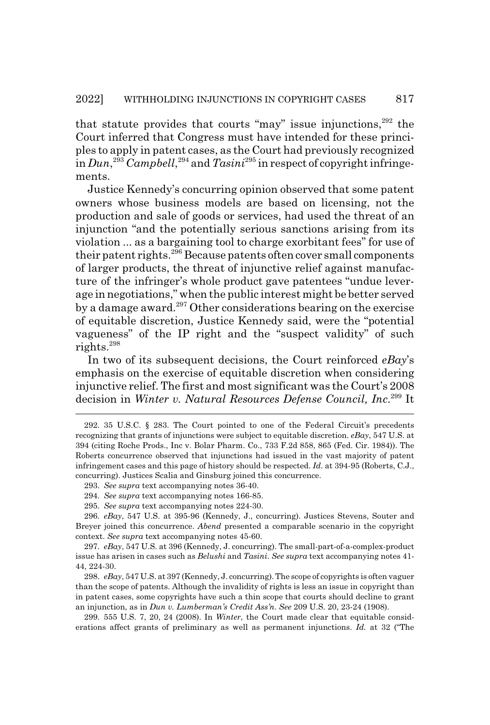that statute provides that courts "may" issue injunctions, $292$  the Court inferred that Congress must have intended for these principles to apply in patent cases, as the Court had previously recognized in *Dun*, <sup>293</sup> *Campbell*, 294 and *Tasini*295 in respect of copyright infringements.

Justice Kennedy's concurring opinion observed that some patent owners whose business models are based on licensing, not the production and sale of goods or services, had used the threat of an injunction "and the potentially serious sanctions arising from its violation ... as a bargaining tool to charge exorbitant fees" for use of their patent rights.<sup>296</sup> Because patents often cover small components of larger products, the threat of injunctive relief against manufacture of the infringer's whole product gave patentees "undue leverage in negotiations," when the public interest might be better served by a damage award.297 Other considerations bearing on the exercise of equitable discretion, Justice Kennedy said, were the "potential vagueness" of the IP right and the "suspect validity" of such rights.<sup>298</sup>

In two of its subsequent decisions, the Court reinforced *eBay*'s emphasis on the exercise of equitable discretion when considering injunctive relief. The first and most significant was the Court's 2008 decision in *Winter v. Natural Resources Defense Council, Inc*. 299 It

<sup>292. 35</sup> U.S.C. § 283. The Court pointed to one of the Federal Circuit's precedents recognizing that grants of injunctions were subject to equitable discretion. *eBay*, 547 U.S. at 394 (citing Roche Prods., Inc v. Bolar Pharm. Co., 733 F.2d 858, 865 (Fed. Cir. 1984)). The Roberts concurrence observed that injunctions had issued in the vast majority of patent infringement cases and this page of history should be respected. *Id.* at 394-95 (Roberts, C.J., concurring). Justices Scalia and Ginsburg joined this concurrence.

<sup>293.</sup> *See supra* text accompanying notes 36-40.

<sup>294.</sup> *See supra* text accompanying notes 166-85.

<sup>295.</sup> *See supra* text accompanying notes 224-30.

<sup>296.</sup> *eBay*, 547 U.S. at 395-96 (Kennedy, J., concurring). Justices Stevens, Souter and Breyer joined this concurrence. *Abend* presented a comparable scenario in the copyright context. *See supra* text accompanying notes 45-60.

<sup>297.</sup> *eBay*, 547 U.S. at 396 (Kennedy, J. concurring). The small-part-of-a-complex-product issue has arisen in cases such as *Belushi* and *Tasini*. *See supra* text accompanying notes 41- 44, 224-30.

<sup>298.</sup> *eBay*, 547 U.S. at 397 (Kennedy, J. concurring). The scope of copyrights is often vaguer than the scope of patents. Although the invalidity of rights is less an issue in copyright than in patent cases, some copyrights have such a thin scope that courts should decline to grant an injunction, as in *Dun v. Lumberman's Credit Ass'n*. *See* 209 U.S. 20, 23-24 (1908).

<sup>299. 555</sup> U.S. 7, 20, 24 (2008). In *Winter*, the Court made clear that equitable considerations affect grants of preliminary as well as permanent injunctions. *Id.* at 32 ("The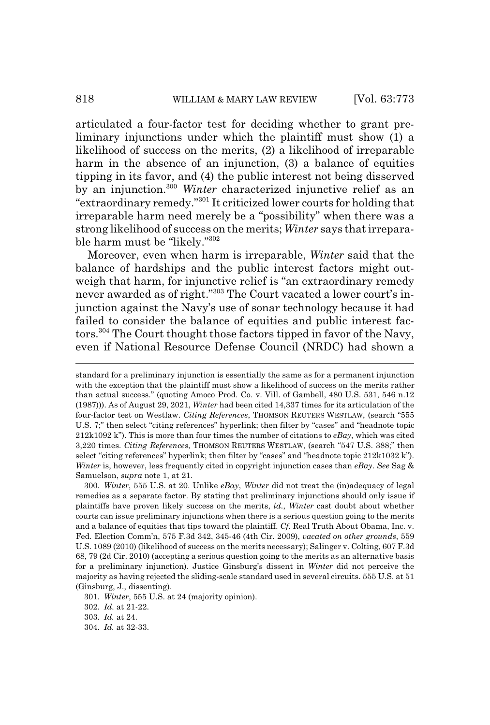articulated a four-factor test for deciding whether to grant preliminary injunctions under which the plaintiff must show (1) a likelihood of success on the merits, (2) a likelihood of irreparable harm in the absence of an injunction, (3) a balance of equities tipping in its favor, and (4) the public interest not being disserved by an injunction.300 *Winter* characterized injunctive relief as an "extraordinary remedy."301 It criticized lower courts for holding that irreparable harm need merely be a "possibility" when there was a strong likelihood of success on the merits; *Winter* says that irreparable harm must be "likely."302

Moreover, even when harm is irreparable, *Winter* said that the balance of hardships and the public interest factors might outweigh that harm, for injunctive relief is "an extraordinary remedy never awarded as of right."303 The Court vacated a lower court's injunction against the Navy's use of sonar technology because it had failed to consider the balance of equities and public interest factors.304 The Court thought those factors tipped in favor of the Navy, even if National Resource Defense Council (NRDC) had shown a

standard for a preliminary injunction is essentially the same as for a permanent injunction with the exception that the plaintiff must show a likelihood of success on the merits rather than actual success." (quoting Amoco Prod. Co. v. Vill. of Gambell, 480 U.S. 531, 546 n.12 (1987))). As of August 29, 2021, *Winter* had been cited 14,337 times for its articulation of the four-factor test on Westlaw. *Citing References*, THOMSON REUTERS WESTLAW, (search "555 U.S. 7;" then select "citing references" hyperlink; then filter by "cases" and "headnote topic 212k1092 k"). This is more than four times the number of citations to *eBay*, which was cited 3,220 times. *Citing References*, THOMSON REUTERS WESTLAW, (search "547 U.S. 388;" then select "citing references" hyperlink; then filter by "cases" and "headnote topic 212k1032 k"). *Winter* is, however, less frequently cited in copyright injunction cases than *eBay*. *See* Sag & Samuelson, *supra* note 1, at 21.

<sup>300.</sup> *Winter*, 555 U.S. at 20. Unlike *eBay*, *Winter* did not treat the (in)adequacy of legal remedies as a separate factor. By stating that preliminary injunctions should only issue if plaintiffs have proven likely success on the merits, *id.*, *Winter* cast doubt about whether courts can issue preliminary injunctions when there is a serious question going to the merits and a balance of equities that tips toward the plaintiff. *Cf*. Real Truth About Obama, Inc. v. Fed. Election Comm'n, 575 F.3d 342, 345-46 (4th Cir. 2009), *vacated on other grounds*, 559 U.S. 1089 (2010) (likelihood of success on the merits necessary); Salinger v. Colting, 607 F.3d 68, 79 (2d Cir. 2010) (accepting a serious question going to the merits as an alternative basis for a preliminary injunction). Justice Ginsburg's dissent in *Winter* did not perceive the majority as having rejected the sliding-scale standard used in several circuits. 555 U.S. at 51 (Ginsburg, J., dissenting).

<sup>301.</sup> *Winter*, 555 U.S. at 24 (majority opinion).

<sup>302.</sup> *Id.* at 21-22.

<sup>303.</sup> *Id.* at 24.

<sup>304.</sup> *Id.* at 32-33.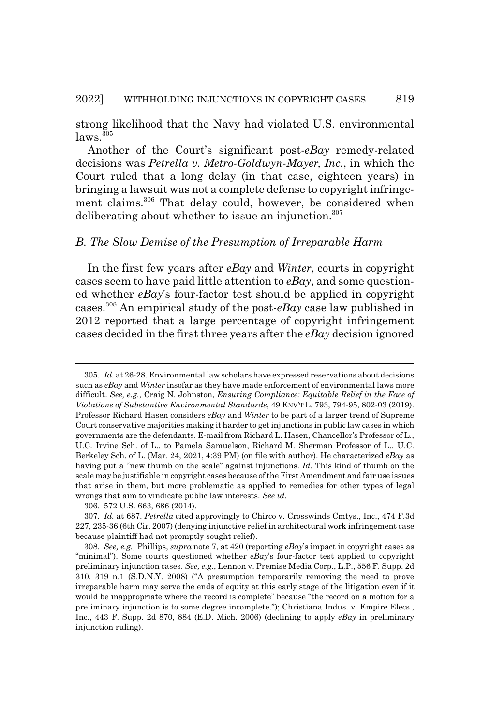strong likelihood that the Navy had violated U.S. environmental laws.<sup>305</sup>

Another of the Court's significant post-*eBay* remedy-related decisions was *Petrella v. Metro-Goldwyn-Mayer, Inc.*, in which the Court ruled that a long delay (in that case, eighteen years) in bringing a lawsuit was not a complete defense to copyright infringement claims.306 That delay could, however, be considered when deliberating about whether to issue an injunction.<sup>307</sup>

### *B. The Slow Demise of the Presumption of Irreparable Harm*

In the first few years after *eBay* and *Winter*, courts in copyright cases seem to have paid little attention to *eBay*, and some questioned whether *eBay*'s four-factor test should be applied in copyright cases.308 An empirical study of the post-*eBay* case law published in 2012 reported that a large percentage of copyright infringement cases decided in the first three years after the *eBay* decision ignored

<sup>305.</sup> *Id.* at 26-28. Environmental law scholars have expressed reservations about decisions such as *eBay* and *Winter* insofar as they have made enforcement of environmental laws more difficult. *See, e.g.*, Craig N. Johnston, *Ensuring Compliance: Equitable Relief in the Face of Violations of Substantive Environmental Standards*, 49 ENV'T L. 793, 794-95, 802-03 (2019). Professor Richard Hasen considers *eBay* and *Winter* to be part of a larger trend of Supreme Court conservative majorities making it harder to get injunctions in public law cases in which governments are the defendants. E-mail from Richard L. Hasen, Chancellor's Professor of L., U.C. Irvine Sch. of L., to Pamela Samuelson, Richard M. Sherman Professor of L., U.C. Berkeley Sch. of L. (Mar. 24, 2021, 4:39 PM) (on file with author). He characterized *eBay* as having put a "new thumb on the scale" against injunctions. *Id.* This kind of thumb on the scale may be justifiable in copyright cases because of the First Amendment and fair use issues that arise in them, but more problematic as applied to remedies for other types of legal wrongs that aim to vindicate public law interests. *See id.*

<sup>306. 572</sup> U.S. 663, 686 (2014).

<sup>307.</sup> *Id.* at 687. *Petrella* cited approvingly to Chirco v. Crosswinds Cmtys., Inc., 474 F.3d 227, 235-36 (6th Cir. 2007) (denying injunctive relief in architectural work infringement case because plaintiff had not promptly sought relief).

<sup>308.</sup> *See, e.g.*, Phillips, *supra* note 7, at 420 (reporting *eBay*'s impact in copyright cases as "minimal"). Some courts questioned whether *eBay*'s four-factor test applied to copyright preliminary injunction cases. *See, e.g.*, Lennon v. Premise Media Corp., L.P., 556 F. Supp. 2d 310, 319 n.1 (S.D.N.Y. 2008) ("A presumption temporarily removing the need to prove irreparable harm may serve the ends of equity at this early stage of the litigation even if it would be inappropriate where the record is complete" because "the record on a motion for a preliminary injunction is to some degree incomplete."); Christiana Indus. v. Empire Elecs., Inc., 443 F. Supp. 2d 870, 884 (E.D. Mich. 2006) (declining to apply *eBay* in preliminary injunction ruling).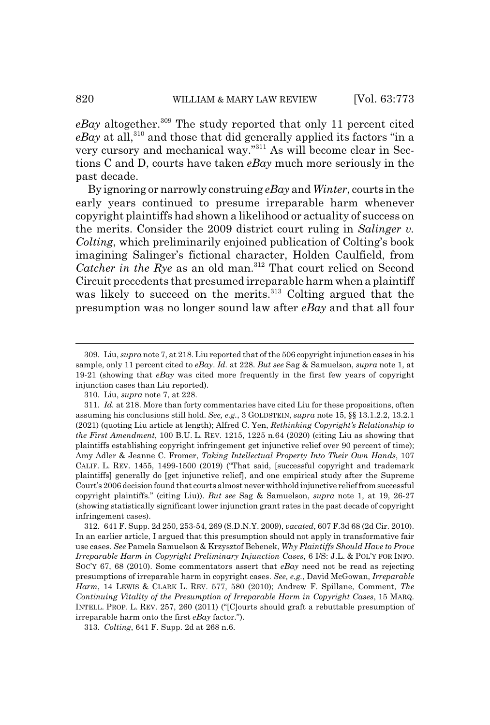$e$ *Bay* altogether.<sup>309</sup> The study reported that only 11 percent cited *eBay* at all,<sup>310</sup> and those that did generally applied its factors "in a very cursory and mechanical way."311 As will become clear in Sections C and D, courts have taken *eBay* much more seriously in the past decade.

By ignoring or narrowly construing *eBay* and *Winter*, courts in the early years continued to presume irreparable harm whenever copyright plaintiffs had shown a likelihood or actuality of success on the merits. Consider the 2009 district court ruling in *Salinger v. Colting*, which preliminarily enjoined publication of Colting's book imagining Salinger's fictional character, Holden Caulfield, from *Catcher in the Rye* as an old man.312 That court relied on Second Circuit precedents that presumed irreparable harm when a plaintiff was likely to succeed on the merits.<sup>313</sup> Colting argued that the presumption was no longer sound law after *eBay* and that all four

313. *Colting*, 641 F. Supp. 2d at 268 n.6.

<sup>309.</sup> Liu, *supra* note 7, at 218. Liu reported that of the 506 copyright injunction cases in his sample, only 11 percent cited to *eBay*. *Id.* at 228. *But see* Sag & Samuelson, *supra* note 1, at 19-21 (showing that *eBay* was cited more frequently in the first few years of copyright injunction cases than Liu reported).

<sup>310.</sup> Liu, *supra* note 7, at 228.

<sup>311.</sup> *Id.* at 218. More than forty commentaries have cited Liu for these propositions, often assuming his conclusions still hold. *See, e.g.*, 3 GOLDSTEIN, *supra* note 15, §§ 13.1.2.2, 13.2.1 (2021) (quoting Liu article at length); Alfred C. Yen, *Rethinking Copyright's Relationship to the First Amendment*, 100 B.U. L. REV. 1215, 1225 n.64 (2020) (citing Liu as showing that plaintiffs establishing copyright infringement get injunctive relief over 90 percent of time); Amy Adler & Jeanne C. Fromer, *Taking Intellectual Property Into Their Own Hands*, 107 CALIF. L. REV. 1455, 1499-1500 (2019) ("That said, [successful copyright and trademark plaintiffs] generally do [get injunctive relief], and one empirical study after the Supreme Court's 2006 decision found that courts almost never withhold injunctive relief from successful copyright plaintiffs." (citing Liu)). *But see* Sag & Samuelson, *supra* note 1, at 19, 26-27 (showing statistically significant lower injunction grant rates in the past decade of copyright infringement cases).

<sup>312. 641</sup> F. Supp. 2d 250, 253-54, 269 (S.D.N.Y. 2009), *vacated*, 607 F.3d 68 (2d Cir. 2010). In an earlier article, I argued that this presumption should not apply in transformative fair use cases. *See* Pamela Samuelson & Krzysztof Bebenek, *Why Plaintiffs Should Have to Prove Irreparable Harm in Copyright Preliminary Injunction Cases*, 6 I/S: J.L. & POL'Y FOR INFO. SOC'Y 67, 68 (2010). Some commentators assert that *eBay* need not be read as rejecting presumptions of irreparable harm in copyright cases. *See, e.g.*, David McGowan, *Irreparable Harm*, 14 LEWIS & CLARK L. REV. 577, 580 (2010); Andrew F. Spillane, Comment, *The Continuing Vitality of the Presumption of Irreparable Harm in Copyright Cases*, 15 MARQ. INTELL. PROP. L. REV. 257, 260 (2011) ("[C]ourts should graft a rebuttable presumption of irreparable harm onto the first *eBay* factor.").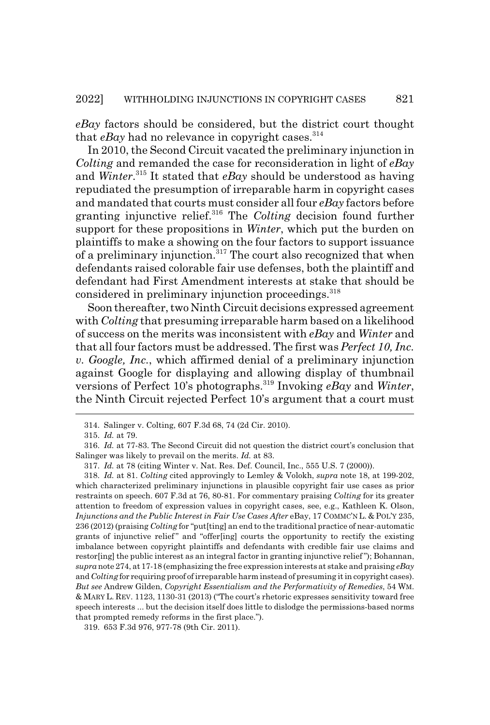*eBay* factors should be considered, but the district court thought that  $e$ *Bay* had no relevance in copyright cases.<sup>314</sup>

In 2010, the Second Circuit vacated the preliminary injunction in *Colting* and remanded the case for reconsideration in light of *eBay* and *Winter*. 315 It stated that *eBay* should be understood as having repudiated the presumption of irreparable harm in copyright cases and mandated that courts must consider all four *eBay* factors before granting injunctive relief.316 The *Colting* decision found further support for these propositions in *Winter*, which put the burden on plaintiffs to make a showing on the four factors to support issuance of a preliminary injunction.317 The court also recognized that when defendants raised colorable fair use defenses, both the plaintiff and defendant had First Amendment interests at stake that should be considered in preliminary injunction proceedings.<sup>318</sup>

Soon thereafter, two Ninth Circuit decisions expressed agreement with *Colting* that presuming irreparable harm based on a likelihood of success on the merits was inconsistent with *eBay* and *Winter* and that all four factors must be addressed. The first was *Perfect 10, Inc. v. Google, Inc.*, which affirmed denial of a preliminary injunction against Google for displaying and allowing display of thumbnail versions of Perfect 10's photographs.319 Invoking *eBay* and *Winter*, the Ninth Circuit rejected Perfect 10's argument that a court must

<sup>314.</sup> Salinger v. Colting, 607 F.3d 68, 74 (2d Cir. 2010).

<sup>315.</sup> *Id.* at 79.

<sup>316.</sup> *Id.* at 77-83. The Second Circuit did not question the district court's conclusion that Salinger was likely to prevail on the merits. *Id.* at 83.

<sup>317.</sup> *Id.* at 78 (citing Winter v. Nat. Res. Def. Council, Inc., 555 U.S. 7 (2000)).

<sup>318.</sup> *Id.* at 81. *Colting* cited approvingly to Lemley & Volokh, *supra* note 18, at 199-202, which characterized preliminary injunctions in plausible copyright fair use cases as prior restraints on speech. 607 F.3d at 76, 80-81. For commentary praising *Colting* for its greater attention to freedom of expression values in copyright cases, see, e.g., Kathleen K. Olson, *Injunctions and the Public Interest in Fair Use Cases After* eBay, 17 COMMC'N L. & POL'Y 235, 236 (2012) (praising *Colting* for "put[ting] an end to the traditional practice of near-automatic grants of injunctive relief " and "offer[ing] courts the opportunity to rectify the existing imbalance between copyright plaintiffs and defendants with credible fair use claims and restor[ing] the public interest as an integral factor in granting injunctive relief "); Bohannan, *supra* note 274, at 17-18 (emphasizing the free expression interests at stake and praising *eBay* and *Colting* for requiring proof of irreparable harm instead of presuming it in copyright cases). *But see* Andrew Gilden, *Copyright Essentialism and the Performativity of Remedies*, 54 WM. & MARY L. REV. 1123, 1130-31 (2013) ("The court's rhetoric expresses sensitivity toward free speech interests ... but the decision itself does little to dislodge the permissions-based norms that prompted remedy reforms in the first place.").

<sup>319. 653</sup> F.3d 976, 977-78 (9th Cir. 2011).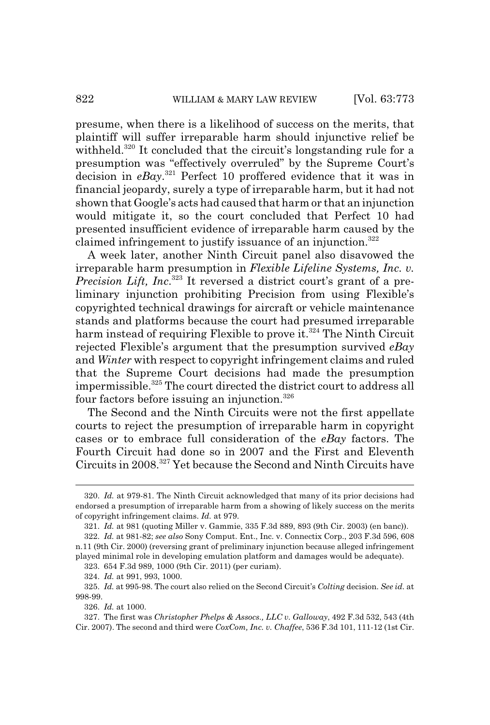presume, when there is a likelihood of success on the merits, that plaintiff will suffer irreparable harm should injunctive relief be withheld.<sup>320</sup> It concluded that the circuit's longstanding rule for a presumption was "effectively overruled" by the Supreme Court's decision in *eBay*. 321 Perfect 10 proffered evidence that it was in financial jeopardy, surely a type of irreparable harm, but it had not shown that Google's acts had caused that harm or that an injunction would mitigate it, so the court concluded that Perfect 10 had presented insufficient evidence of irreparable harm caused by the claimed infringement to justify issuance of an injunction.<sup>322</sup>

A week later, another Ninth Circuit panel also disavowed the irreparable harm presumption in *Flexible Lifeline Systems, Inc. v. Precision Lift, Inc*. 323 It reversed a district court's grant of a preliminary injunction prohibiting Precision from using Flexible's copyrighted technical drawings for aircraft or vehicle maintenance stands and platforms because the court had presumed irreparable harm instead of requiring Flexible to prove it.<sup>324</sup> The Ninth Circuit rejected Flexible's argument that the presumption survived *eBay* and *Winter* with respect to copyright infringement claims and ruled that the Supreme Court decisions had made the presumption impermissible.<sup>325</sup> The court directed the district court to address all four factors before issuing an injunction.326

The Second and the Ninth Circuits were not the first appellate courts to reject the presumption of irreparable harm in copyright cases or to embrace full consideration of the *eBay* factors. The Fourth Circuit had done so in 2007 and the First and Eleventh Circuits in 2008.327 Yet because the Second and Ninth Circuits have

323. 654 F.3d 989, 1000 (9th Cir. 2011) (per curiam).

324. *Id.* at 991, 993, 1000.

326. *Id.* at 1000.

327. The first was *Christopher Phelps & Assocs., LLC v. Galloway*, 492 F.3d 532, 543 (4th Cir. 2007). The second and third were *CoxCom, Inc. v. Chaffee*, 536 F.3d 101, 111-12 (1st Cir.

<sup>320.</sup> *Id.* at 979-81. The Ninth Circuit acknowledged that many of its prior decisions had endorsed a presumption of irreparable harm from a showing of likely success on the merits of copyright infringement claims. *Id.* at 979.

<sup>321.</sup> *Id.* at 981 (quoting Miller v. Gammie, 335 F.3d 889, 893 (9th Cir. 2003) (en banc)).

<sup>322.</sup> *Id.* at 981-82; *see also* Sony Comput. Ent., Inc. v. Connectix Corp., 203 F.3d 596, 608 n.11 (9th Cir. 2000) (reversing grant of preliminary injunction because alleged infringement played minimal role in developing emulation platform and damages would be adequate).

<sup>325.</sup> *Id.* at 995-98. The court also relied on the Second Circuit's *Colting* decision. *See id.* at 998-99.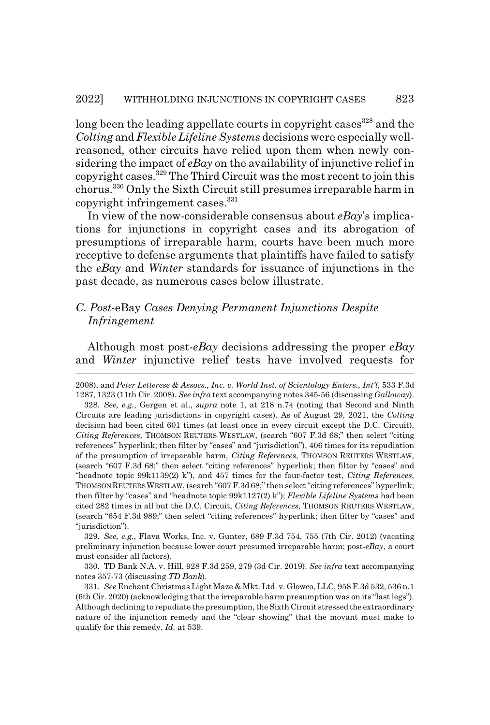long been the leading appellate courts in copyright cases<sup>328</sup> and the *Colting* and *Flexible Lifeline Systems* decisions were especially wellreasoned, other circuits have relied upon them when newly considering the impact of *eBay* on the availability of injunctive relief in copyright cases.329 The Third Circuit was the most recent to join this chorus.330 Only the Sixth Circuit still presumes irreparable harm in copyright infringement cases. $331$ 

In view of the now-considerable consensus about *eBay*'s implications for injunctions in copyright cases and its abrogation of presumptions of irreparable harm, courts have been much more receptive to defense arguments that plaintiffs have failed to satisfy the *eBay* and *Winter* standards for issuance of injunctions in the past decade, as numerous cases below illustrate.

## *C. Post-*eBay *Cases Denying Permanent Injunctions Despite Infringement*

Although most post-*eBay* decisions addressing the proper *eBay* and *Winter* injunctive relief tests have involved requests for

329. *See, e.g.*, Flava Works, Inc. v. Gunter, 689 F.3d 754, 755 (7th Cir. 2012) (vacating preliminary injunction because lower court presumed irreparable harm; post-*eBay*, a court must consider all factors).

330. TD Bank N.A. v. Hill, 928 F.3d 259, 279 (3d Cir. 2019). *See infra* text accompanying notes 357-73 (discussing *TD Bank*).

331. *See* Enchant Christmas Light Maze & Mkt. Ltd. v. Glowco, LLC, 958 F.3d 532, 536 n.1 (6th Cir. 2020) (acknowledging that the irreparable harm presumption was on its "last legs"). Although declining to repudiate the presumption, the Sixth Circuit stressed the extraordinary nature of the injunction remedy and the "clear showing" that the movant must make to qualify for this remedy. *Id.* at 539.

<sup>2008),</sup> and *Peter Letterese & Assocs., Inc. v. World Inst. of Scientology Enters., Int'l*, 533 F.3d 1287, 1323 (11th Cir. 2008). *See infra* text accompanying notes 345-56 (discussing *Galloway*). 328. *See, e.g.*, Gergen et al., *supra* note 1, at 218 n.74 (noting that Second and Ninth Circuits are leading jurisdictions in copyright cases). As of August 29, 2021, the *Colting* decision had been cited 601 times (at least once in every circuit except the D.C. Circuit), *Citing References*, THOMSON REUTERS WESTLAW, (search "607 F.3d 68;" then select "citing references" hyperlink; then filter by "cases" and "jurisdiction"), 406 times for its repudiation of the presumption of irreparable harm, *Citing References*, THOMSON REUTERS WESTLAW, (search "607 F.3d 68;" then select "citing references" hyperlink; then filter by "cases" and "headnote topic 99k1139(2) k"), and 457 times for the four-factor test, *Citing References*, THOMSON REUTERS WESTLAW, (search "607 F.3d 68;" then select "citing references" hyperlink; then filter by "cases" and "headnote topic 99k1127(2) k"); *Flexible Lifeline Systems* had been cited 282 times in all but the D.C. Circuit, *Citing References*, THOMSON REUTERS WESTLAW, (search "654 F.3d 989;" then select "citing references" hyperlink; then filter by "cases" and "jurisdiction").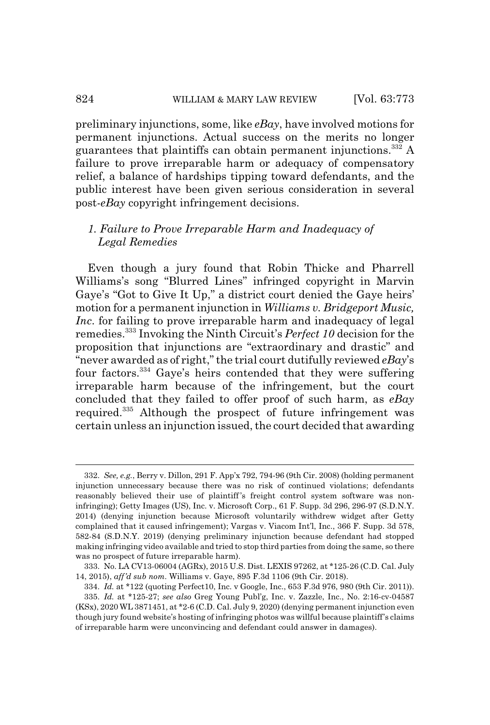preliminary injunctions, some, like *eBay*, have involved motions for permanent injunctions. Actual success on the merits no longer guarantees that plaintiffs can obtain permanent injunctions.332 A failure to prove irreparable harm or adequacy of compensatory relief, a balance of hardships tipping toward defendants, and the public interest have been given serious consideration in several post-*eBay* copyright infringement decisions.

# *1. Failure to Prove Irreparable Harm and Inadequacy of Legal Remedies*

Even though a jury found that Robin Thicke and Pharrell Williams's song "Blurred Lines" infringed copyright in Marvin Gaye's "Got to Give It Up," a district court denied the Gaye heirs' motion for a permanent injunction in *Williams v. Bridgeport Music, Inc*. for failing to prove irreparable harm and inadequacy of legal remedies.333 Invoking the Ninth Circuit's *Perfect 10* decision for the proposition that injunctions are "extraordinary and drastic" and "never awarded as of right," the trial court dutifully reviewed *eBay*'s four factors.334 Gaye's heirs contended that they were suffering irreparable harm because of the infringement, but the court concluded that they failed to offer proof of such harm, as *eBay* required.335 Although the prospect of future infringement was certain unless an injunction issued, the court decided that awarding

<sup>332.</sup> *See, e.g.*, Berry v. Dillon, 291 F. App'x 792, 794-96 (9th Cir. 2008) (holding permanent injunction unnecessary because there was no risk of continued violations; defendants reasonably believed their use of plaintiff's freight control system software was noninfringing); Getty Images (US), Inc. v. Microsoft Corp., 61 F. Supp. 3d 296, 296-97 (S.D.N.Y. 2014) (denying injunction because Microsoft voluntarily withdrew widget after Getty complained that it caused infringement); Vargas v. Viacom Int'l, Inc., 366 F. Supp. 3d 578, 582-84 (S.D.N.Y. 2019) (denying preliminary injunction because defendant had stopped making infringing video available and tried to stop third parties from doing the same, so there was no prospect of future irreparable harm).

<sup>333.</sup> No. LA CV13-06004 (AGRx), 2015 U.S. Dist. LEXIS 97262, at \*125-26 (C.D. Cal. July 14, 2015), *aff'd sub nom*. Williams v. Gaye, 895 F.3d 1106 (9th Cir. 2018).

<sup>334.</sup> *Id.* at \*122 (quoting Perfect10, Inc. v Google, Inc., 653 F.3d 976, 980 (9th Cir. 2011)). 335. *Id.* at \*125-27; *see also* Greg Young Publ'g, Inc. v. Zazzle, Inc., No. 2:16-cv-04587 (KSx), 2020 WL 3871451, at \*2-6 (C.D. Cal. July 9, 2020) (denying permanent injunction even though jury found website's hosting of infringing photos was willful because plaintiff's claims of irreparable harm were unconvincing and defendant could answer in damages).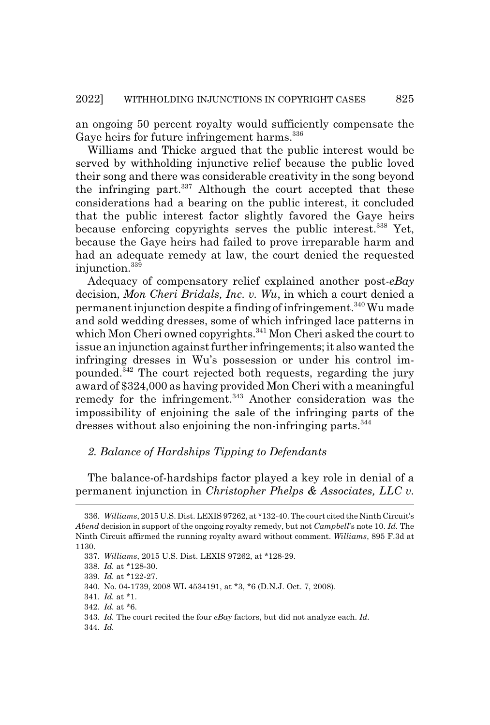an ongoing 50 percent royalty would sufficiently compensate the Gaye heirs for future infringement harms.<sup>336</sup>

Williams and Thicke argued that the public interest would be served by withholding injunctive relief because the public loved their song and there was considerable creativity in the song beyond the infringing part. $337$  Although the court accepted that these considerations had a bearing on the public interest, it concluded that the public interest factor slightly favored the Gaye heirs because enforcing copyrights serves the public interest.<sup>338</sup> Yet, because the Gaye heirs had failed to prove irreparable harm and had an adequate remedy at law, the court denied the requested injunction.339

Adequacy of compensatory relief explained another post-*eBay* decision, *Mon Cheri Bridals, Inc. v. Wu*, in which a court denied a permanent injunction despite a finding of infringement.340 Wu made and sold wedding dresses, some of which infringed lace patterns in which Mon Cheri owned copyrights.<sup>341</sup> Mon Cheri asked the court to issue an injunction against further infringements; it also wanted the infringing dresses in Wu's possession or under his control impounded.342 The court rejected both requests, regarding the jury award of \$324,000 as having provided Mon Cheri with a meaningful remedy for the infringement. $343$  Another consideration was the impossibility of enjoining the sale of the infringing parts of the dresses without also enjoining the non-infringing parts.<sup>344</sup>

### *2. Balance of Hardships Tipping to Defendants*

The balance-of-hardships factor played a key role in denial of a permanent injunction in *Christopher Phelps & Associates, LLC v.*

344. *Id.*

<sup>336.</sup> *Williams*, 2015 U.S. Dist. LEXIS 97262, at \*132-40. The court cited the Ninth Circuit's *Abend* decision in support of the ongoing royalty remedy, but not *Campbell*'s note 10. *Id.* The Ninth Circuit affirmed the running royalty award without comment. *Williams*, 895 F.3d at 1130.

<sup>337.</sup> *Williams*, 2015 U.S. Dist. LEXIS 97262, at \*128-29.

<sup>338.</sup> *Id.* at \*128-30.

<sup>339.</sup> *Id.* at \*122-27.

<sup>340.</sup> No. 04-1739, 2008 WL 4534191, at \*3, \*6 (D.N.J. Oct. 7, 2008).

<sup>341.</sup> *Id.* at \*1.

<sup>342.</sup> *Id.* at \*6.

<sup>343.</sup> *Id.* The court recited the four *eBay* factors, but did not analyze each. *Id.*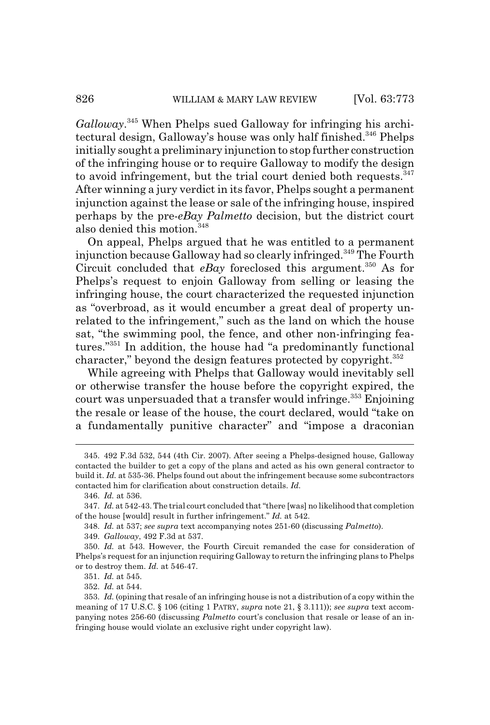*Galloway*. 345 When Phelps sued Galloway for infringing his architectural design, Galloway's house was only half finished.<sup>346</sup> Phelps initially sought a preliminary injunction to stop further construction of the infringing house or to require Galloway to modify the design to avoid infringement, but the trial court denied both requests.<sup>347</sup> After winning a jury verdict in its favor, Phelps sought a permanent injunction against the lease or sale of the infringing house, inspired perhaps by the pre-*eBay Palmetto* decision, but the district court also denied this motion.<sup>348</sup>

On appeal, Phelps argued that he was entitled to a permanent injunction because Galloway had so clearly infringed.<sup>349</sup> The Fourth Circuit concluded that *eBay* foreclosed this argument.<sup>350</sup> As for Phelps's request to enjoin Galloway from selling or leasing the infringing house, the court characterized the requested injunction as "overbroad, as it would encumber a great deal of property unrelated to the infringement," such as the land on which the house sat, "the swimming pool, the fence, and other non-infringing features."351 In addition, the house had "a predominantly functional character," beyond the design features protected by copyright.<sup>352</sup>

While agreeing with Phelps that Galloway would inevitably sell or otherwise transfer the house before the copyright expired, the court was unpersuaded that a transfer would infringe.<sup>353</sup> Enjoining the resale or lease of the house, the court declared, would "take on a fundamentally punitive character" and "impose a draconian

351. *Id.* at 545.

352. *Id.* at 544.

<sup>345. 492</sup> F.3d 532, 544 (4th Cir. 2007). After seeing a Phelps-designed house, Galloway contacted the builder to get a copy of the plans and acted as his own general contractor to build it. *Id.* at 535-36. Phelps found out about the infringement because some subcontractors contacted him for clarification about construction details. *Id.*

<sup>346.</sup> *Id.* at 536.

<sup>347.</sup> *Id.* at 542-43. The trial court concluded that "there [was] no likelihood that completion of the house [would] result in further infringement." *Id.* at 542.

<sup>348.</sup> *Id.* at 537; *see supra* text accompanying notes 251-60 (discussing *Palmetto*).

<sup>349.</sup> *Galloway*, 492 F.3d at 537.

<sup>350.</sup> *Id.* at 543. However, the Fourth Circuit remanded the case for consideration of Phelps's request for an injunction requiring Galloway to return the infringing plans to Phelps or to destroy them. *Id.* at 546-47.

<sup>353.</sup> *Id.* (opining that resale of an infringing house is not a distribution of a copy within the meaning of 17 U.S.C. § 106 (citing 1 PATRY, *supra* note 21, § 3.111)); *see supra* text accompanying notes 256-60 (discussing *Palmetto* court's conclusion that resale or lease of an infringing house would violate an exclusive right under copyright law).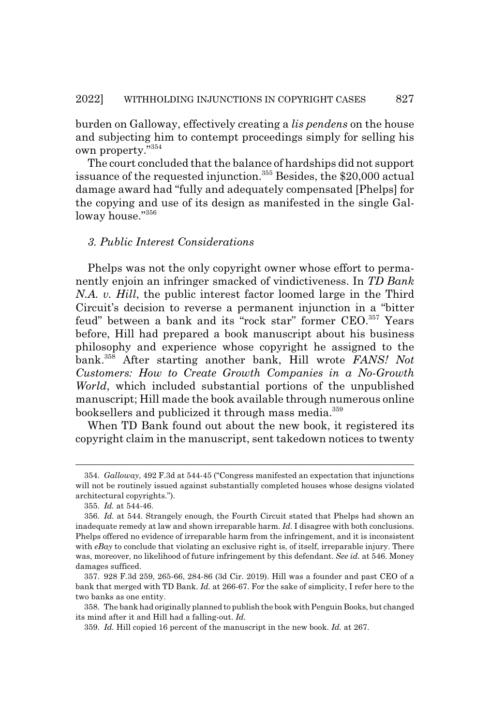burden on Galloway, effectively creating a *lis pendens* on the house and subjecting him to contempt proceedings simply for selling his own property."354

The court concluded that the balance of hardships did not support issuance of the requested injunction.<sup>355</sup> Besides, the \$20,000 actual damage award had "fully and adequately compensated [Phelps] for the copying and use of its design as manifested in the single Galloway house."356

## *3. Public Interest Considerations*

Phelps was not the only copyright owner whose effort to permanently enjoin an infringer smacked of vindictiveness. In *TD Bank N.A. v. Hill*, the public interest factor loomed large in the Third Circuit's decision to reverse a permanent injunction in a "bitter feud" between a bank and its "rock star" former CEO.357 Years before, Hill had prepared a book manuscript about his business philosophy and experience whose copyright he assigned to the bank.358 After starting another bank, Hill wrote *FANS! Not Customers: How to Create Growth Companies in a No-Growth World*, which included substantial portions of the unpublished manuscript; Hill made the book available through numerous online booksellers and publicized it through mass media.<sup>359</sup>

When TD Bank found out about the new book, it registered its copyright claim in the manuscript, sent takedown notices to twenty

<sup>354.</sup> *Galloway*, 492 F.3d at 544-45 ("Congress manifested an expectation that injunctions will not be routinely issued against substantially completed houses whose designs violated architectural copyrights.").

<sup>355.</sup> *Id.* at 544-46.

<sup>356.</sup> *Id.* at 544. Strangely enough, the Fourth Circuit stated that Phelps had shown an inadequate remedy at law and shown irreparable harm. *Id.* I disagree with both conclusions. Phelps offered no evidence of irreparable harm from the infringement, and it is inconsistent with *eBay* to conclude that violating an exclusive right is, of itself, irreparable injury. There was, moreover, no likelihood of future infringement by this defendant. *See id.* at 546. Money damages sufficed.

<sup>357. 928</sup> F.3d 259, 265-66, 284-86 (3d Cir. 2019). Hill was a founder and past CEO of a bank that merged with TD Bank. *Id.* at 266-67. For the sake of simplicity, I refer here to the two banks as one entity.

<sup>358.</sup> The bank had originally planned to publish the book with Penguin Books, but changed its mind after it and Hill had a falling-out. *Id.*

<sup>359.</sup> *Id.* Hill copied 16 percent of the manuscript in the new book. *Id.* at 267.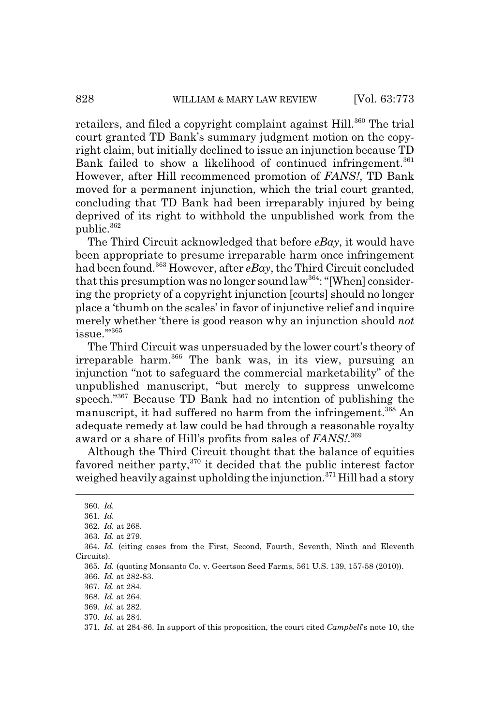retailers, and filed a copyright complaint against Hill.<sup>360</sup> The trial court granted TD Bank's summary judgment motion on the copyright claim, but initially declined to issue an injunction because TD Bank failed to show a likelihood of continued infringement.<sup>361</sup> However, after Hill recommenced promotion of *FANS!*, TD Bank moved for a permanent injunction, which the trial court granted, concluding that TD Bank had been irreparably injured by being deprived of its right to withhold the unpublished work from the public.<sup>362</sup>

The Third Circuit acknowledged that before *eBay*, it would have been appropriate to presume irreparable harm once infringement had been found.363 However, after *eBay*, the Third Circuit concluded that this presumption was no longer sound  $law^{364}$ : "[When] considering the propriety of a copyright injunction [courts] should no longer place a 'thumb on the scales' in favor of injunctive relief and inquire merely whether 'there is good reason why an injunction should *not* issue."<sup>365</sup>

The Third Circuit was unpersuaded by the lower court's theory of irreparable harm.366 The bank was, in its view, pursuing an injunction "not to safeguard the commercial marketability" of the unpublished manuscript, "but merely to suppress unwelcome speech."367 Because TD Bank had no intention of publishing the manuscript, it had suffered no harm from the infringement.<sup>368</sup> An adequate remedy at law could be had through a reasonable royalty award or a share of Hill's profits from sales of *FANS!*. 369

Although the Third Circuit thought that the balance of equities favored neither party,<sup>370</sup> it decided that the public interest factor weighed heavily against upholding the injunction.<sup>371</sup> Hill had a story

<sup>360.</sup> *Id.*

<sup>361.</sup> *Id.*

<sup>362.</sup> *Id.* at 268.

<sup>363.</sup> *Id.* at 279.

<sup>364.</sup> *Id.* (citing cases from the First, Second, Fourth, Seventh, Ninth and Eleventh Circuits).

<sup>365.</sup> *Id.* (quoting Monsanto Co. v. Geertson Seed Farms, 561 U.S. 139, 157-58 (2010)).

<sup>366.</sup> *Id.* at 282-83.

<sup>367.</sup> *Id.* at 284.

<sup>368.</sup> *Id.* at 264.

<sup>369.</sup> *Id.* at 282.

<sup>370.</sup> *Id.* at 284.

<sup>371.</sup> *Id.* at 284-86. In support of this proposition, the court cited *Campbell*'s note 10, the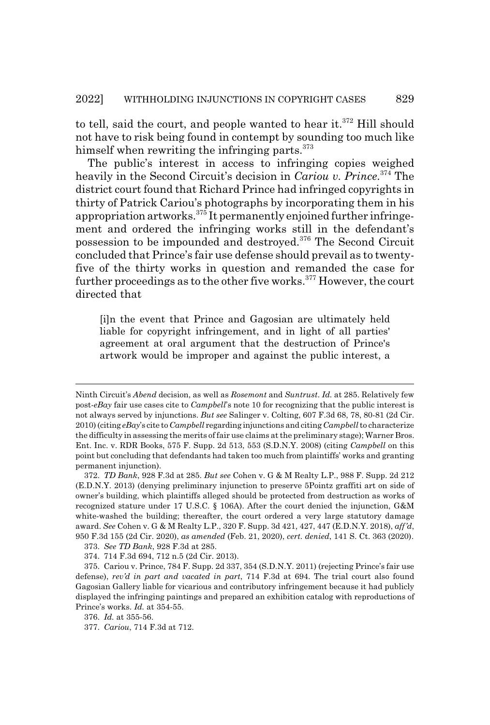to tell, said the court, and people wanted to hear it.<sup>372</sup> Hill should not have to risk being found in contempt by sounding too much like himself when rewriting the infringing parts. $373$ 

The public's interest in access to infringing copies weighed heavily in the Second Circuit's decision in *Cariou v. Prince*. 374 The district court found that Richard Prince had infringed copyrights in thirty of Patrick Cariou's photographs by incorporating them in his appropriation artworks.375 It permanently enjoined further infringement and ordered the infringing works still in the defendant's possession to be impounded and destroyed.376 The Second Circuit concluded that Prince's fair use defense should prevail as to twentyfive of the thirty works in question and remanded the case for further proceedings as to the other five works.<sup>377</sup> However, the court directed that

[i]n the event that Prince and Gagosian are ultimately held liable for copyright infringement, and in light of all parties' agreement at oral argument that the destruction of Prince's artwork would be improper and against the public interest, a

Ninth Circuit's *Abend* decision, as well as *Rosemont* and *Suntrust*. *Id.* at 285. Relatively few post-*eBay* fair use cases cite to *Campbell*'s note 10 for recognizing that the public interest is not always served by injunctions. *But see* Salinger v. Colting, 607 F.3d 68, 78, 80-81 (2d Cir. 2010) (citing *eBay*'s cite to *Campbell* regarding injunctions and citing *Campbell* to characterize the difficulty in assessing the merits of fair use claims at the preliminary stage); Warner Bros. Ent. Inc. v. RDR Books, 575 F. Supp. 2d 513, 553 (S.D.N.Y. 2008) (citing *Campbell* on this point but concluding that defendants had taken too much from plaintiffs' works and granting permanent injunction).

<sup>372.</sup> *TD Bank*, 928 F.3d at 285. *But see* Cohen v. G & M Realty L.P., 988 F. Supp. 2d 212 (E.D.N.Y. 2013) (denying preliminary injunction to preserve 5Pointz graffiti art on side of owner's building, which plaintiffs alleged should be protected from destruction as works of recognized stature under 17 U.S.C. § 106A). After the court denied the injunction, G&M white-washed the building; thereafter, the court ordered a very large statutory damage award. *See* Cohen v. G & M Realty L.P., 320 F. Supp. 3d 421, 427, 447 (E.D.N.Y. 2018), *aff'd*, 950 F.3d 155 (2d Cir. 2020), *as amended* (Feb. 21, 2020), *cert. denied*, 141 S. Ct. 363 (2020).

<sup>373.</sup> *See TD Bank*, 928 F.3d at 285.

<sup>374. 714</sup> F.3d 694, 712 n.5 (2d Cir. 2013).

<sup>375.</sup> Cariou v. Prince, 784 F. Supp. 2d 337, 354 (S.D.N.Y. 2011) (rejecting Prince's fair use defense), *rev'd in part and vacated in part*, 714 F.3d at 694. The trial court also found Gagosian Gallery liable for vicarious and contributory infringement because it had publicly displayed the infringing paintings and prepared an exhibition catalog with reproductions of Prince's works. *Id.* at 354-55.

<sup>376.</sup> *Id.* at 355-56.

<sup>377.</sup> *Cariou*, 714 F.3d at 712.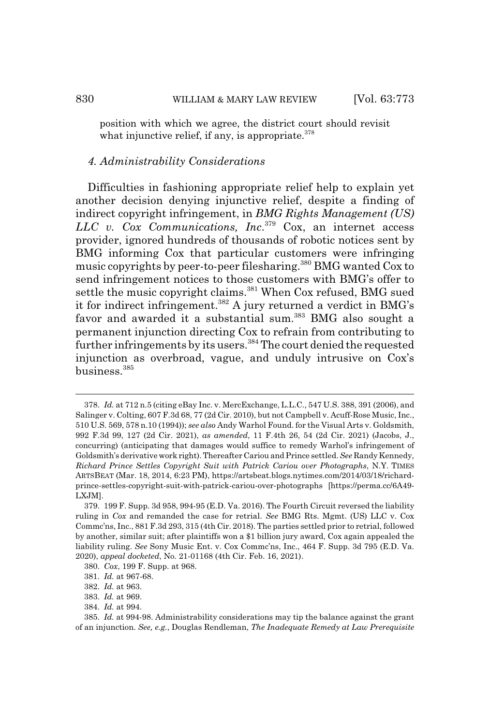position with which we agree, the district court should revisit what injunctive relief, if any, is appropriate.<sup>378</sup>

#### *4. Administrability Considerations*

Difficulties in fashioning appropriate relief help to explain yet another decision denying injunctive relief, despite a finding of indirect copyright infringement, in *BMG Rights Management (US) LLC v. Cox Communications, Inc*. 379 Cox, an internet access provider, ignored hundreds of thousands of robotic notices sent by BMG informing Cox that particular customers were infringing music copyrights by peer-to-peer filesharing.380 BMG wanted Cox to send infringement notices to those customers with BMG's offer to settle the music copyright claims.<sup>381</sup> When Cox refused, BMG sued it for indirect infringement.382 A jury returned a verdict in BMG's favor and awarded it a substantial sum.<sup>383</sup> BMG also sought a permanent injunction directing Cox to refrain from contributing to further infringements by its users.384 The court denied the requested injunction as overbroad, vague, and unduly intrusive on Cox's business.385

<sup>378.</sup> *Id.* at 712 n.5 (citing eBay Inc. v. MercExchange, L.L.C., 547 U.S. 388, 391 (2006), and Salinger v. Colting, 607 F.3d 68, 77 (2d Cir. 2010), but not Campbell v. Acuff-Rose Music, Inc., 510 U.S. 569, 578 n.10 (1994)); *see also* Andy Warhol Found. for the Visual Arts v. Goldsmith, 992 F.3d 99, 127 (2d Cir. 2021), *as amended*, 11 F.4th 26, 54 (2d Cir. 2021) (Jacobs, J., concurring) (anticipating that damages would suffice to remedy Warhol's infringement of Goldsmith's derivative work right). Thereafter Cariou and Prince settled. *See* Randy Kennedy, *Richard Prince Settles Copyright Suit with Patrick Cariou over Photographs*, N.Y. TIMES ARTSBEAT (Mar. 18, 2014, 6:23 PM), https://artsbeat.blogs.nytimes.com/2014/03/18/richardprince-settles-copyright-suit-with-patrick-cariou-over-photographs [https://perma.cc/6A49- LXJM].

<sup>379. 199</sup> F. Supp. 3d 958, 994-95 (E.D. Va. 2016). The Fourth Circuit reversed the liability ruling in *Cox* and remanded the case for retrial. *See* BMG Rts. Mgmt. (US) LLC v. Cox Commc'ns, Inc., 881 F.3d 293, 315 (4th Cir. 2018). The parties settled prior to retrial, followed by another, similar suit; after plaintiffs won a \$1 billion jury award, Cox again appealed the liability ruling. *See* Sony Music Ent. v. Cox Commc'ns, Inc., 464 F. Supp. 3d 795 (E.D. Va. 2020), *appeal docketed*, No. 21-01168 (4th Cir. Feb. 16, 2021).

<sup>380.</sup> *Cox*, 199 F. Supp. at 968.

<sup>381.</sup> *Id.* at 967-68.

<sup>382.</sup> *Id.* at 963.

<sup>383.</sup> *Id.* at 969.

<sup>384.</sup> *Id.* at 994.

<sup>385.</sup> *Id.* at 994-98. Administrability considerations may tip the balance against the grant of an injunction. *See, e.g.*, Douglas Rendleman, *The Inadequate Remedy at Law Prerequisite*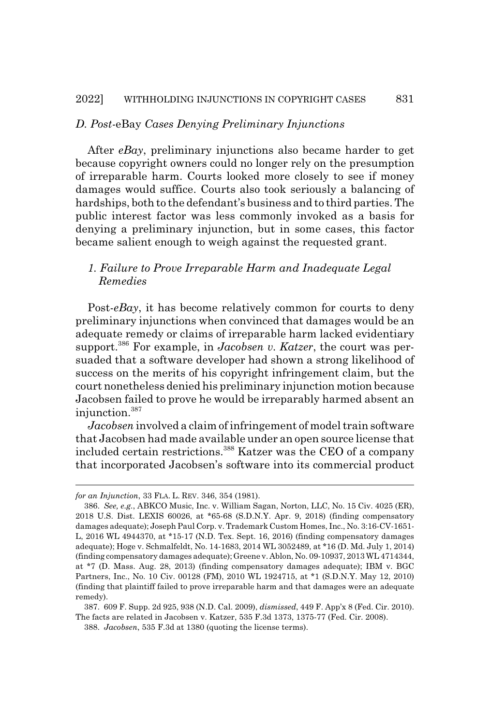#### *D. Post-*eBay *Cases Denying Preliminary Injunctions*

After *eBay*, preliminary injunctions also became harder to get because copyright owners could no longer rely on the presumption of irreparable harm. Courts looked more closely to see if money damages would suffice. Courts also took seriously a balancing of hardships, both to the defendant's business and to third parties. The public interest factor was less commonly invoked as a basis for denying a preliminary injunction, but in some cases, this factor became salient enough to weigh against the requested grant.

# *1. Failure to Prove Irreparable Harm and Inadequate Legal Remedies*

Post-*eBay*, it has become relatively common for courts to deny preliminary injunctions when convinced that damages would be an adequate remedy or claims of irreparable harm lacked evidentiary support.386 For example, in *Jacobsen v. Katzer*, the court was persuaded that a software developer had shown a strong likelihood of success on the merits of his copyright infringement claim, but the court nonetheless denied his preliminary injunction motion because Jacobsen failed to prove he would be irreparably harmed absent an injunction.387

*Jacobsen* involved a claim of infringement of model train software that Jacobsen had made available under an open source license that included certain restrictions.388 Katzer was the CEO of a company that incorporated Jacobsen's software into its commercial product

388. *Jacobsen*, 535 F.3d at 1380 (quoting the license terms).

*for an Injunction*, 33 FLA. L. REV. 346, 354 (1981).

<sup>386.</sup> *See, e.g.*, ABKCO Music, Inc. v. William Sagan, Norton, LLC, No. 15 Civ. 4025 (ER), 2018 U.S. Dist. LEXIS 60026, at \*65-68 (S.D.N.Y. Apr. 9, 2018) (finding compensatory damages adequate); Joseph Paul Corp. v. Trademark Custom Homes, Inc., No. 3:16-CV-1651- L, 2016 WL 4944370, at \*15-17 (N.D. Tex. Sept. 16, 2016) (finding compensatory damages adequate); Hoge v. Schmalfeldt, No. 14-1683, 2014 WL 3052489, at \*16 (D. Md. July 1, 2014) (finding compensatory damages adequate); Greene v. Ablon, No. 09-10937, 2013 WL 4714344, at \*7 (D. Mass. Aug. 28, 2013) (finding compensatory damages adequate); IBM v. BGC Partners, Inc., No. 10 Civ. 00128 (FM), 2010 WL 1924715, at \*1 (S.D.N.Y. May 12, 2010) (finding that plaintiff failed to prove irreparable harm and that damages were an adequate remedy).

<sup>387. 609</sup> F. Supp. 2d 925, 938 (N.D. Cal. 2009), *dismissed*, 449 F. App'x 8 (Fed. Cir. 2010). The facts are related in Jacobsen v. Katzer, 535 F.3d 1373, 1375-77 (Fed. Cir. 2008).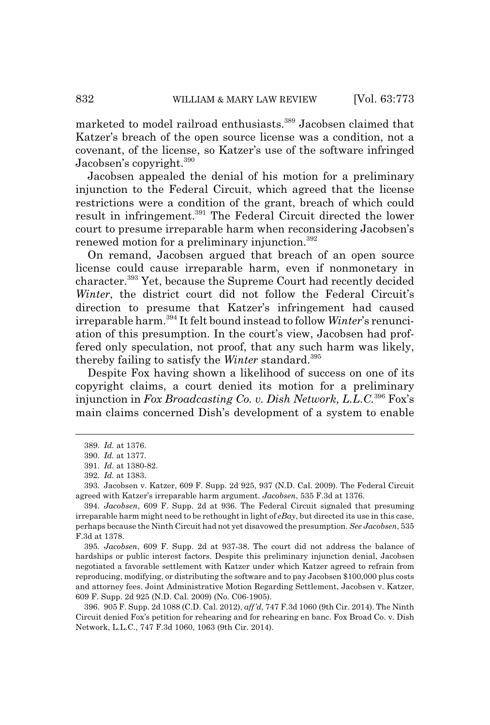marketed to model railroad enthusiasts.389 Jacobsen claimed that Katzer's breach of the open source license was a condition, not a covenant, of the license, so Katzer's use of the software infringed Jacobsen's copyright.<sup>390</sup>

Jacobsen appealed the denial of his motion for a preliminary injunction to the Federal Circuit, which agreed that the license restrictions were a condition of the grant, breach of which could result in infringement.391 The Federal Circuit directed the lower court to presume irreparable harm when reconsidering Jacobsen's renewed motion for a preliminary injunction.<sup>392</sup>

On remand, Jacobsen argued that breach of an open source license could cause irreparable harm, even if nonmonetary in character.393 Yet, because the Supreme Court had recently decided *Winter*, the district court did not follow the Federal Circuit's direction to presume that Katzer's infringement had caused irreparable harm.394 It felt bound instead to follow *Winter*'s renunciation of this presumption. In the court's view, Jacobsen had proffered only speculation, not proof, that any such harm was likely, thereby failing to satisfy the *Winter* standard.395

Despite Fox having shown a likelihood of success on one of its copyright claims, a court denied its motion for a preliminary injunction in *Fox Broadcasting Co. v. Dish Network, L.L.C.*396 Fox's main claims concerned Dish's development of a system to enable

395. *Jacobsen*, 609 F. Supp. 2d at 937-38. The court did not address the balance of hardships or public interest factors. Despite this preliminary injunction denial, Jacobsen negotiated a favorable settlement with Katzer under which Katzer agreed to refrain from reproducing, modifying, or distributing the software and to pay Jacobsen \$100,000 plus costs and attorney fees. Joint Administrative Motion Regarding Settlement, Jacobsen v. Katzer, 609 F. Supp. 2d 925 (N.D. Cal. 2009) (No. C06-1905).

396. 905 F. Supp. 2d 1088 (C.D. Cal. 2012), *aff'd*, 747 F.3d 1060 (9th Cir. 2014). The Ninth Circuit denied Fox's petition for rehearing and for rehearing en banc. Fox Broad Co. v. Dish Network, L.L.C., 747 F.3d 1060, 1063 (9th Cir. 2014).

<sup>389.</sup> *Id.* at 1376.

<sup>390.</sup> *Id.* at 1377.

<sup>391.</sup> *Id.* at 1380-82.

<sup>392.</sup> *Id.* at 1383.

<sup>393.</sup> Jacobsen v. Katzer, 609 F. Supp. 2d 925, 937 (N.D. Cal. 2009). The Federal Circuit agreed with Katzer's irreparable harm argument. *Jacobsen*, 535 F.3d at 1376.

<sup>394.</sup> *Jacobsen*, 609 F. Supp. 2d at 936. The Federal Circuit signaled that presuming irreparable harm might need to be rethought in light of *eBay*, but directed its use in this case, perhaps because the Ninth Circuit had not yet disavowed the presumption. *See Jacobsen*, 535 F.3d at 1378.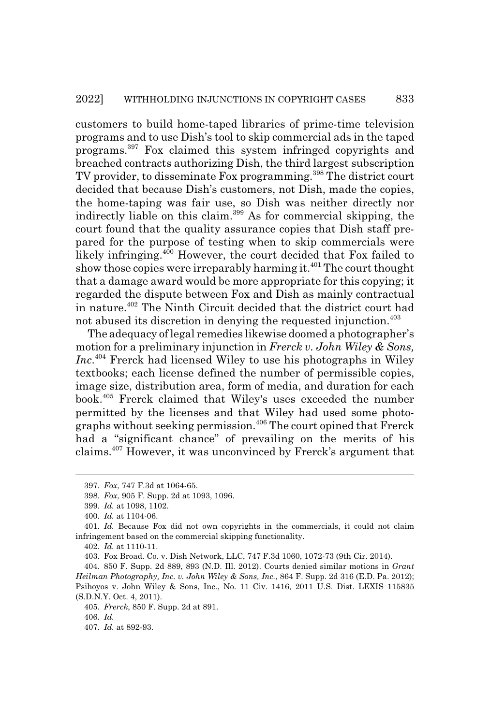customers to build home-taped libraries of prime-time television programs and to use Dish's tool to skip commercial ads in the taped programs.397 Fox claimed this system infringed copyrights and breached contracts authorizing Dish, the third largest subscription TV provider, to disseminate Fox programming.<sup>398</sup> The district court decided that because Dish's customers, not Dish, made the copies, the home-taping was fair use, so Dish was neither directly nor indirectly liable on this claim.399 As for commercial skipping, the court found that the quality assurance copies that Dish staff prepared for the purpose of testing when to skip commercials were likely infringing.<sup>400</sup> However, the court decided that Fox failed to show those copies were irreparably harming it.<sup>401</sup> The court thought that a damage award would be more appropriate for this copying; it regarded the dispute between Fox and Dish as mainly contractual in nature.402 The Ninth Circuit decided that the district court had not abused its discretion in denying the requested injunction.<sup>403</sup>

The adequacy of legal remedies likewise doomed a photographer's motion for a preliminary injunction in *Frerck v. John Wiley & Sons, Inc*. 404 Frerck had licensed Wiley to use his photographs in Wiley textbooks; each license defined the number of permissible copies, image size, distribution area, form of media, and duration for each book.405 Frerck claimed that Wiley's uses exceeded the number permitted by the licenses and that Wiley had used some photographs without seeking permission.406 The court opined that Frerck had a "significant chance" of prevailing on the merits of his claims.407 However, it was unconvinced by Frerck's argument that

<sup>397.</sup> *Fox*, 747 F.3d at 1064-65.

<sup>398.</sup> *Fox*, 905 F. Supp. 2d at 1093, 1096.

<sup>399.</sup> *Id.* at 1098, 1102.

<sup>400.</sup> *Id.* at 1104-06.

<sup>401.</sup> *Id.* Because Fox did not own copyrights in the commercials, it could not claim infringement based on the commercial skipping functionality.

<sup>402.</sup> *Id.* at 1110-11.

<sup>403.</sup> Fox Broad. Co. v. Dish Network, LLC, 747 F.3d 1060, 1072-73 (9th Cir. 2014).

<sup>404. 850</sup> F. Supp. 2d 889, 893 (N.D. Ill. 2012). Courts denied similar motions in *Grant Heilman Photography, Inc. v. John Wiley & Sons, Inc.*, 864 F. Supp. 2d 316 (E.D. Pa. 2012); Psihoyos v. John Wiley & Sons, Inc., No. 11 Civ. 1416, 2011 U.S. Dist. LEXIS 115835 (S.D.N.Y. Oct. 4, 2011).

<sup>405.</sup> *Frerck*, 850 F. Supp. 2d at 891.

<sup>406.</sup> *Id.*

<sup>407.</sup> *Id.* at 892-93.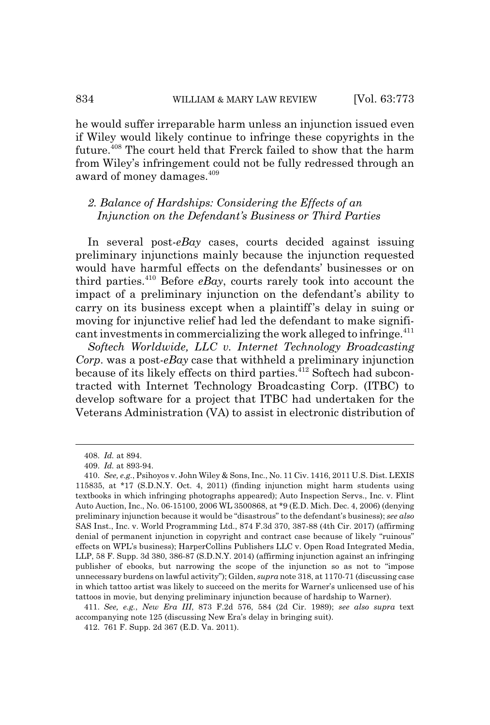he would suffer irreparable harm unless an injunction issued even if Wiley would likely continue to infringe these copyrights in the future.408 The court held that Frerck failed to show that the harm from Wiley's infringement could not be fully redressed through an award of money damages.<sup>409</sup>

# *2. Balance of Hardships: Considering the Effects of an Injunction on the Defendant's Business or Third Parties*

In several post-*eBay* cases, courts decided against issuing preliminary injunctions mainly because the injunction requested would have harmful effects on the defendants' businesses or on third parties.<sup>410</sup> Before  $e$ Bay, courts rarely took into account the impact of a preliminary injunction on the defendant's ability to carry on its business except when a plaintiff's delay in suing or moving for injunctive relief had led the defendant to make significant investments in commercializing the work alleged to infringe. $411$ 

*Softech Worldwide, LLC v. Internet Technology Broadcasting Corp*. was a post-*eBay* case that withheld a preliminary injunction because of its likely effects on third parties.<sup>412</sup> Softech had subcontracted with Internet Technology Broadcasting Corp. (ITBC) to develop software for a project that ITBC had undertaken for the Veterans Administration (VA) to assist in electronic distribution of

<sup>408.</sup> *Id.* at 894.

<sup>409.</sup> *Id.* at 893-94.

<sup>410.</sup> *See, e.g.*, Psihoyos v. John Wiley & Sons, Inc., No. 11 Civ. 1416, 2011 U.S. Dist. LEXIS 115835, at \*17 (S.D.N.Y. Oct. 4, 2011) (finding injunction might harm students using textbooks in which infringing photographs appeared); Auto Inspection Servs., Inc. v. Flint Auto Auction, Inc., No. 06-15100, 2006 WL 3500868, at \*9 (E.D. Mich. Dec. 4, 2006) (denying preliminary injunction because it would be "disastrous" to the defendant's business); *see also* SAS Inst., Inc. v. World Programming Ltd., 874 F.3d 370, 387-88 (4th Cir. 2017) (affirming denial of permanent injunction in copyright and contract case because of likely "ruinous" effects on WPL's business); HarperCollins Publishers LLC v. Open Road Integrated Media, LLP, 58 F. Supp. 3d 380, 386-87 (S.D.N.Y. 2014) (affirming injunction against an infringing publisher of ebooks, but narrowing the scope of the injunction so as not to "impose unnecessary burdens on lawful activity"); Gilden, *supra* note 318, at 1170-71 (discussing case in which tattoo artist was likely to succeed on the merits for Warner's unlicensed use of his tattoos in movie, but denying preliminary injunction because of hardship to Warner).

<sup>411.</sup> *See, e.g.*, *New Era III*, 873 F.2d 576, 584 (2d Cir. 1989); *see also supra* text accompanying note 125 (discussing New Era's delay in bringing suit).

<sup>412. 761</sup> F. Supp. 2d 367 (E.D. Va. 2011).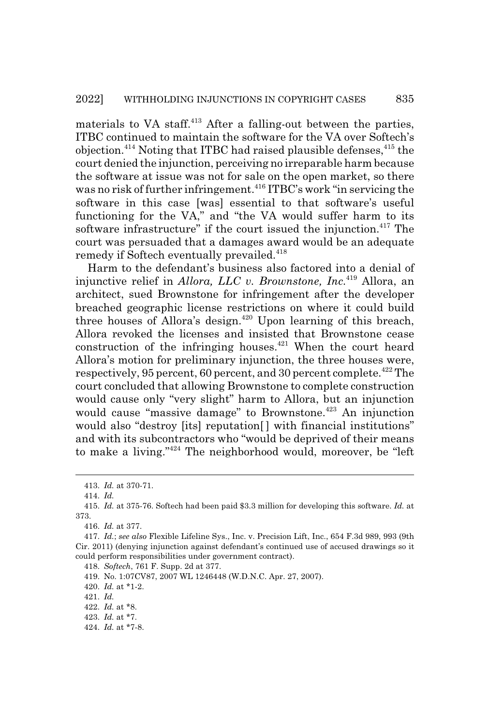materials to VA staff. $413$  After a falling-out between the parties, ITBC continued to maintain the software for the VA over Softech's objection.<sup>414</sup> Noting that ITBC had raised plausible defenses,  $415$  the court denied the injunction, perceiving no irreparable harm because the software at issue was not for sale on the open market, so there was no risk of further infringement.<sup>416</sup> ITBC's work "in servicing the software in this case [was] essential to that software's useful functioning for the VA," and "the VA would suffer harm to its software infrastructure" if the court issued the injunction.<sup>417</sup> The court was persuaded that a damages award would be an adequate remedy if Softech eventually prevailed.<sup>418</sup>

Harm to the defendant's business also factored into a denial of injunctive relief in *Allora, LLC v. Brownstone, Inc*. 419 Allora, an architect, sued Brownstone for infringement after the developer breached geographic license restrictions on where it could build three houses of Allora's design.<sup>420</sup> Upon learning of this breach, Allora revoked the licenses and insisted that Brownstone cease construction of the infringing houses.<sup> $421$ </sup> When the court heard Allora's motion for preliminary injunction, the three houses were, respectively, 95 percent, 60 percent, and 30 percent complete.<sup> $422$ </sup> The court concluded that allowing Brownstone to complete construction would cause only "very slight" harm to Allora, but an injunction would cause "massive damage" to Brownstone.<sup>423</sup> An injunction would also "destroy [its] reputation[ ] with financial institutions" and with its subcontractors who "would be deprived of their means to make a living."424 The neighborhood would, moreover, be "left

418. *Softech*, 761 F. Supp. 2d at 377.

420. *Id.* at \*1-2.

421. *Id.*

424. *Id.* at \*7-8.

<sup>413.</sup> *Id.* at 370-71.

<sup>414.</sup> *Id.*

<sup>415.</sup> *Id.* at 375-76. Softech had been paid \$3.3 million for developing this software. *Id.* at 373.

<sup>416.</sup> *Id.* at 377.

<sup>417.</sup> *Id.*; *see also* Flexible Lifeline Sys., Inc. v. Precision Lift, Inc., 654 F.3d 989, 993 (9th Cir. 2011) (denying injunction against defendant's continued use of accused drawings so it could perform responsibilities under government contract).

<sup>419.</sup> No. 1:07CV87, 2007 WL 1246448 (W.D.N.C. Apr. 27, 2007).

<sup>422.</sup> *Id.* at \*8.

<sup>423.</sup> *Id.* at \*7.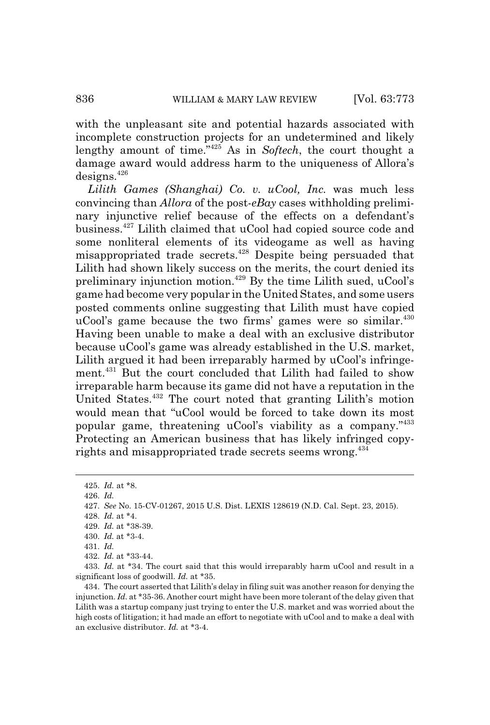with the unpleasant site and potential hazards associated with incomplete construction projects for an undetermined and likely lengthy amount of time."425 As in *Softech*, the court thought a damage award would address harm to the uniqueness of Allora's designs.<sup>426</sup>

*Lilith Games (Shanghai) Co. v. uCool, Inc.* was much less convincing than *Allora* of the post-*eBay* cases withholding preliminary injunctive relief because of the effects on a defendant's business.427 Lilith claimed that uCool had copied source code and some nonliteral elements of its videogame as well as having misappropriated trade secrets.428 Despite being persuaded that Lilith had shown likely success on the merits, the court denied its preliminary injunction motion.429 By the time Lilith sued, uCool's game had become very popular in the United States, and some users posted comments online suggesting that Lilith must have copied uCool's game because the two firms' games were so similar.<sup>430</sup> Having been unable to make a deal with an exclusive distributor because uCool's game was already established in the U.S. market, Lilith argued it had been irreparably harmed by uCool's infringement.<sup>431</sup> But the court concluded that Lilith had failed to show irreparable harm because its game did not have a reputation in the United States.432 The court noted that granting Lilith's motion would mean that "uCool would be forced to take down its most popular game, threatening uCool's viability as a company."<sup>433</sup> Protecting an American business that has likely infringed copyrights and misappropriated trade secrets seems wrong.<sup>434</sup>

426. *Id.*

428. *Id.* at \*4.

<sup>425.</sup> *Id.* at \*8.

<sup>427.</sup> *See* No. 15-CV-01267, 2015 U.S. Dist. LEXIS 128619 (N.D. Cal. Sept. 23, 2015).

<sup>429.</sup> *Id.* at \*38-39.

<sup>430.</sup> *Id.* at \*3-4.

<sup>431.</sup> *Id.*

<sup>432.</sup> *Id.* at \*33-44.

<sup>433.</sup> *Id.* at \*34. The court said that this would irreparably harm uCool and result in a significant loss of goodwill. *Id.* at \*35.

<sup>434.</sup> The court asserted that Lilith's delay in filing suit was another reason for denying the injunction. *Id.* at \*35-36. Another court might have been more tolerant of the delay given that Lilith was a startup company just trying to enter the U.S. market and was worried about the high costs of litigation; it had made an effort to negotiate with uCool and to make a deal with an exclusive distributor. *Id.* at \*3-4.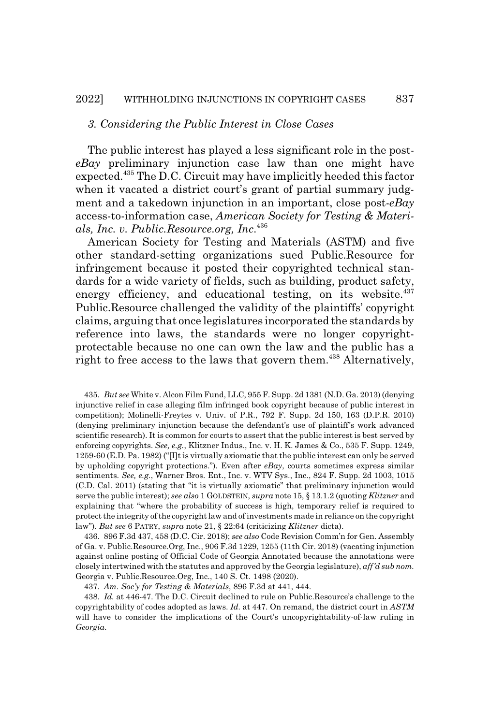#### *3. Considering the Public Interest in Close Cases*

The public interest has played a less significant role in the post*eBay* preliminary injunction case law than one might have expected.435 The D.C. Circuit may have implicitly heeded this factor when it vacated a district court's grant of partial summary judgment and a takedown injunction in an important, close post-*eBay* access-to-information case, *American Society for Testing & Materials, Inc. v. Public.Resource.org, Inc*. 436

American Society for Testing and Materials (ASTM) and five other standard-setting organizations sued Public.Resource for infringement because it posted their copyrighted technical standards for a wide variety of fields, such as building, product safety, energy efficiency, and educational testing, on its website. $437$ Public.Resource challenged the validity of the plaintiffs' copyright claims, arguing that once legislatures incorporated the standards by reference into laws, the standards were no longer copyrightprotectable because no one can own the law and the public has a right to free access to the laws that govern them.<sup>438</sup> Alternatively,

<sup>435.</sup> *But see* White v. Alcon Film Fund, LLC, 955 F. Supp. 2d 1381 (N.D. Ga. 2013) (denying injunctive relief in case alleging film infringed book copyright because of public interest in competition); Molinelli-Freytes v. Univ. of P.R., 792 F. Supp. 2d 150, 163 (D.P.R. 2010) (denying preliminary injunction because the defendant's use of plaintiff's work advanced scientific research). It is common for courts to assert that the public interest is best served by enforcing copyrights. *See, e.g.*, Klitzner Indus., Inc. v. H. K. James & Co., 535 F. Supp. 1249, 1259-60 (E.D. Pa. 1982) ("[I]t is virtually axiomatic that the public interest can only be served by upholding copyright protections."). Even after *eBay*, courts sometimes express similar sentiments. *See, e.g.*, Warner Bros. Ent., Inc. v. WTV Sys., Inc., 824 F. Supp. 2d 1003, 1015 (C.D. Cal. 2011) (stating that "it is virtually axiomatic" that preliminary injunction would serve the public interest); *see also* 1 GOLDSTEIN, *supra* note 15, § 13.1.2 (quoting *Klitzner* and explaining that "where the probability of success is high, temporary relief is required to protect the integrity of the copyright law and of investments made in reliance on the copyright law"). *But see* 6 PATRY, *supra* note 21, § 22:64 (criticizing *Klitzner* dicta).

<sup>436. 896</sup> F.3d 437, 458 (D.C. Cir. 2018); *see also* Code Revision Comm'n for Gen. Assembly of Ga. v. Public.Resource.Org, Inc., 906 F.3d 1229, 1255 (11th Cir. 2018) (vacating injunction against online posting of Official Code of Georgia Annotated because the annotations were closely intertwined with the statutes and approved by the Georgia legislature), *aff'd sub nom.* Georgia v. Public.Resource.Org, Inc., 140 S. Ct. 1498 (2020).

<sup>437.</sup> *Am. Soc'y for Testing & Materials*, 896 F.3d at 441, 444.

<sup>438.</sup> *Id.* at 446-47. The D.C. Circuit declined to rule on Public.Resource's challenge to the copyrightability of codes adopted as laws. *Id.* at 447. On remand, the district court in *ASTM* will have to consider the implications of the Court's uncopyrightability-of-law ruling in *Georgia*.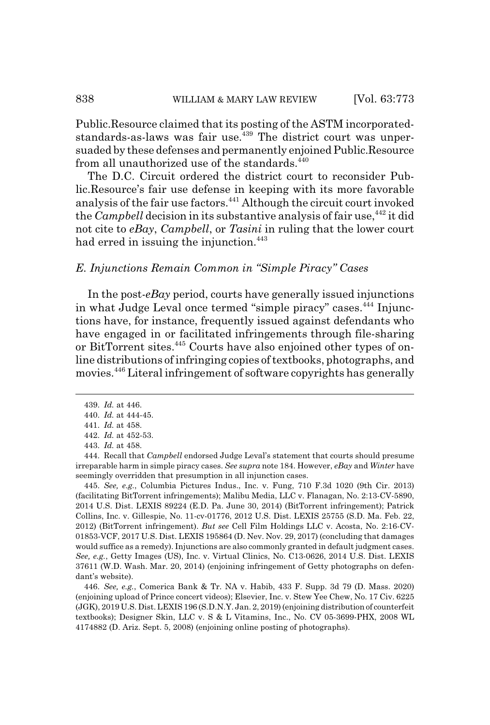Public.Resource claimed that its posting of the ASTM incorporatedstandards-as-laws was fair use.<sup>439</sup> The district court was unpersuaded by these defenses and permanently enjoined Public.Resource from all unauthorized use of the standards.<sup>440</sup>

The D.C. Circuit ordered the district court to reconsider Public.Resource's fair use defense in keeping with its more favorable analysis of the fair use factors.441 Although the circuit court invoked the *Campbell* decision in its substantive analysis of fair use,<sup>442</sup> it did not cite to *eBay*, *Campbell*, or *Tasini* in ruling that the lower court had erred in issuing the injunction.<sup>443</sup>

## *E. Injunctions Remain Common in "Simple Piracy" Cases*

In the post-*eBay* period, courts have generally issued injunctions in what Judge Leval once termed "simple piracy" cases.<sup>444</sup> Injunctions have, for instance, frequently issued against defendants who have engaged in or facilitated infringements through file-sharing or BitTorrent sites.<sup>445</sup> Courts have also enjoined other types of online distributions of infringing copies of textbooks, photographs, and movies.446 Literal infringement of software copyrights has generally

445. *See, e.g.*, Columbia Pictures Indus., Inc. v. Fung, 710 F.3d 1020 (9th Cir. 2013) (facilitating BitTorrent infringements); Malibu Media, LLC v. Flanagan, No. 2:13-CV-5890, 2014 U.S. Dist. LEXIS 89224 (E.D. Pa. June 30, 2014) (BitTorrent infringement); Patrick Collins, Inc. v. Gillespie, No. 11-cv-01776, 2012 U.S. Dist. LEXIS 25755 (S.D. Ma. Feb. 22, 2012) (BitTorrent infringement). *But see* Cell Film Holdings LLC v. Acosta, No. 2:16-CV-01853-VCF, 2017 U.S. Dist. LEXIS 195864 (D. Nev. Nov. 29, 2017) (concluding that damages would suffice as a remedy). Injunctions are also commonly granted in default judgment cases. *See, e.g.*, Getty Images (US), Inc. v. Virtual Clinics, No. C13-0626, 2014 U.S. Dist. LEXIS 37611 (W.D. Wash. Mar. 20, 2014) (enjoining infringement of Getty photographs on defendant's website).

446. *See, e.g.*, Comerica Bank & Tr. NA v. Habib, 433 F. Supp. 3d 79 (D. Mass. 2020) (enjoining upload of Prince concert videos); Elsevier, Inc. v. Stew Yee Chew, No. 17 Civ. 6225 (JGK), 2019 U.S. Dist. LEXIS 196 (S.D.N.Y. Jan. 2, 2019) (enjoining distribution of counterfeit textbooks); Designer Skin, LLC v. S & L Vitamins, Inc., No. CV 05-3699-PHX, 2008 WL 4174882 (D. Ariz. Sept. 5, 2008) (enjoining online posting of photographs).

<sup>439.</sup> *Id.* at 446.

<sup>440.</sup> *Id.* at 444-45.

<sup>441.</sup> *Id.* at 458. 442. *Id.* at 452-53.

<sup>443.</sup> *Id.* at 458.

<sup>444.</sup> Recall that *Campbell* endorsed Judge Leval's statement that courts should presume irreparable harm in simple piracy cases. *See supra* note 184. However, *eBay* and *Winter* have seemingly overridden that presumption in all injunction cases.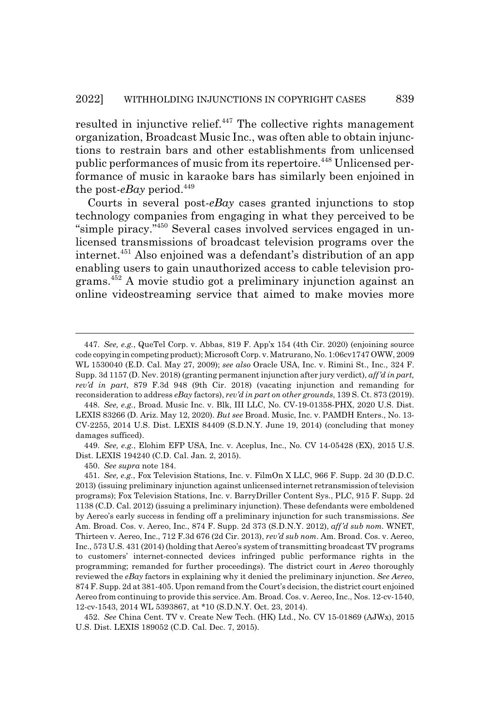resulted in injunctive relief.<sup>447</sup> The collective rights management organization, Broadcast Music Inc., was often able to obtain injunctions to restrain bars and other establishments from unlicensed public performances of music from its repertoire.<sup>448</sup> Unlicensed performance of music in karaoke bars has similarly been enjoined in the post- $e$ *Bay* period.<sup>449</sup>

Courts in several post-*eBay* cases granted injunctions to stop technology companies from engaging in what they perceived to be "simple piracy."450 Several cases involved services engaged in unlicensed transmissions of broadcast television programs over the internet.451 Also enjoined was a defendant's distribution of an app enabling users to gain unauthorized access to cable television programs.452 A movie studio got a preliminary injunction against an online videostreaming service that aimed to make movies more

450. *See supra* note 184.

<sup>447.</sup> *See, e.g.*, QueTel Corp. v. Abbas, 819 F. App'x 154 (4th Cir. 2020) (enjoining source code copying in competing product); Microsoft Corp. v. Matrurano, No. 1:06cv1747 OWW, 2009 WL 1530040 (E.D. Cal. May 27, 2009); *see also* Oracle USA, Inc. v. Rimini St., Inc., 324 F. Supp. 3d 1157 (D. Nev. 2018) (granting permanent injunction after jury verdict), *aff'd in part, rev'd in part*, 879 F.3d 948 (9th Cir. 2018) (vacating injunction and remanding for reconsideration to address *eBay* factors), *rev'd in part on other grounds*, 139 S. Ct. 873 (2019).

<sup>448.</sup> *See, e.g.*, Broad. Music Inc. v. Blk, III LLC, No. CV-19-01358-PHX, 2020 U.S. Dist. LEXIS 83266 (D. Ariz. May 12, 2020). *But see* Broad. Music, Inc. v. PAMDH Enters., No. 13- CV-2255, 2014 U.S. Dist. LEXIS 84409 (S.D.N.Y. June 19, 2014) (concluding that money damages sufficed).

<sup>449.</sup> *See, e.g.*, Elohim EFP USA, Inc. v. Aceplus, Inc., No. CV 14-05428 (EX), 2015 U.S. Dist. LEXIS 194240 (C.D. Cal. Jan. 2, 2015).

<sup>451.</sup> *See, e.g.*, Fox Television Stations, Inc. v. FilmOn X LLC, 966 F. Supp. 2d 30 (D.D.C. 2013) (issuing preliminary injunction against unlicensed internet retransmission of television programs); Fox Television Stations, Inc. v. BarryDriller Content Sys., PLC, 915 F. Supp. 2d 1138 (C.D. Cal. 2012) (issuing a preliminary injunction). These defendants were emboldened by Aereo's early success in fending off a preliminary injunction for such transmissions. *See* Am. Broad. Cos. v. Aereo, Inc., 874 F. Supp. 2d 373 (S.D.N.Y. 2012), *aff'd sub nom.* WNET, Thirteen v. Aereo, Inc., 712 F.3d 676 (2d Cir. 2013), *rev'd sub nom*. Am. Broad. Cos. v. Aereo, Inc., 573 U.S. 431 (2014) (holding that Aereo's system of transmitting broadcast TV programs to customers' internet-connected devices infringed public performance rights in the programming; remanded for further proceedings). The district court in *Aereo* thoroughly reviewed the *eBay* factors in explaining why it denied the preliminary injunction. *See Aereo*, 874 F. Supp. 2d at 381-405. Upon remand from the Court's decision, the district court enjoined Aereo from continuing to provide this service. Am. Broad. Cos. v. Aereo, Inc., Nos. 12-cv-1540, 12-cv-1543, 2014 WL 5393867, at \*10 (S.D.N.Y. Oct. 23, 2014).

<sup>452.</sup> *See* China Cent. TV v. Create New Tech. (HK) Ltd., No. CV 15-01869 (AJWx), 2015 U.S. Dist. LEXIS 189052 (C.D. Cal. Dec. 7, 2015).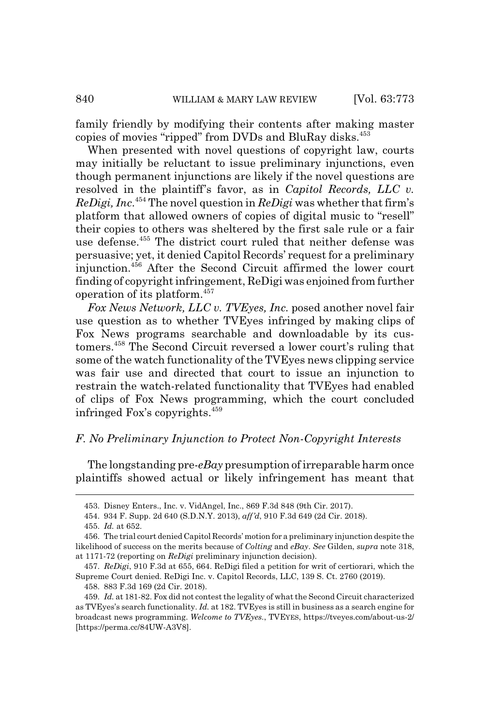family friendly by modifying their contents after making master copies of movies "ripped" from DVDs and BluRay disks.<sup>453</sup>

When presented with novel questions of copyright law, courts may initially be reluctant to issue preliminary injunctions, even though permanent injunctions are likely if the novel questions are resolved in the plaintiff's favor, as in *Capitol Records, LLC v. ReDigi, Inc*. 454 The novel question in *ReDigi* was whether that firm's platform that allowed owners of copies of digital music to "resell" their copies to others was sheltered by the first sale rule or a fair use defense.<sup>455</sup> The district court ruled that neither defense was persuasive; yet, it denied Capitol Records' request for a preliminary injunction.456 After the Second Circuit affirmed the lower court finding of copyright infringement, ReDigi was enjoined from further operation of its platform.457

*Fox News Network, LLC v. TVEyes, Inc.* posed another novel fair use question as to whether TVEyes infringed by making clips of Fox News programs searchable and downloadable by its customers.458 The Second Circuit reversed a lower court's ruling that some of the watch functionality of the TVEyes news clipping service was fair use and directed that court to issue an injunction to restrain the watch-related functionality that TVEyes had enabled of clips of Fox News programming, which the court concluded infringed Fox's copyrights.459

#### *F. No Preliminary Injunction to Protect Non-Copyright Interests*

The longstanding pre-*eBay* presumption of irreparable harm once plaintiffs showed actual or likely infringement has meant that

<sup>453.</sup> Disney Enters., Inc. v. VidAngel, Inc., 869 F.3d 848 (9th Cir. 2017).

<sup>454. 934</sup> F. Supp. 2d 640 (S.D.N.Y. 2013), *aff'd*, 910 F.3d 649 (2d Cir. 2018).

<sup>455.</sup> *Id.* at 652.

<sup>456.</sup> The trial court denied Capitol Records' motion for a preliminary injunction despite the likelihood of success on the merits because of *Colting* and *eBay*. *See* Gilden, *supra* note 318, at 1171-72 (reporting on *ReDigi* preliminary injunction decision).

<sup>457.</sup> *ReDigi*, 910 F.3d at 655, 664. ReDigi filed a petition for writ of certiorari, which the Supreme Court denied. ReDigi Inc. v. Capitol Records, LLC, 139 S. Ct. 2760 (2019).

<sup>458. 883</sup> F.3d 169 (2d Cir. 2018).

<sup>459.</sup> *Id.* at 181-82. Fox did not contest the legality of what the Second Circuit characterized as TVEyes's search functionality. *Id.* at 182. TVEyes is still in business as a search engine for broadcast news programming. *Welcome to TVEyes.*, TVEYES, https://tveyes.com/about-us-2/ [https://perma.cc/84UW-A3V8].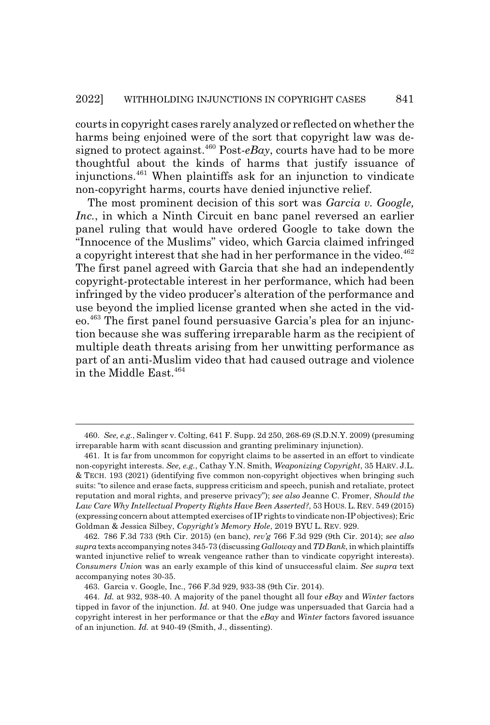courts in copyright cases rarely analyzed or reflected on whether the harms being enjoined were of the sort that copyright law was designed to protect against.<sup> $460$ </sup> Post- $e$ Bay, courts have had to be more thoughtful about the kinds of harms that justify issuance of injunctions.461 When plaintiffs ask for an injunction to vindicate non-copyright harms, courts have denied injunctive relief.

The most prominent decision of this sort was *Garcia v. Google, Inc.*, in which a Ninth Circuit en banc panel reversed an earlier panel ruling that would have ordered Google to take down the "Innocence of the Muslims" video, which Garcia claimed infringed a copyright interest that she had in her performance in the video.<sup>462</sup> The first panel agreed with Garcia that she had an independently copyright-protectable interest in her performance, which had been infringed by the video producer's alteration of the performance and use beyond the implied license granted when she acted in the video.463 The first panel found persuasive Garcia's plea for an injunction because she was suffering irreparable harm as the recipient of multiple death threats arising from her unwitting performance as part of an anti-Muslim video that had caused outrage and violence in the Middle East.<sup>464</sup>

<sup>460.</sup> *See, e.g.*, Salinger v. Colting, 641 F. Supp. 2d 250, 268-69 (S.D.N.Y. 2009) (presuming irreparable harm with scant discussion and granting preliminary injunction).

<sup>461.</sup> It is far from uncommon for copyright claims to be asserted in an effort to vindicate non-copyright interests. *See, e.g.*, Cathay Y.N. Smith, *Weaponizing Copyright*, 35 HARV. J.L. & TECH. 193 (2021) (identifying five common non-copyright objectives when bringing such suits: "to silence and erase facts, suppress criticism and speech, punish and retaliate, protect reputation and moral rights, and preserve privacy"); *see also* Jeanne C. Fromer, *Should the Law Care Why Intellectual Property Rights Have Been Asserted?*, 53 HOUS. L. REV. 549 (2015) (expressing concern about attempted exercises of IP rights to vindicate non-IP objectives); Eric Goldman & Jessica Silbey, *Copyright's Memory Hole*, 2019 BYU L. REV. 929.

<sup>462. 786</sup> F.3d 733 (9th Cir. 2015) (en banc), *rev'g* 766 F.3d 929 (9th Cir. 2014); *see also supra* texts accompanying notes 345-73 (discussing *Galloway* and *TD Bank*, in which plaintiffs wanted injunctive relief to wreak vengeance rather than to vindicate copyright interests). *Consumers Union* was an early example of this kind of unsuccessful claim. *See supra* text accompanying notes 30-35.

<sup>463.</sup> Garcia v. Google, Inc., 766 F.3d 929, 933-38 (9th Cir. 2014).

<sup>464.</sup> *Id.* at 932, 938-40. A majority of the panel thought all four *eBay* and *Winter* factors tipped in favor of the injunction. *Id.* at 940. One judge was unpersuaded that Garcia had a copyright interest in her performance or that the *eBay* and *Winter* factors favored issuance of an injunction. *Id.* at 940-49 (Smith, J., dissenting).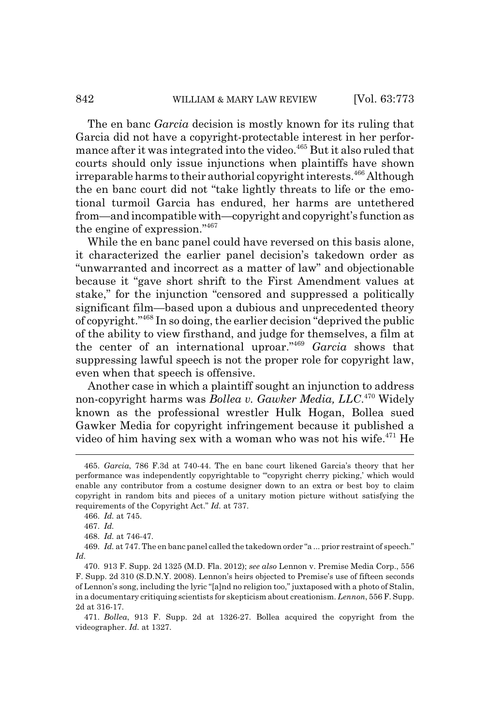The en banc *Garcia* decision is mostly known for its ruling that Garcia did not have a copyright-protectable interest in her performance after it was integrated into the video.<sup>465</sup> But it also ruled that courts should only issue injunctions when plaintiffs have shown irreparable harms to their authorial copyright interests.<sup>466</sup> Although the en banc court did not "take lightly threats to life or the emotional turmoil Garcia has endured, her harms are untethered from—and incompatible with—copyright and copyright's function as the engine of expression."467

While the en banc panel could have reversed on this basis alone, it characterized the earlier panel decision's takedown order as "unwarranted and incorrect as a matter of law" and objectionable because it "gave short shrift to the First Amendment values at stake," for the injunction "censored and suppressed a politically significant film—based upon a dubious and unprecedented theory of copyright."468 In so doing, the earlier decision "deprived the public of the ability to view firsthand, and judge for themselves, a film at the center of an international uproar."469 *Garcia* shows that suppressing lawful speech is not the proper role for copyright law, even when that speech is offensive.

Another case in which a plaintiff sought an injunction to address non-copyright harms was *Bollea v. Gawker Media, LLC*. 470 Widely known as the professional wrestler Hulk Hogan, Bollea sued Gawker Media for copyright infringement because it published a video of him having sex with a woman who was not his wife. $471$  He

471. *Bollea*, 913 F. Supp. 2d at 1326-27. Bollea acquired the copyright from the videographer. *Id.* at 1327.

<sup>465.</sup> *Garcia*, 786 F.3d at 740-44. The en banc court likened Garcia's theory that her performance was independently copyrightable to "'copyright cherry picking,' which would enable any contributor from a costume designer down to an extra or best boy to claim copyright in random bits and pieces of a unitary motion picture without satisfying the requirements of the Copyright Act." *Id.* at 737.

<sup>466.</sup> *Id.* at 745.

<sup>467.</sup> *Id.*

<sup>468.</sup> *Id.* at 746-47.

<sup>469.</sup> *Id.* at 747. The en banc panel called the takedown order "a ... prior restraint of speech." *Id.*

<sup>470. 913</sup> F. Supp. 2d 1325 (M.D. Fla. 2012); *see also* Lennon v. Premise Media Corp., 556 F. Supp. 2d 310 (S.D.N.Y. 2008). Lennon's heirs objected to Premise's use of fifteen seconds of Lennon's song, including the lyric "[a]nd no religion too," juxtaposed with a photo of Stalin, in a documentary critiquing scientists for skepticism about creationism. *Lennon*, 556 F. Supp. 2d at 316-17.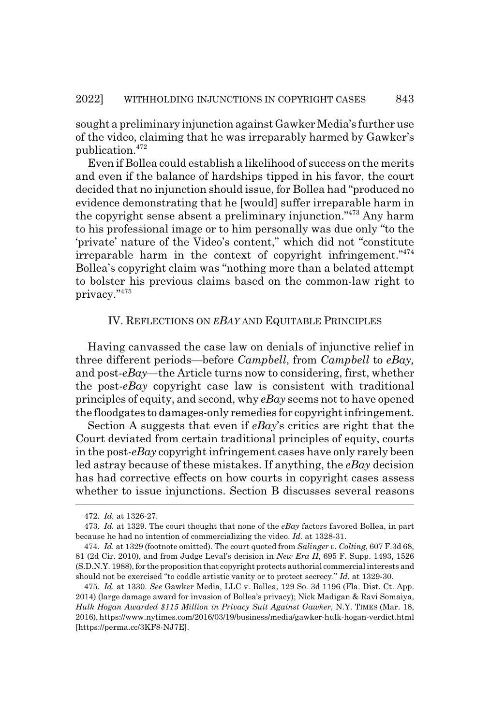sought a preliminary injunction against Gawker Media's further use of the video, claiming that he was irreparably harmed by Gawker's publication.<sup>472</sup>

Even if Bollea could establish a likelihood of success on the merits and even if the balance of hardships tipped in his favor, the court decided that no injunction should issue, for Bollea had "produced no evidence demonstrating that he [would] suffer irreparable harm in the copyright sense absent a preliminary injunction."473 Any harm to his professional image or to him personally was due only "to the 'private' nature of the Video's content," which did not "constitute irreparable harm in the context of copyright infringement."474 Bollea's copyright claim was "nothing more than a belated attempt to bolster his previous claims based on the common-law right to privacy."475

#### IV. REFLECTIONS ON *EBAY* AND EQUITABLE PRINCIPLES

Having canvassed the case law on denials of injunctive relief in three different periods—before *Campbell*, from *Campbell* to *eBay,* and post-*eBay*—the Article turns now to considering, first, whether the post-*eBay* copyright case law is consistent with traditional principles of equity, and second, why *eBay* seems not to have opened the floodgates to damages-only remedies for copyright infringement.

Section A suggests that even if *eBay*'s critics are right that the Court deviated from certain traditional principles of equity, courts in the post-*eBay* copyright infringement cases have only rarely been led astray because of these mistakes. If anything, the *eBay* decision has had corrective effects on how courts in copyright cases assess whether to issue injunctions. Section B discusses several reasons

<sup>472.</sup> *Id.* at 1326-27.

<sup>473.</sup> *Id.* at 1329. The court thought that none of the *eBay* factors favored Bollea, in part because he had no intention of commercializing the video. *Id.* at 1328-31.

<sup>474.</sup> *Id.* at 1329 (footnote omitted). The court quoted from *Salinger v. Colting*, 607 F.3d 68, 81 (2d Cir. 2010), and from Judge Leval's decision in *New Era II*, 695 F. Supp. 1493, 1526 (S.D.N.Y. 1988), for the proposition that copyright protects authorial commercial interests and should not be exercised "to coddle artistic vanity or to protect secrecy." *Id.* at 1329-30.

<sup>475.</sup> *Id.* at 1330. *See* Gawker Media, LLC v. Bollea, 129 So. 3d 1196 (Fla. Dist. Ct. App. 2014) (large damage award for invasion of Bollea's privacy); Nick Madigan & Ravi Somaiya, *Hulk Hogan Awarded \$115 Million in Privacy Suit Against Gawker*, N.Y. TIMES (Mar. 18, 2016), https://www.nytimes.com/2016/03/19/business/media/gawker-hulk-hogan-verdict.html [https://perma.cc/3KF8-NJ7E].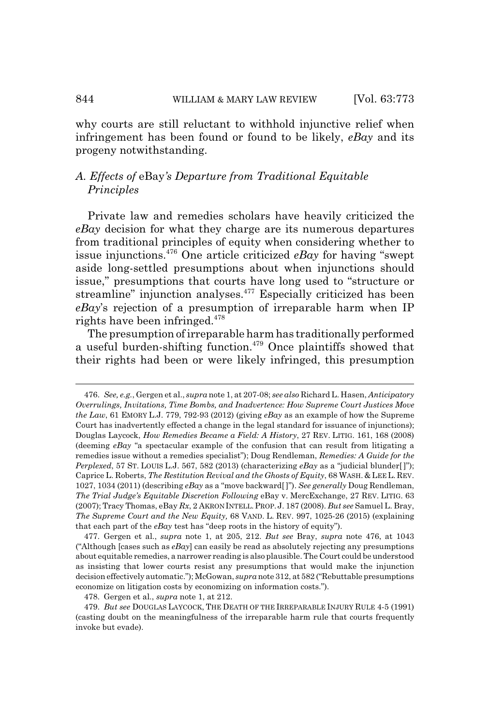why courts are still reluctant to withhold injunctive relief when infringement has been found or found to be likely, *eBay* and its progeny notwithstanding.

## *A. Effects of* eBay*'s Departure from Traditional Equitable Principles*

Private law and remedies scholars have heavily criticized the *eBay* decision for what they charge are its numerous departures from traditional principles of equity when considering whether to issue injunctions.476 One article criticized *eBay* for having "swept aside long-settled presumptions about when injunctions should issue," presumptions that courts have long used to "structure or streamline" injunction analyses.<sup>477</sup> Especially criticized has been *eBay*'s rejection of a presumption of irreparable harm when IP rights have been infringed.478

The presumption of irreparable harm has traditionally performed a useful burden-shifting function.<sup>479</sup> Once plaintiffs showed that their rights had been or were likely infringed, this presumption

478. Gergen et al., *supra* note 1, at 212.

<sup>476.</sup> *See, e.g.*, Gergen et al., *supra* note 1, at 207-08; *see also* Richard L. Hasen, *Anticipatory Overrulings, Invitations, Time Bombs, and Inadvertence: How Supreme Court Justices Move the Law*, 61 EMORY L.J. 779, 792-93 (2012) (giving *eBay* as an example of how the Supreme Court has inadvertently effected a change in the legal standard for issuance of injunctions); Douglas Laycock, *How Remedies Became a Field: A History*, 27 REV. LITIG. 161, 168 (2008) (deeming *eBay* "a spectacular example of the confusion that can result from litigating a remedies issue without a remedies specialist"); Doug Rendleman, *Remedies: A Guide for the Perplexed*, 57 ST. LOUIS L.J. 567, 582 (2013) (characterizing *eBay* as a "judicial blunder[ ]"); Caprice L. Roberts, *The Restitution Revival and the Ghosts of Equity*, 68 WASH.&LEE L. REV. 1027, 1034 (2011) (describing *eBay* as a "move backward[ ]"). *See generally* Doug Rendleman, *The Trial Judge's Equitable Discretion Following* eBay v. MercExchange, 27 REV. LITIG. 63 (2007); Tracy Thomas, eBay *Rx*, 2 AKRON INTELL.PROP.J. 187 (2008). *But see* Samuel L. Bray, *The Supreme Court and the New Equity,* 68 VAND. L. REV. 997, 1025-26 (2015) (explaining that each part of the *eBay* test has "deep roots in the history of equity").

<sup>477.</sup> Gergen et al., *supra* note 1, at 205, 212. *But see* Bray, *supra* note 476, at 1043 ("Although [cases such as *eBay*] can easily be read as absolutely rejecting any presumptions about equitable remedies, a narrower reading is also plausible. The Court could be understood as insisting that lower courts resist any presumptions that would make the injunction decision effectively automatic."); McGowan, *supra* note 312, at 582 ("Rebuttable presumptions economize on litigation costs by economizing on information costs.").

<sup>479.</sup> *But see* DOUGLAS LAYCOCK, THE DEATH OF THE IRREPARABLE INJURY RULE 4-5 (1991) (casting doubt on the meaningfulness of the irreparable harm rule that courts frequently invoke but evade).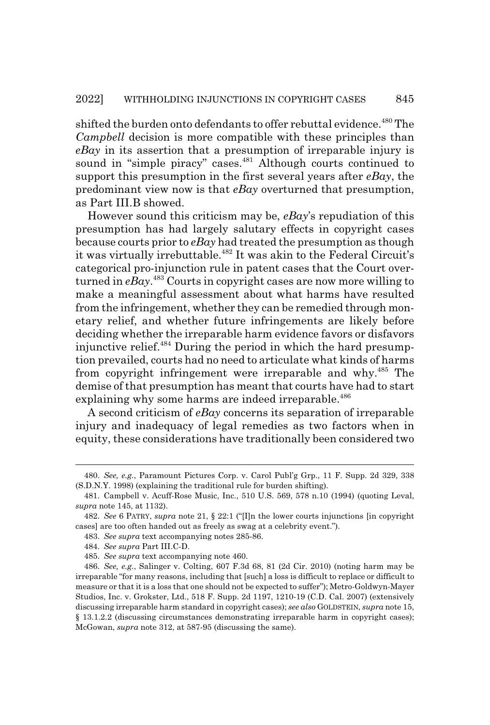shifted the burden onto defendants to offer rebuttal evidence.<sup>480</sup> The *Campbell* decision is more compatible with these principles than *eBay* in its assertion that a presumption of irreparable injury is sound in "simple piracy" cases.<sup>481</sup> Although courts continued to support this presumption in the first several years after *eBay*, the predominant view now is that *eBay* overturned that presumption, as Part III.B showed.

However sound this criticism may be, *eBay*'s repudiation of this presumption has had largely salutary effects in copyright cases because courts prior to *eBay* had treated the presumption as though it was virtually irrebuttable.<sup>482</sup> It was akin to the Federal Circuit's categorical pro-injunction rule in patent cases that the Court overturned in *eBay*. 483 Courts in copyright cases are now more willing to make a meaningful assessment about what harms have resulted from the infringement, whether they can be remedied through monetary relief, and whether future infringements are likely before deciding whether the irreparable harm evidence favors or disfavors injunctive relief. $484$  During the period in which the hard presumption prevailed, courts had no need to articulate what kinds of harms from copyright infringement were irreparable and why.<sup>485</sup> The demise of that presumption has meant that courts have had to start explaining why some harms are indeed irreparable.<sup>486</sup>

A second criticism of *eBay* concerns its separation of irreparable injury and inadequacy of legal remedies as two factors when in equity, these considerations have traditionally been considered two

<sup>480.</sup> *See, e.g.*, Paramount Pictures Corp. v. Carol Publ'g Grp., 11 F. Supp. 2d 329, 338 (S.D.N.Y. 1998) (explaining the traditional rule for burden shifting).

<sup>481.</sup> Campbell v. Acuff-Rose Music, Inc., 510 U.S. 569, 578 n.10 (1994) (quoting Leval, *supra* note 145, at 1132).

<sup>482.</sup> *See* 6 PATRY, *supra* note 21, § 22:1 ("[I]n the lower courts injunctions [in copyright cases] are too often handed out as freely as swag at a celebrity event.").

<sup>483.</sup> *See supra* text accompanying notes 285-86.

<sup>484.</sup> *See supra* Part III.C-D.

<sup>485.</sup> *See supra* text accompanying note 460.

<sup>486.</sup> *See, e.g.*, Salinger v. Colting, 607 F.3d 68, 81 (2d Cir. 2010) (noting harm may be irreparable "for many reasons, including that [such] a loss is difficult to replace or difficult to measure or that it is a loss that one should not be expected to suffer"); Metro-Goldwyn-Mayer Studios, Inc. v. Grokster, Ltd., 518 F. Supp. 2d 1197, 1210-19 (C.D. Cal. 2007) (extensively discussing irreparable harm standard in copyright cases); *see also* GOLDSTEIN, *supra* note 15, § 13.1.2.2 (discussing circumstances demonstrating irreparable harm in copyright cases); McGowan, *supra* note 312, at 587-95 (discussing the same).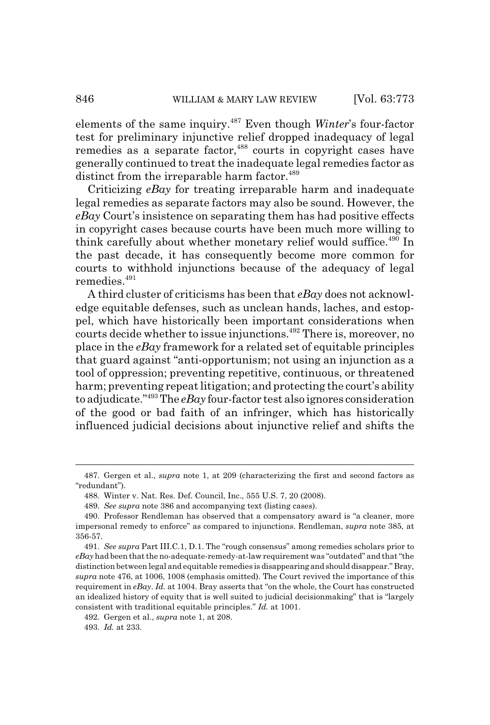elements of the same inquiry.487 Even though *Winter*'s four-factor test for preliminary injunctive relief dropped inadequacy of legal remedies as a separate factor,<sup>488</sup> courts in copyright cases have generally continued to treat the inadequate legal remedies factor as distinct from the irreparable harm factor.<sup>489</sup>

Criticizing *eBay* for treating irreparable harm and inadequate legal remedies as separate factors may also be sound. However, the *eBay* Court's insistence on separating them has had positive effects in copyright cases because courts have been much more willing to think carefully about whether monetary relief would suffice.<sup>490</sup> In the past decade, it has consequently become more common for courts to withhold injunctions because of the adequacy of legal remedies.<sup>491</sup>

A third cluster of criticisms has been that *eBay* does not acknowledge equitable defenses, such as unclean hands, laches, and estoppel, which have historically been important considerations when courts decide whether to issue injunctions.<sup>492</sup> There is, moreover, no place in the *eBay* framework for a related set of equitable principles that guard against "anti-opportunism; not using an injunction as a tool of oppression; preventing repetitive, continuous, or threatened harm; preventing repeat litigation; and protecting the court's ability to adjudicate."493 The *eBay* four-factor test also ignores consideration of the good or bad faith of an infringer, which has historically influenced judicial decisions about injunctive relief and shifts the

<sup>487.</sup> Gergen et al., *supra* note 1, at 209 (characterizing the first and second factors as "redundant").

<sup>488.</sup> Winter v. Nat. Res. Def. Council, Inc., 555 U.S. 7, 20 (2008).

<sup>489.</sup> *See supra* note 386 and accompanying text (listing cases).

<sup>490.</sup> Professor Rendleman has observed that a compensatory award is "a cleaner, more impersonal remedy to enforce" as compared to injunctions. Rendleman, *supra* note 385, at 356-57.

<sup>491.</sup> *See supra* Part III.C.1, D.1. The "rough consensus" among remedies scholars prior to *eBay* had been that the no-adequate-remedy-at-law requirement was "outdated" and that "the distinction between legal and equitable remedies is disappearing and should disappear." Bray, *supra* note 476, at 1006, 1008 (emphasis omitted). The Court revived the importance of this requirement in *eBay*. *Id.* at 1004. Bray asserts that "on the whole, the Court has constructed an idealized history of equity that is well suited to judicial decisionmaking" that is "largely consistent with traditional equitable principles." *Id.* at 1001.

<sup>492.</sup> Gergen et al., *supra* note 1, at 208.

<sup>493.</sup> *Id.* at 233.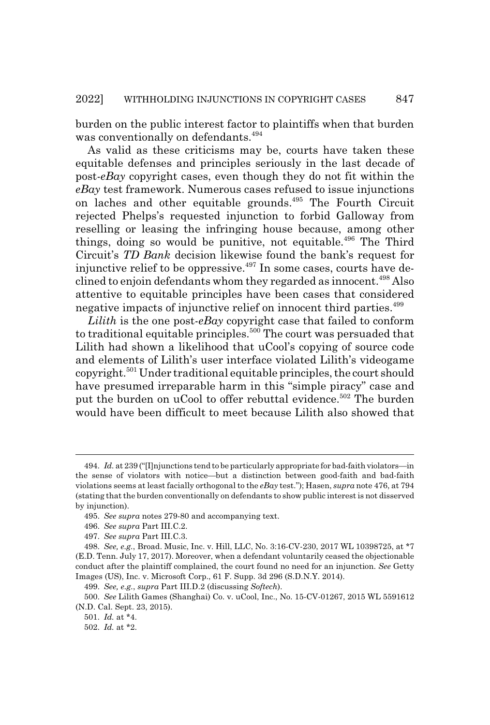burden on the public interest factor to plaintiffs when that burden was conventionally on defendants.<sup>494</sup>

As valid as these criticisms may be, courts have taken these equitable defenses and principles seriously in the last decade of post-*eBay* copyright cases, even though they do not fit within the *eBay* test framework. Numerous cases refused to issue injunctions on laches and other equitable grounds.495 The Fourth Circuit rejected Phelps's requested injunction to forbid Galloway from reselling or leasing the infringing house because, among other things, doing so would be punitive, not equitable.<sup> $496$ </sup> The Third Circuit's *TD Bank* decision likewise found the bank's request for injunctive relief to be oppressive.<sup> $497$ </sup> In some cases, courts have declined to enjoin defendants whom they regarded as innocent.<sup>498</sup> Also attentive to equitable principles have been cases that considered negative impacts of injunctive relief on innocent third parties.<sup>499</sup>

*Lilith* is the one post-*eBay* copyright case that failed to conform to traditional equitable principles.<sup>500</sup> The court was persuaded that Lilith had shown a likelihood that uCool's copying of source code and elements of Lilith's user interface violated Lilith's videogame copyright.501 Under traditional equitable principles, the court should have presumed irreparable harm in this "simple piracy" case and put the burden on uCool to offer rebuttal evidence.<sup>502</sup> The burden would have been difficult to meet because Lilith also showed that

<sup>494.</sup> *Id.* at 239 ("[I]njunctions tend to be particularly appropriate for bad-faith violators—in the sense of violators with notice—but a distinction between good-faith and bad-faith violations seems at least facially orthogonal to the *eBay* test."); Hasen, *supra* note 476, at 794 (stating that the burden conventionally on defendants to show public interest is not disserved by injunction).

<sup>495.</sup> *See supra* notes 279-80 and accompanying text.

<sup>496.</sup> *See supra* Part III.C.2.

<sup>497.</sup> *See supra* Part III.C.3.

<sup>498.</sup> *See, e.g.*, Broad. Music, Inc. v. Hill, LLC, No. 3:16-CV-230, 2017 WL 10398725, at \*7 (E.D. Tenn. July 17, 2017). Moreover, when a defendant voluntarily ceased the objectionable conduct after the plaintiff complained, the court found no need for an injunction. *See* Getty Images (US), Inc. v. Microsoft Corp., 61 F. Supp. 3d 296 (S.D.N.Y. 2014).

<sup>499.</sup> *See, e.g.*, *supra* Part III.D.2 (discussing *Softech*).

<sup>500.</sup> *See* Lilith Games (Shanghai) Co. v. uCool, Inc., No. 15-CV-01267, 2015 WL 5591612 (N.D. Cal. Sept. 23, 2015).

<sup>501.</sup> *Id.* at \*4.

<sup>502.</sup> *Id.* at \*2.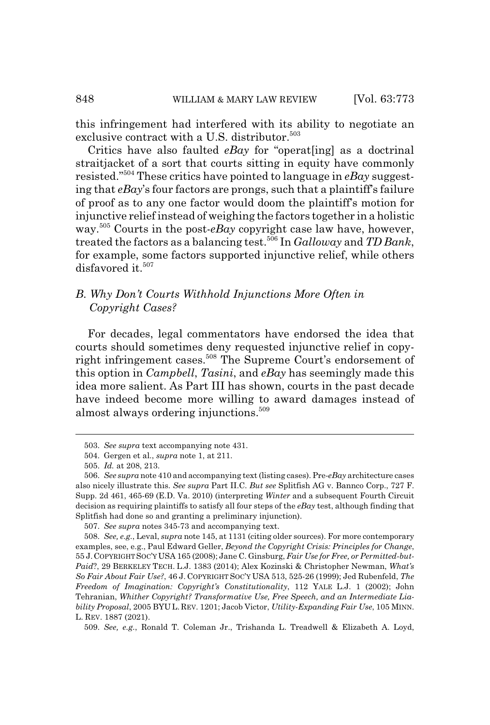this infringement had interfered with its ability to negotiate an exclusive contract with a U.S. distributor.<sup>503</sup>

Critics have also faulted *eBay* for "operat[ing] as a doctrinal straitjacket of a sort that courts sitting in equity have commonly resisted."504 These critics have pointed to language in *eBay* suggesting that *eBay*'s four factors are prongs, such that a plaintiff's failure of proof as to any one factor would doom the plaintiff's motion for injunctive relief instead of weighing the factors together in a holistic way.505 Courts in the post-*eBay* copyright case law have, however, treated the factors as a balancing test.506 In *Galloway* and *TD Bank*, for example, some factors supported injunctive relief, while others disfavored it.<sup>507</sup>

## *B. Why Don't Courts Withhold Injunctions More Often in Copyright Cases?*

For decades, legal commentators have endorsed the idea that courts should sometimes deny requested injunctive relief in copyright infringement cases.<sup>508</sup> The Supreme Court's endorsement of this option in *Campbell*, *Tasini*, and *eBay* has seemingly made this idea more salient. As Part III has shown, courts in the past decade have indeed become more willing to award damages instead of almost always ordering injunctions.<sup>509</sup>

<sup>503.</sup> *See supra* text accompanying note 431.

<sup>504.</sup> Gergen et al., *supra* note 1, at 211.

<sup>505.</sup> *Id.* at 208, 213.

<sup>506.</sup> *See supra* note 410 and accompanying text (listing cases). Pre-*eBay* architecture cases also nicely illustrate this. *See supra* Part II.C. *But see* Splitfish AG v. Bannco Corp., 727 F. Supp. 2d 461, 465-69 (E.D. Va. 2010) (interpreting *Winter* and a subsequent Fourth Circuit decision as requiring plaintiffs to satisfy all four steps of the *eBay* test, although finding that Splitfish had done so and granting a preliminary injunction).

<sup>507.</sup> *See supra* notes 345-73 and accompanying text.

<sup>508.</sup> *See, e.g.*, Leval, *supra* note 145, at 1131 (citing older sources). For more contemporary examples, see, e.g., Paul Edward Geller, *Beyond the Copyright Crisis: Principles for Change*, 55 J.COPYRIGHT SOC'Y USA 165 (2008); Jane C. Ginsburg, *Fair Use for Free, or Permitted-but-Paid*?, 29 BERKELEY TECH. L.J. 1383 (2014); Alex Kozinski & Christopher Newman, *What's So Fair About Fair Use?*, 46 J. COPYRIGHT SOC'Y USA 513, 525-26 (1999); Jed Rubenfeld, *The Freedom of Imagination: Copyright's Constitutionality*, 112 YALE L.J. 1 (2002); John Tehranian, *Whither Copyright? Transformative Use, Free Speech, and an Intermediate Liability Proposal*, 2005 BYU L. REV. 1201; Jacob Victor, *Utility-Expanding Fair Use*, 105 MINN. L. REV. 1887 (2021).

<sup>509.</sup> *See, e.g.*, Ronald T. Coleman Jr., Trishanda L. Treadwell & Elizabeth A. Loyd,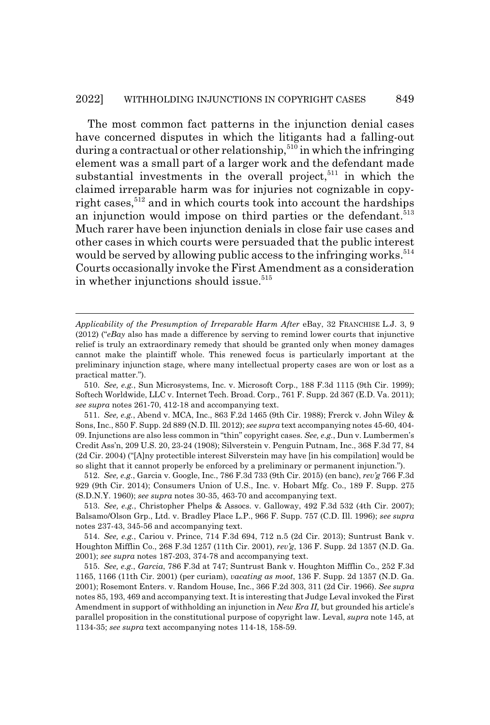The most common fact patterns in the injunction denial cases have concerned disputes in which the litigants had a falling-out during a contractual or other relationship,<sup>510</sup> in which the infringing element was a small part of a larger work and the defendant made substantial investments in the overall project, $511$  in which the claimed irreparable harm was for injuries not cognizable in copyright cases, $512$  and in which courts took into account the hardships an injunction would impose on third parties or the defendant.<sup>513</sup> Much rarer have been injunction denials in close fair use cases and other cases in which courts were persuaded that the public interest would be served by allowing public access to the infringing works.<sup>514</sup> Courts occasionally invoke the First Amendment as a consideration in whether injunctions should issue.<sup>515</sup>

512. *See, e.g.*, Garcia v. Google, Inc., 786 F.3d 733 (9th Cir. 2015) (en banc), *rev'g* 766 F.3d 929 (9th Cir. 2014); Consumers Union of U.S., Inc. v. Hobart Mfg. Co., 189 F. Supp. 275 (S.D.N.Y. 1960); *see supra* notes 30-35, 463-70 and accompanying text.

513. *See, e.g.*, Christopher Phelps & Assocs. v. Galloway, 492 F.3d 532 (4th Cir. 2007); Balsamo/Olson Grp., Ltd. v. Bradley Place L.P., 966 F. Supp. 757 (C.D. Ill. 1996); *see supra* notes 237-43, 345-56 and accompanying text.

514. *See, e.g.*, Cariou v. Prince, 714 F.3d 694, 712 n.5 (2d Cir. 2013); Suntrust Bank v. Houghton Mifflin Co., 268 F.3d 1257 (11th Cir. 2001), *rev'g*, 136 F. Supp. 2d 1357 (N.D. Ga. 2001); *see supra* notes 187-203, 374-78 and accompanying text.

515. *See, e.g.*, *Garcia*, 786 F.3d at 747; Suntrust Bank v. Houghton Mifflin Co., 252 F.3d 1165, 1166 (11th Cir. 2001) (per curiam), *vacating as moot*, 136 F. Supp. 2d 1357 (N.D. Ga. 2001); Rosemont Enters. v. Random House, Inc., 366 F.2d 303, 311 (2d Cir. 1966). *See supra* notes 85, 193, 469 and accompanying text. It is interesting that Judge Leval invoked the First Amendment in support of withholding an injunction in *New Era II,* but grounded his article's parallel proposition in the constitutional purpose of copyright law. Leval, *supra* note 145, at 1134-35; *see supra* text accompanying notes 114-18, 158-59.

*Applicability of the Presumption of Irreparable Harm After* eBay, 32 FRANCHISE L.J. 3, 9 (2012) ("*eBay* also has made a difference by serving to remind lower courts that injunctive relief is truly an extraordinary remedy that should be granted only when money damages cannot make the plaintiff whole. This renewed focus is particularly important at the preliminary injunction stage, where many intellectual property cases are won or lost as a practical matter.").

<sup>510.</sup> *See, e.g.*, Sun Microsystems, Inc. v. Microsoft Corp., 188 F.3d 1115 (9th Cir. 1999); Softech Worldwide, LLC v. Internet Tech. Broad. Corp., 761 F. Supp. 2d 367 (E.D. Va. 2011); *see supra* notes 261-70, 412-18 and accompanying text.

<sup>511.</sup> *See, e.g.*, Abend v. MCA, Inc., 863 F.2d 1465 (9th Cir. 1988); Frerck v. John Wiley & Sons, Inc., 850 F. Supp. 2d 889 (N.D. Ill. 2012); *see supra* text accompanying notes 45-60, 404- 09. Injunctions are also less common in "thin" copyright cases. *See, e.g.*, Dun v. Lumbermen's Credit Ass'n, 209 U.S. 20, 23-24 (1908); Silverstein v. Penguin Putnam, Inc., 368 F.3d 77, 84 (2d Cir. 2004) ("[A]ny protectible interest Silverstein may have [in his compilation] would be so slight that it cannot properly be enforced by a preliminary or permanent injunction.").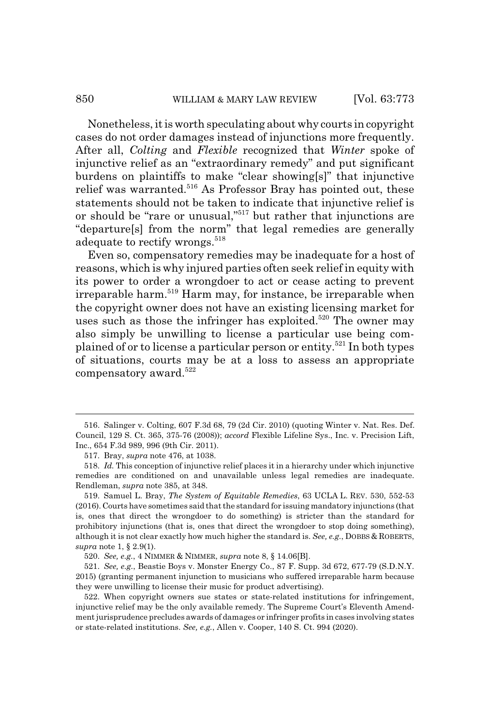Nonetheless, it is worth speculating about why courts in copyright cases do not order damages instead of injunctions more frequently. After all, *Colting* and *Flexible* recognized that *Winter* spoke of injunctive relief as an "extraordinary remedy" and put significant burdens on plaintiffs to make "clear showing[s]" that injunctive relief was warranted.<sup>516</sup> As Professor Bray has pointed out, these statements should not be taken to indicate that injunctive relief is or should be "rare or unusual,"517 but rather that injunctions are "departure[s] from the norm" that legal remedies are generally adequate to rectify wrongs.<sup>518</sup>

Even so, compensatory remedies may be inadequate for a host of reasons, which is why injured parties often seek relief in equity with its power to order a wrongdoer to act or cease acting to prevent irreparable harm.519 Harm may, for instance, be irreparable when the copyright owner does not have an existing licensing market for uses such as those the infringer has exploited. $520$  The owner may also simply be unwilling to license a particular use being complained of or to license a particular person or entity.521 In both types of situations, courts may be at a loss to assess an appropriate compensatory award. $522$ 

<sup>516.</sup> Salinger v. Colting, 607 F.3d 68, 79 (2d Cir. 2010) (quoting Winter v. Nat. Res. Def. Council, 129 S. Ct. 365, 375-76 (2008)); *accord* Flexible Lifeline Sys., Inc. v. Precision Lift, Inc., 654 F.3d 989, 996 (9th Cir. 2011).

<sup>517.</sup> Bray, *supra* note 476, at 1038.

<sup>518.</sup> *Id.* This conception of injunctive relief places it in a hierarchy under which injunctive remedies are conditioned on and unavailable unless legal remedies are inadequate. Rendleman, *supra* note 385, at 348.

<sup>519.</sup> Samuel L. Bray, *The System of Equitable Remedies*, 63 UCLA L. REV. 530, 552-53 (2016). Courts have sometimes said that the standard for issuing mandatory injunctions (that is, ones that direct the wrongdoer to do something) is stricter than the standard for prohibitory injunctions (that is, ones that direct the wrongdoer to stop doing something), although it is not clear exactly how much higher the standard is. *See, e.g.*, DOBBS & ROBERTS, *supra* note 1, § 2.9(1).

<sup>520.</sup> *See, e.g.*, 4 NIMMER & NIMMER, *supra* note 8, § 14.06[B].

<sup>521.</sup> *See, e.g.*, Beastie Boys v. Monster Energy Co., 87 F. Supp. 3d 672, 677-79 (S.D.N.Y. 2015) (granting permanent injunction to musicians who suffered irreparable harm because they were unwilling to license their music for product advertising).

<sup>522.</sup> When copyright owners sue states or state-related institutions for infringement, injunctive relief may be the only available remedy. The Supreme Court's Eleventh Amendment jurisprudence precludes awards of damages or infringer profits in cases involving states or state-related institutions. *See, e.g.*, Allen v. Cooper, 140 S. Ct. 994 (2020).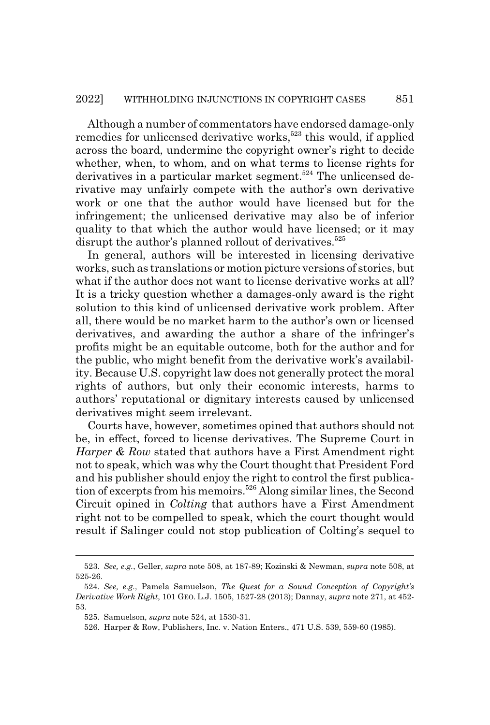Although a number of commentators have endorsed damage-only remedies for unlicensed derivative works,<sup>523</sup> this would, if applied across the board, undermine the copyright owner's right to decide whether, when, to whom, and on what terms to license rights for derivatives in a particular market segment.<sup>524</sup> The unlicensed derivative may unfairly compete with the author's own derivative work or one that the author would have licensed but for the infringement; the unlicensed derivative may also be of inferior quality to that which the author would have licensed; or it may disrupt the author's planned rollout of derivatives.<sup>525</sup>

In general, authors will be interested in licensing derivative works, such as translations or motion picture versions of stories, but what if the author does not want to license derivative works at all? It is a tricky question whether a damages-only award is the right solution to this kind of unlicensed derivative work problem. After all, there would be no market harm to the author's own or licensed derivatives, and awarding the author a share of the infringer's profits might be an equitable outcome, both for the author and for the public, who might benefit from the derivative work's availability. Because U.S. copyright law does not generally protect the moral rights of authors, but only their economic interests, harms to authors' reputational or dignitary interests caused by unlicensed derivatives might seem irrelevant.

Courts have, however, sometimes opined that authors should not be, in effect, forced to license derivatives. The Supreme Court in *Harper & Row* stated that authors have a First Amendment right not to speak, which was why the Court thought that President Ford and his publisher should enjoy the right to control the first publication of excerpts from his memoirs.<sup>526</sup> Along similar lines, the Second Circuit opined in *Colting* that authors have a First Amendment right not to be compelled to speak, which the court thought would result if Salinger could not stop publication of Colting's sequel to

<sup>523.</sup> *See, e.g.*, Geller, *supra* note 508, at 187-89; Kozinski & Newman, *supra* note 508, at 525-26.

<sup>524.</sup> *See, e.g.*, Pamela Samuelson, *The Quest for a Sound Conception of Copyright's Derivative Work Right*, 101 GEO. L.J. 1505, 1527-28 (2013); Dannay, *supra* note 271, at 452- 53.

<sup>525.</sup> Samuelson, *supra* note 524, at 1530-31.

<sup>526.</sup> Harper & Row, Publishers, Inc. v. Nation Enters., 471 U.S. 539, 559-60 (1985).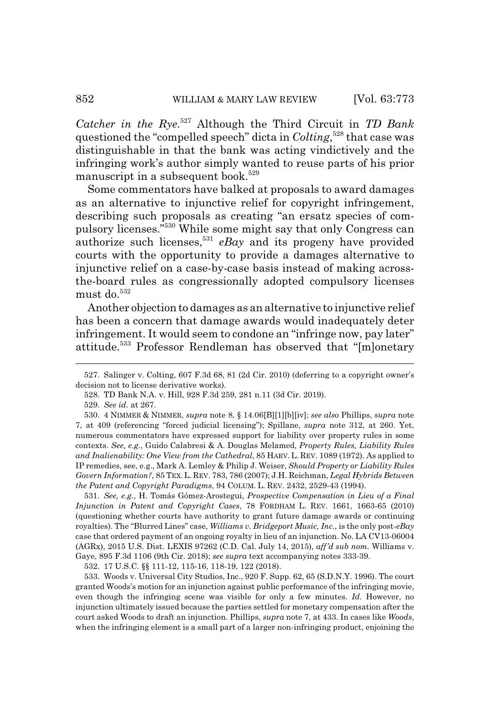*Catcher in the Rye*. 527 Although the Third Circuit in *TD Bank* questioned the "compelled speech" dicta in *Colting*, 528 that case was distinguishable in that the bank was acting vindictively and the infringing work's author simply wanted to reuse parts of his prior manuscript in a subsequent book.<sup>529</sup>

Some commentators have balked at proposals to award damages as an alternative to injunctive relief for copyright infringement, describing such proposals as creating "an ersatz species of compulsory licenses."530 While some might say that only Congress can authorize such licenses,531 *eBay* and its progeny have provided courts with the opportunity to provide a damages alternative to injunctive relief on a case-by-case basis instead of making acrossthe-board rules as congressionally adopted compulsory licenses must do. $532$ 

Another objection to damages as an alternative to injunctive relief has been a concern that damage awards would inadequately deter infringement. It would seem to condone an "infringe now, pay later" attitude.533 Professor Rendleman has observed that "[m]onetary

531. *See, e.g.*, H. Tomás Gómez-Arostegui, *Prospective Compensation in Lieu of a Final Injunction in Patent and Copyright Cases*, 78 FORDHAM L. REV. 1661, 1663-65 (2010) (questioning whether courts have authority to grant future damage awards or continuing royalties). The "Blurred Lines" case, *Williams v. Bridgeport Music, Inc*., is the only post-*eBay* case that ordered payment of an ongoing royalty in lieu of an injunction. No. LA CV13-06004 (AGRx), 2015 U.S. Dist. LEXIS 97262 (C.D. Cal. July 14, 2015), *aff'd sub nom.* Williams v. Gaye, 895 F.3d 1106 (9th Cir. 2018); *see supra* text accompanying notes 333-39.

532. 17 U.S.C. §§ 111-12, 115-16, 118-19, 122 (2018).

533. Woods v. Universal City Studios, Inc., 920 F. Supp. 62, 65 (S.D.N.Y. 1996). The court granted Woods's motion for an injunction against public performance of the infringing movie, even though the infringing scene was visible for only a few minutes. *Id.* However, no injunction ultimately issued because the parties settled for monetary compensation after the court asked Woods to draft an injunction. Phillips, *supra* note 7, at 433. In cases like *Woods*, when the infringing element is a small part of a larger non-infringing product, enjoining the

<sup>527.</sup> Salinger v. Colting, 607 F.3d 68, 81 (2d Cir. 2010) (deferring to a copyright owner's decision not to license derivative works).

<sup>528.</sup> TD Bank N.A. v. Hill, 928 F.3d 259, 281 n.11 (3d Cir. 2019).

<sup>529.</sup> *See id.* at 267.

<sup>530. 4</sup> NIMMER & NIMMER, *supra* note 8, § 14.06[B][1][b][iv]; *see als*o Phillips, *supra* note 7, at 409 (referencing "forced judicial licensing"); Spillane, *supra* note 312, at 260. Yet, numerous commentators have expressed support for liability over property rules in some contexts. *See, e.g.*, Guido Calabresi & A. Douglas Melamed, *Property Rules, Liability Rules and Inalienability: One View from the Cathedral*, 85 HARV. L. REV. 1089 (1972). As applied to IP remedies, see, e.g., Mark A. Lemley & Philip J. Weiser, *Should Property or Liability Rules Govern Information?*, 85 TEX. L. REV. 783, 786 (2007); J.H. Reichman, *Legal Hybrids Between the Patent and Copyright Paradigms*, 94 COLUM. L. REV. 2432, 2529-43 (1994).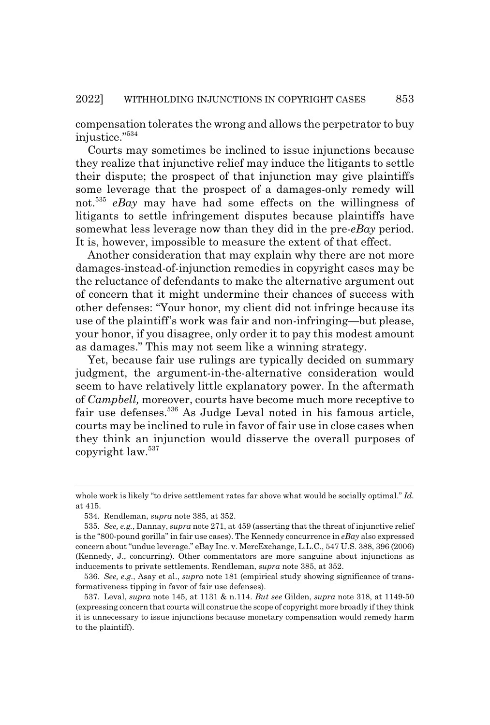compensation tolerates the wrong and allows the perpetrator to buy injustice."534

Courts may sometimes be inclined to issue injunctions because they realize that injunctive relief may induce the litigants to settle their dispute; the prospect of that injunction may give plaintiffs some leverage that the prospect of a damages-only remedy will not.<sup>535</sup> *eBay* may have had some effects on the willingness of litigants to settle infringement disputes because plaintiffs have somewhat less leverage now than they did in the pre-*eBay* period. It is, however, impossible to measure the extent of that effect.

Another consideration that may explain why there are not more damages-instead-of-injunction remedies in copyright cases may be the reluctance of defendants to make the alternative argument out of concern that it might undermine their chances of success with other defenses: "Your honor, my client did not infringe because its use of the plaintiff's work was fair and non-infringing—but please, your honor, if you disagree, only order it to pay this modest amount as damages." This may not seem like a winning strategy.

Yet, because fair use rulings are typically decided on summary judgment, the argument-in-the-alternative consideration would seem to have relatively little explanatory power. In the aftermath of *Campbell,* moreover, courts have become much more receptive to fair use defenses.536 As Judge Leval noted in his famous article, courts may be inclined to rule in favor of fair use in close cases when they think an injunction would disserve the overall purposes of copyright law.<sup>537</sup>

whole work is likely "to drive settlement rates far above what would be socially optimal." *Id.* at 415.

<sup>534.</sup> Rendleman, *supra* note 385, at 352.

<sup>535.</sup> *See, e.g.*, Dannay, *supra* note 271, at 459 (asserting that the threat of injunctive relief is the "800-pound gorilla" in fair use cases). The Kennedy concurrence in *eBay* also expressed concern about "undue leverage." eBay Inc. v. MercExchange, L.L.C., 547 U.S. 388, 396 (2006) (Kennedy, J., concurring). Other commentators are more sanguine about injunctions as inducements to private settlements. Rendleman, *supra* note 385, at 352.

<sup>536.</sup> *See, e.g.*, Asay et al., *supra* note 181 (empirical study showing significance of transformativeness tipping in favor of fair use defenses).

<sup>537.</sup> Leval, *supra* note 145, at 1131 & n.114. *But see* Gilden, *supra* note 318, at 1149-50 (expressing concern that courts will construe the scope of copyright more broadly if they think it is unnecessary to issue injunctions because monetary compensation would remedy harm to the plaintiff).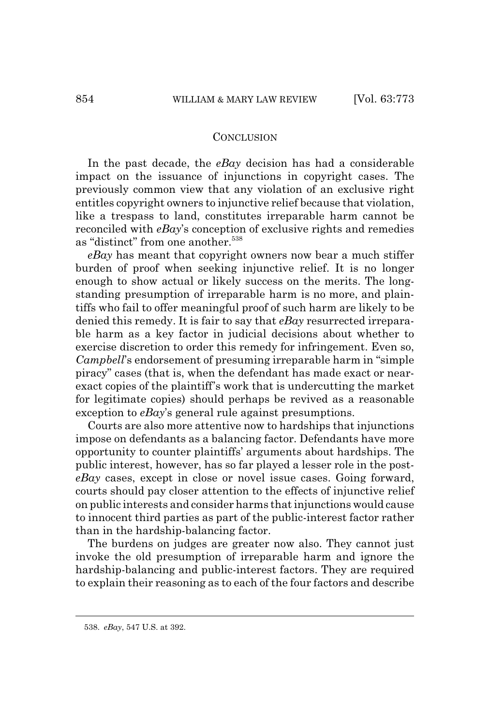## **CONCLUSION**

In the past decade, the *eBay* decision has had a considerable impact on the issuance of injunctions in copyright cases. The previously common view that any violation of an exclusive right entitles copyright owners to injunctive relief because that violation, like a trespass to land, constitutes irreparable harm cannot be reconciled with *eBay*'s conception of exclusive rights and remedies as "distinct" from one another.<sup>538</sup>

*eBay* has meant that copyright owners now bear a much stiffer burden of proof when seeking injunctive relief. It is no longer enough to show actual or likely success on the merits. The longstanding presumption of irreparable harm is no more, and plaintiffs who fail to offer meaningful proof of such harm are likely to be denied this remedy. It is fair to say that *eBay* resurrected irreparable harm as a key factor in judicial decisions about whether to exercise discretion to order this remedy for infringement. Even so, *Campbell*'s endorsement of presuming irreparable harm in "simple piracy" cases (that is, when the defendant has made exact or nearexact copies of the plaintiff's work that is undercutting the market for legitimate copies) should perhaps be revived as a reasonable exception to *eBay*'s general rule against presumptions.

Courts are also more attentive now to hardships that injunctions impose on defendants as a balancing factor. Defendants have more opportunity to counter plaintiffs' arguments about hardships. The public interest, however, has so far played a lesser role in the post*eBay* cases, except in close or novel issue cases. Going forward, courts should pay closer attention to the effects of injunctive relief on public interests and consider harms that injunctions would cause to innocent third parties as part of the public-interest factor rather than in the hardship-balancing factor.

The burdens on judges are greater now also. They cannot just invoke the old presumption of irreparable harm and ignore the hardship-balancing and public-interest factors. They are required to explain their reasoning as to each of the four factors and describe

<sup>538.</sup> *eBay*, 547 U.S. at 392.